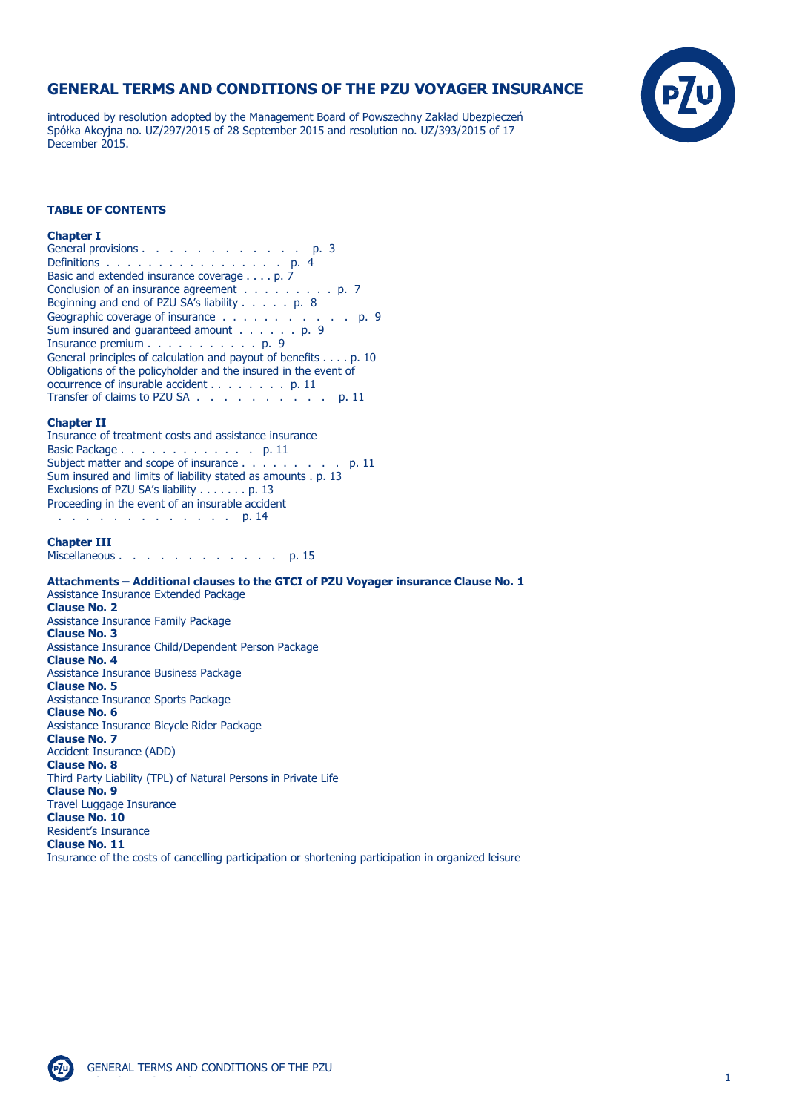# **GENERAL TERMS AND CONDITIONS OF THE PZU VOYAGER INSURANCE**

introduced by resolution adopted by the Management Board of Powszechny Zakład Ubezpieczeń Spółka Akcyjna no. UZ/297/2015 of 28 September 2015 and resolution no. UZ/393/2015 of 17 December 2015.



## **TABLE OF CONTENTS**

#### **Chapter I**

#### **Chapter II**

Insurance of treatment costs and assistance insurance Basic Package . . . . . . . . . . . . . p. 11 Subject matter and scope of insurance . . . . . . . . . p. 11 Sum insured and limits of liability stated as amounts . p. 13 Exclusions of PZU SA's liability . . . . . . . p. 13 Proceeding in the event of an insurable accident . . . . . . . . . . . . . p. 14

# **Chapter III**

Miscellaneous . . . . . . . . . . . . p. 15

**Attachments – Additional clauses to the GTCI of PZU Voyager insurance Clause No. 1** Assistance Insurance Extended Package

**Clause No. 2** Assistance Insurance Family Package **Clause No. 3** Assistance Insurance Child/Dependent Person Package **Clause No. 4** Assistance Insurance Business Package **Clause No. 5** Assistance Insurance Sports Package **Clause No. 6** Assistance Insurance Bicycle Rider Package **Clause No. 7** Accident Insurance (ADD) **Clause No. 8** Third Party Liability (TPL) of Natural Persons in Private Life **Clause No. 9** Travel Luggage Insurance **Clause No. 10**  Resident's Insurance **Clause No. 11** Insurance of the costs of cancelling participation or shortening participation in organized leisure

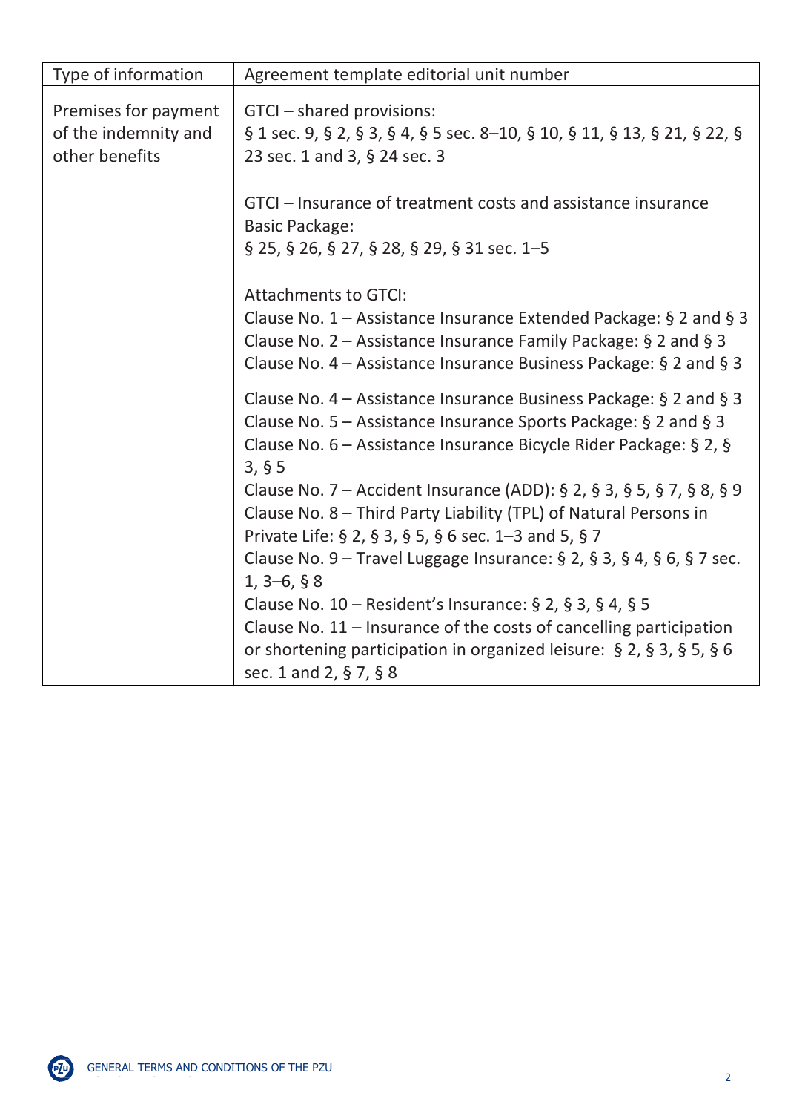| Type of information                                            | Agreement template editorial unit number                                                                                                                                                                                            |
|----------------------------------------------------------------|-------------------------------------------------------------------------------------------------------------------------------------------------------------------------------------------------------------------------------------|
| Premises for payment<br>of the indemnity and<br>other benefits | GTCI - shared provisions:<br>§ 1 sec. 9, § 2, § 3, § 4, § 5 sec. 8-10, § 10, § 11, § 13, § 21, § 22, §<br>23 sec. 1 and 3, § 24 sec. 3                                                                                              |
|                                                                | GTCI – Insurance of treatment costs and assistance insurance<br>Basic Package:<br>§ 25, § 26, § 27, § 28, § 29, § 31 sec. 1–5                                                                                                       |
|                                                                | Attachments to GTCI:<br>Clause No. $1 -$ Assistance Insurance Extended Package: § 2 and § 3<br>Clause No. 2 - Assistance Insurance Family Package: § 2 and § 3<br>Clause No. 4 - Assistance Insurance Business Package: § 2 and § 3 |
|                                                                | Clause No. $4$ – Assistance Insurance Business Package: § 2 and § 3<br>Clause No. 5 - Assistance Insurance Sports Package: § 2 and § 3<br>Clause No. 6 - Assistance Insurance Bicycle Rider Package: § 2, §<br>3.65                 |
|                                                                | Clause No. 7 - Accident Insurance (ADD): § 2, § 3, § 5, § 7, § 8, § 9<br>Clause No. 8 - Third Party Liability (TPL) of Natural Persons in<br>Private Life: § 2, § 3, § 5, § 6 sec. 1-3 and 5, § 7                                   |
|                                                                | Clause No. $9$ – Travel Luggage Insurance: $\S 2$ , $\S 3$ , $\S 4$ , $\S 6$ , $\S 7$ sec.<br>$1, 3-6, 98$<br>Clause No. 10 - Resident's Insurance: § 2, § 3, § 4, § 5                                                              |
|                                                                | Clause No. 11 - Insurance of the costs of cancelling participation<br>or shortening participation in organized leisure: § 2, § 3, § 5, § 6<br>sec. 1 and 2, § 7, § 8                                                                |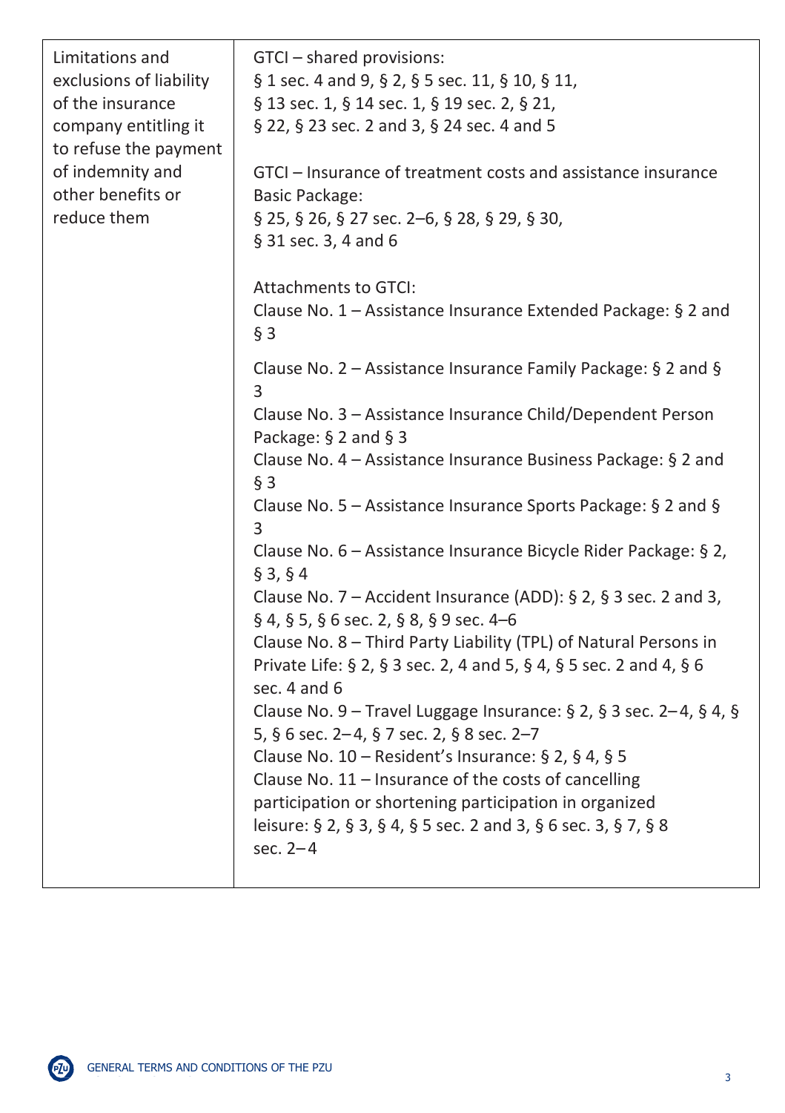| Limitations and<br>exclusions of liability<br>of the insurance<br>company entitling it<br>to refuse the payment<br>of indemnity and<br>other benefits or<br>reduce them | GTCI - shared provisions:<br>§ 1 sec. 4 and 9, § 2, § 5 sec. 11, § 10, § 11,<br>§ 13 sec. 1, § 14 sec. 1, § 19 sec. 2, § 21,<br>§ 22, § 23 sec. 2 and 3, § 24 sec. 4 and 5<br>GTCI - Insurance of treatment costs and assistance insurance<br><b>Basic Package:</b><br>§ 25, § 26, § 27 sec. 2-6, § 28, § 29, § 30,<br>§ 31 sec. 3, 4 and 6<br>Attachments to GTCI:<br>Clause No. 1 - Assistance Insurance Extended Package: § 2 and<br>$§$ 3<br>Clause No. 2 - Assistance Insurance Family Package: § 2 and §<br>3<br>Clause No. 3 - Assistance Insurance Child/Dependent Person<br>Package: § 2 and § 3<br>Clause No. 4 - Assistance Insurance Business Package: § 2 and<br>$§$ 3<br>Clause No. 5 - Assistance Insurance Sports Package: § 2 and §<br>3<br>Clause No. 6 - Assistance Insurance Bicycle Rider Package: § 2,<br>§ 3, § 4<br>Clause No. 7 - Accident Insurance (ADD): § 2, § 3 sec. 2 and 3,<br>§ 4, § 5, § 6 sec. 2, § 8, § 9 sec. 4–6<br>Clause No. 8 - Third Party Liability (TPL) of Natural Persons in<br>Private Life: § 2, § 3 sec. 2, 4 and 5, § 4, § 5 sec. 2 and 4, § 6<br>sec. 4 and 6<br>Clause No. 9 - Travel Luggage Insurance: § 2, § 3 sec. 2-4, § 4, §<br>5, § 6 sec. 2-4, § 7 sec. 2, § 8 sec. 2-7<br>Clause No. 10 - Resident's Insurance: § 2, § 4, § 5<br>Clause No. 11 - Insurance of the costs of cancelling<br>participation or shortening participation in organized<br>leisure: § 2, § 3, § 4, § 5 sec. 2 and 3, § 6 sec. 3, § 7, § 8 |
|-------------------------------------------------------------------------------------------------------------------------------------------------------------------------|--------------------------------------------------------------------------------------------------------------------------------------------------------------------------------------------------------------------------------------------------------------------------------------------------------------------------------------------------------------------------------------------------------------------------------------------------------------------------------------------------------------------------------------------------------------------------------------------------------------------------------------------------------------------------------------------------------------------------------------------------------------------------------------------------------------------------------------------------------------------------------------------------------------------------------------------------------------------------------------------------------------------------------------------------------------------------------------------------------------------------------------------------------------------------------------------------------------------------------------------------------------------------------------------------------------------------------------------------------------------------------------------------------------------------------------------------------------------------------|
|                                                                                                                                                                         | sec. $2-4$                                                                                                                                                                                                                                                                                                                                                                                                                                                                                                                                                                                                                                                                                                                                                                                                                                                                                                                                                                                                                                                                                                                                                                                                                                                                                                                                                                                                                                                                     |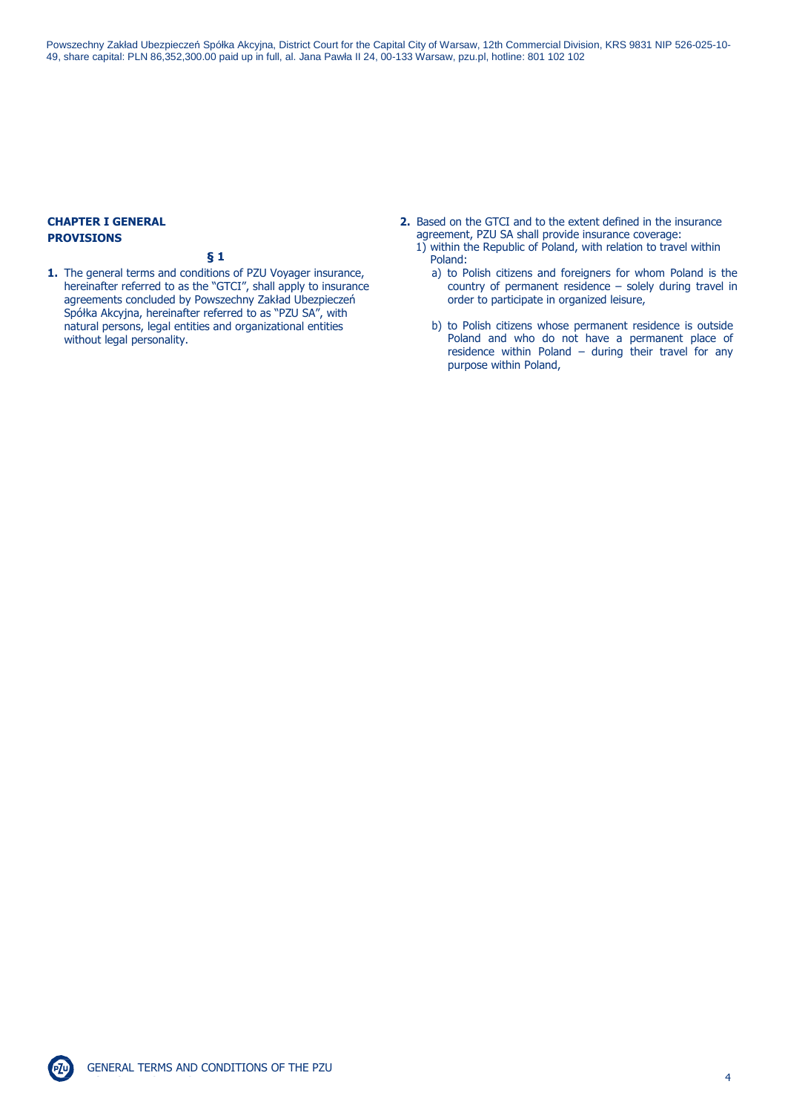Powszechny Zakład Ubezpieczeń Spółka Akcyjna, District Court for the Capital City of Warsaw, 12th Commercial Division, KRS 9831 NIP 526-025-10- 49, share capital: PLN 86,352,300.00 paid up in full, al. Jana Pawła II 24, 00-133 Warsaw, pzu.pl, hotline: 801 102 102

## **CHAPTER I GENERAL PROVISIONS**

- **1.** The general terms and conditions of PZU Voyager insurance, hereinafter referred to as the "GTCI", shall apply to insurance agreements concluded by Powszechny Zakład Ubezpieczeń Spółka Akcyjna, hereinafter referred to as "PZU SA", with natural persons, legal entities and organizational entities without legal personality.
- **2.** Based on the GTCI and to the extent defined in the insurance agreement, PZU SA shall provide insurance coverage:
	- 1) within the Republic of Poland, with relation to travel within Poland:
		- a) to Polish citizens and foreigners for whom Poland is the country of permanent residence – solely during travel in order to participate in organized leisure,
		- b) to Polish citizens whose permanent residence is outside Poland and who do not have a permanent place of residence within Poland – during their travel for any purpose within Poland.

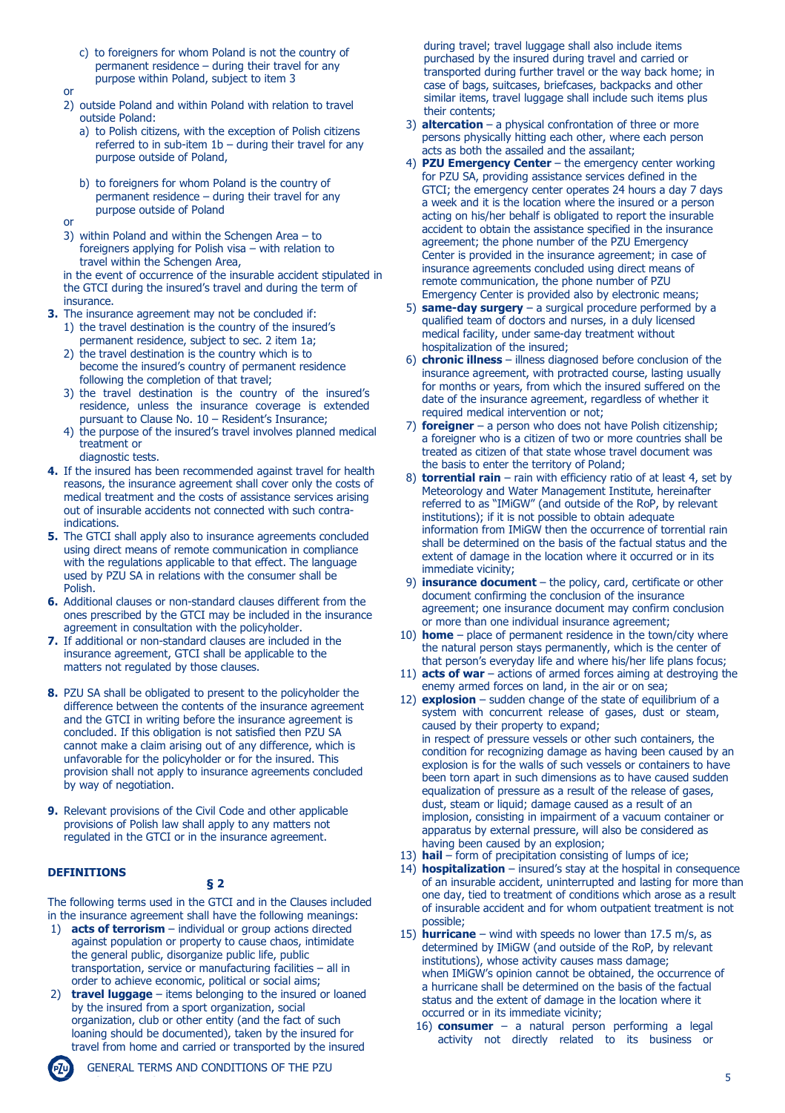- c) to foreigners for whom Poland is not the country of permanent residence – during their travel for any purpose within Poland, subject to item 3
- or
- 2) outside Poland and within Poland with relation to travel outside Poland:
	- a) to Polish citizens, with the exception of Polish citizens referred to in sub-item 1b – during their travel for any purpose outside of Poland,
	- b) to foreigners for whom Poland is the country of permanent residence  $-$  during their travel for any purpose outside of Poland
- or
- 3) within Poland and within the Schengen Area to foreigners applying for Polish visa – with relation to travel within the Schengen Area,

in the event of occurrence of the insurable accident stipulated in the GTCI during the insured's travel and during the term of insurance.

- **3.** The insurance agreement may not be concluded if:
	- 1) the travel destination is the country of the insured's permanent residence, subject to sec. 2 item 1a;
	- 2) the travel destination is the country which is to become the insured's country of permanent residence following the completion of that travel;
	- 3) the travel destination is the country of the insured's residence, unless the insurance coverage is extended pursuant to Clause No. 10 – Resident's Insurance;
	- 4) the purpose of the insured's travel involves planned medical treatment or diagnostic tests.
- **4.** If the insured has been recommended against travel for health reasons, the insurance agreement shall cover only the costs of medical treatment and the costs of assistance services arising out of insurable accidents not connected with such contraindications.
- **5.** The GTCI shall apply also to insurance agreements concluded using direct means of remote communication in compliance with the regulations applicable to that effect. The language used by PZU SA in relations with the consumer shall be Polish.
- **6.** Additional clauses or non-standard clauses different from the ones prescribed by the GTCI may be included in the insurance agreement in consultation with the policyholder.
- **7.** If additional or non-standard clauses are included in the insurance agreement, GTCI shall be applicable to the matters not regulated by those clauses.
- **8.** PZU SA shall be obligated to present to the policyholder the difference between the contents of the insurance agreement and the GTCI in writing before the insurance agreement is concluded. If this obligation is not satisfied then PZU SA cannot make a claim arising out of any difference, which is unfavorable for the policyholder or for the insured. This provision shall not apply to insurance agreements concluded by way of negotiation.
- **9.** Relevant provisions of the Civil Code and other applicable provisions of Polish law shall apply to any matters not regulated in the GTCI or in the insurance agreement.

# **DEFINITIONS**

# **§ 2**

The following terms used in the GTCI and in the Clauses included in the insurance agreement shall have the following meanings:

- 1) **acts of terrorism**  individual or group actions directed against population or property to cause chaos, intimidate the general public, disorganize public life, public transportation, service or manufacturing facilities – all in order to achieve economic, political or social aims;
- 2) **travel luggage**  items belonging to the insured or loaned by the insured from a sport organization, social organization, club or other entity (and the fact of such loaning should be documented), taken by the insured for travel from home and carried or transported by the insured

during travel; travel luggage shall also include items purchased by the insured during travel and carried or transported during further travel or the way back home; in case of bags, suitcases, briefcases, backpacks and other similar items, travel luggage shall include such items plus their contents;

- 3) **altercation**  a physical confrontation of three or more persons physically hitting each other, where each person acts as both the assailed and the assailant;
- 4) **PZU Emergency Center** the emergency center working for PZU SA, providing assistance services defined in the GTCI; the emergency center operates 24 hours a day 7 days a week and it is the location where the insured or a person acting on his/her behalf is obligated to report the insurable accident to obtain the assistance specified in the insurance agreement; the phone number of the PZU Emergency Center is provided in the insurance agreement; in case of insurance agreements concluded using direct means of remote communication, the phone number of PZU Emergency Center is provided also by electronic means;
- 5) **same-day surgery** a surgical procedure performed by a qualified team of doctors and nurses, in a duly licensed medical facility, under same-day treatment without hospitalization of the insured;
- 6) **chronic illness**  illness diagnosed before conclusion of the insurance agreement, with protracted course, lasting usually for months or years, from which the insured suffered on the date of the insurance agreement, regardless of whether it required medical intervention or not;
- 7) **foreigner** a person who does not have Polish citizenship; a foreigner who is a citizen of two or more countries shall be treated as citizen of that state whose travel document was the basis to enter the territory of Poland;
- 8) **torrential rain** rain with efficiency ratio of at least 4, set by Meteorology and Water Management Institute, hereinafter referred to as "IMiGW" (and outside of the RoP, by relevant institutions); if it is not possible to obtain adequate information from IMiGW then the occurrence of torrential rain shall be determined on the basis of the factual status and the extent of damage in the location where it occurred or in its immediate vicinity;
- 9) **insurance document**  the policy, card, certificate or other document confirming the conclusion of the insurance agreement; one insurance document may confirm conclusion or more than one individual insurance agreement;
- 10) **home** place of permanent residence in the town/city where the natural person stays permanently, which is the center of
- that person's everyday life and where his/her life plans focus; 11) **acts of war**  actions of armed forces aiming at destroying the enemy armed forces on land, in the air or on sea;
- 12) **explosion** sudden change of the state of equilibrium of a system with concurrent release of gases, dust or steam, caused by their property to expand; in respect of pressure vessels or other such containers, the condition for recognizing damage as having been caused by an explosion is for the walls of such vessels or containers to have been torn apart in such dimensions as to have caused sudden equalization of pressure as a result of the release of gases, dust, steam or liquid; damage caused as a result of an implosion, consisting in impairment of a vacuum container or apparatus by external pressure, will also be considered as having been caused by an explosion;
- 13) **hail**  form of precipitation consisting of lumps of ice;
- 14) **hospitalization** insured's stay at the hospital in consequence of an insurable accident, uninterrupted and lasting for more than one day, tied to treatment of conditions which arose as a result of insurable accident and for whom outpatient treatment is not possible;
- 15) **hurricane** wind with speeds no lower than 17.5 m/s, as determined by IMiGW (and outside of the RoP, by relevant institutions), whose activity causes mass damage; when IMiGW's opinion cannot be obtained, the occurrence of a hurricane shall be determined on the basis of the factual status and the extent of damage in the location where it occurred or in its immediate vicinity;
	- 16) **consumer** a natural person performing a legal activity not directly related to its business or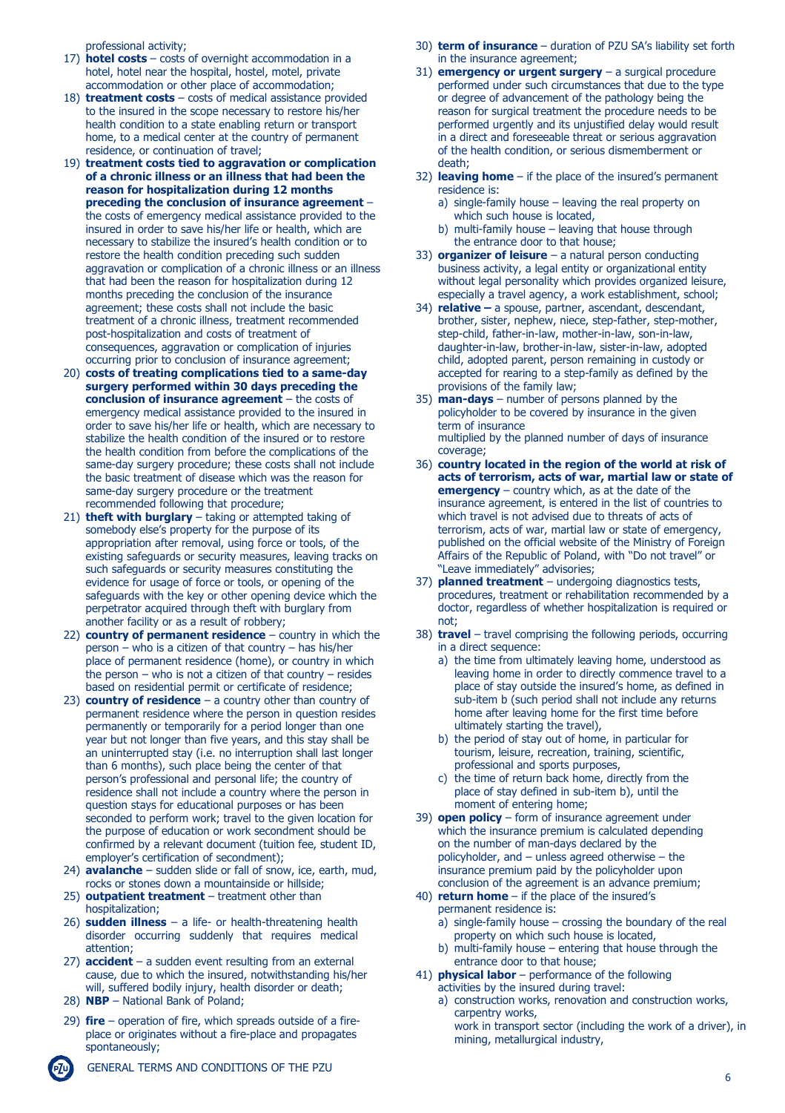professional activity;

- 17) **hotel costs**  costs of overnight accommodation in a hotel, hotel near the hospital, hostel, motel, private accommodation or other place of accommodation;
- 18) **treatment costs**  costs of medical assistance provided to the insured in the scope necessary to restore his/her health condition to a state enabling return or transport home, to a medical center at the country of permanent residence, or continuation of travel;
- 19) **treatment costs tied to aggravation or complication of a chronic illness or an illness that had been the reason for hospitalization during 12 months preceding the conclusion of insurance agreement** – the costs of emergency medical assistance provided to the insured in order to save his/her life or health, which are necessary to stabilize the insured's health condition or to restore the health condition preceding such sudden aggravation or complication of a chronic illness or an illness that had been the reason for hospitalization during 12 months preceding the conclusion of the insurance agreement; these costs shall not include the basic treatment of a chronic illness, treatment recommended post-hospitalization and costs of treatment of consequences, aggravation or complication of injuries occurring prior to conclusion of insurance agreement;
- 20) **costs of treating complications tied to a same-day surgery performed within 30 days preceding the conclusion of insurance agreement** – the costs of emergency medical assistance provided to the insured in order to save his/her life or health, which are necessary to stabilize the health condition of the insured or to restore the health condition from before the complications of the same-day surgery procedure; these costs shall not include the basic treatment of disease which was the reason for same-day surgery procedure or the treatment recommended following that procedure;
- 21) **theft with burglary**  taking or attempted taking of somebody else's property for the purpose of its appropriation after removal, using force or tools, of the existing safeguards or security measures, leaving tracks on such safeguards or security measures constituting the evidence for usage of force or tools, or opening of the safeguards with the key or other opening device which the perpetrator acquired through theft with burglary from another facility or as a result of robbery;
- 22) **country of permanent residence** country in which the person – who is a citizen of that country – has his/her place of permanent residence (home), or country in which the person – who is not a citizen of that country – resides based on residential permit or certificate of residence;
- 23) **country of residence** a country other than country of permanent residence where the person in question resides permanently or temporarily for a period longer than one year but not longer than five years, and this stay shall be an uninterrupted stay (i.e. no interruption shall last longer than 6 months), such place being the center of that person's professional and personal life; the country of residence shall not include a country where the person in question stays for educational purposes or has been seconded to perform work; travel to the given location for the purpose of education or work secondment should be confirmed by a relevant document (tuition fee, student ID, employer's certification of secondment);
- 24) **avalanche** sudden slide or fall of snow, ice, earth, mud, rocks or stones down a mountainside or hillside;
- 25) **outpatient treatment**  treatment other than hospitalization;
- 26) **sudden illness** a life- or health-threatening health disorder occurring suddenly that requires medical attention;
- 27) **accident** a sudden event resulting from an external cause, due to which the insured, notwithstanding his/her will, suffered bodily injury, health disorder or death;
- 28) **NBP** National Bank of Poland;
- 29) **fire** operation of fire, which spreads outside of a fireplace or originates without a fire-place and propagates spontaneously;
- 30) **term of insurance**  duration of PZU SA's liability set forth in the insurance agreement;
- 31) **emergency or urgent surgery** a surgical procedure performed under such circumstances that due to the type or degree of advancement of the pathology being the reason for surgical treatment the procedure needs to be performed urgently and its unjustified delay would result in a direct and foreseeable threat or serious aggravation of the health condition, or serious dismemberment or death;
- 32) **leaving home**  if the place of the insured's permanent residence is:
	- a) single-family house leaving the real property on which such house is located,
	- b) multi-family house leaving that house through the entrance door to that house;
- 33) **organizer of leisure** a natural person conducting business activity, a legal entity or organizational entity without legal personality which provides organized leisure, especially a travel agency, a work establishment, school;
- 34) **relative** a spouse, partner, ascendant, descendant, brother, sister, nephew, niece, step-father, step-mother, step-child, father-in-law, mother-in-law, son-in-law, daughter-in-law, brother-in-law, sister-in-law, adopted child, adopted parent, person remaining in custody or accepted for rearing to a step-family as defined by the provisions of the family law;
- 35) **man-days**  number of persons planned by the policyholder to be covered by insurance in the given term of insurance multiplied by the planned number of days of insurance coverage;
- 36) **country located in the region of the world at risk of acts of terrorism, acts of war, martial law or state of emergency** – country which, as at the date of the insurance agreement, is entered in the list of countries to which travel is not advised due to threats of acts of terrorism, acts of war, martial law or state of emergency, published on the official website of the Ministry of Foreign Affairs of the Republic of Poland, with "Do not travel" or "Leave immediately" advisories;
- 37) **planned treatment** undergoing diagnostics tests, procedures, treatment or rehabilitation recommended by a doctor, regardless of whether hospitalization is required or not;
- 38) **travel** travel comprising the following periods, occurring in a direct sequence:
	- a) the time from ultimately leaving home, understood as leaving home in order to directly commence travel to a place of stay outside the insured's home, as defined in sub-item b (such period shall not include any returns home after leaving home for the first time before ultimately starting the travel),
	- b) the period of stay out of home, in particular for tourism, leisure, recreation, training, scientific, professional and sports purposes,
	- c) the time of return back home, directly from the place of stay defined in sub-item b), until the moment of entering home;
- 39) **open policy**  form of insurance agreement under which the insurance premium is calculated depending on the number of man-days declared by the policyholder, and – unless agreed otherwise – the insurance premium paid by the policyholder upon conclusion of the agreement is an advance premium;
- 40) **return home**  if the place of the insured's permanent residence is:
	- a) single-family house crossing the boundary of the real property on which such house is located.
	- b) multi-family house entering that house through the entrance door to that house;
- 41) **physical labor**  performance of the following activities by the insured during travel:
	- a) construction works, renovation and construction works, carpentry works, work in transport sector (including the work of a driver), in
		- mining, metallurgical industry,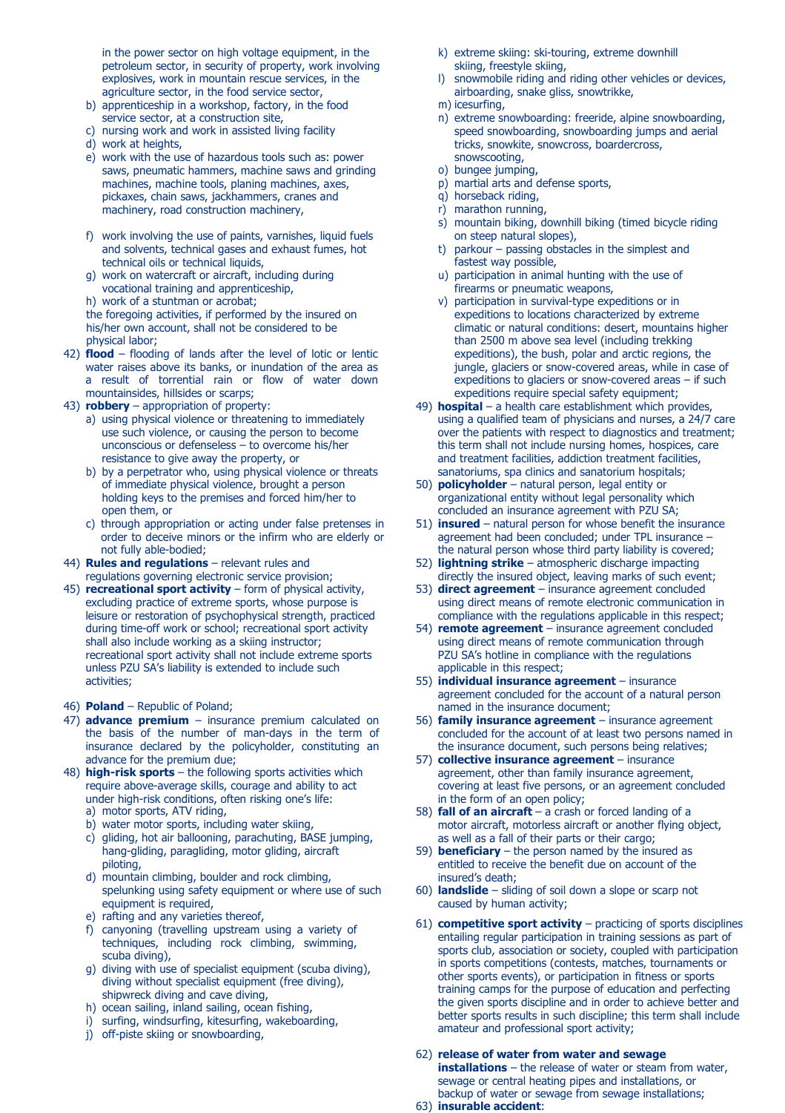in the power sector on high voltage equipment, in the petroleum sector, in security of property, work involving explosives, work in mountain rescue services, in the agriculture sector, in the food service sector,

- b) apprenticeship in a workshop, factory, in the food service sector, at a construction site,
- c) nursing work and work in assisted living facility
- d) work at heights,
- e) work with the use of hazardous tools such as: power saws, pneumatic hammers, machine saws and grinding machines, machine tools, planing machines, axes, pickaxes, chain saws, jackhammers, cranes and machinery, road construction machinery,
- f) work involving the use of paints, varnishes, liquid fuels and solvents, technical gases and exhaust fumes, hot technical oils or technical liquids,
- g) work on watercraft or aircraft, including during vocational training and apprenticeship,
- h) work of a stuntman or acrobat;

the foregoing activities, if performed by the insured on his/her own account, shall not be considered to be physical labor;

- 42) **flood**  flooding of lands after the level of lotic or lentic water raises above its banks, or inundation of the area as a result of torrential rain or flow of water down mountainsides, hillsides or scarps;
- 43) **robbery**  appropriation of property:
	- a) using physical violence or threatening to immediately use such violence, or causing the person to become unconscious or defenseless – to overcome his/her resistance to give away the property, or
	- b) by a perpetrator who, using physical violence or threats of immediate physical violence, brought a person holding keys to the premises and forced him/her to open them, or
	- c) through appropriation or acting under false pretenses in order to deceive minors or the infirm who are elderly or not fully able-bodied;
- 44) **Rules and regulations**  relevant rules and regulations governing electronic service provision;
- 45) **recreational sport activity**  form of physical activity, excluding practice of extreme sports, whose purpose is leisure or restoration of psychophysical strength, practiced during time-off work or school; recreational sport activity shall also include working as a skiing instructor; recreational sport activity shall not include extreme sports unless PZU SA's liability is extended to include such activities;
- 46) **Poland** Republic of Poland;
- 47) **advance premium** insurance premium calculated on the basis of the number of man-days in the term of insurance declared by the policyholder, constituting an advance for the premium due;
- 48) **high-risk sports** the following sports activities which require above-average skills, courage and ability to act under high-risk conditions, often risking one's life: a) motor sports, ATV riding,
	-
	- b) water motor sports, including water skiing,
	- c) gliding, hot air ballooning, parachuting, BASE jumping, hang-gliding, paragliding, motor gliding, aircraft piloting,
	- d) mountain climbing, boulder and rock climbing, spelunking using safety equipment or where use of such equipment is required,
	- e) rafting and any varieties thereof,
	- f) canyoning (travelling upstream using a variety of techniques, including rock climbing, swimming, scuba diving),
	- g) diving with use of specialist equipment (scuba diving), diving without specialist equipment (free diving), shipwreck diving and cave diving,
	- h) ocean sailing, inland sailing, ocean fishing,
	- i) surfing, windsurfing, kitesurfing, wakeboarding,
	- j) off-piste skiing or snowboarding,
- k) extreme skiing: ski-touring, extreme downhill skiing, freestyle skiing,
- l) snowmobile riding and riding other vehicles or devices, airboarding, snake gliss, snowtrikke,
- m) icesurfing,
- n) extreme snowboarding: freeride, alpine snowboarding, speed snowboarding, snowboarding jumps and aerial tricks, snowkite, snowcross, boardercross, snowscooting,
- o) bungee jumping,
- p) martial arts and defense sports,
- q) horseback riding,
- r) marathon running,
- s) mountain biking, downhill biking (timed bicycle riding on steep natural slopes),
- t) parkour passing obstacles in the simplest and fastest way possible,
- u) participation in animal hunting with the use of firearms or pneumatic weapons,
- v) participation in survival-type expeditions or in expeditions to locations characterized by extreme climatic or natural conditions: desert, mountains higher than 2500 m above sea level (including trekking expeditions), the bush, polar and arctic regions, the jungle, glaciers or snow-covered areas, while in case of expeditions to glaciers or snow-covered areas – if such expeditions require special safety equipment;
- 49) **hospital**  a health care establishment which provides, using a qualified team of physicians and nurses, a 24/7 care over the patients with respect to diagnostics and treatment; this term shall not include nursing homes, hospices, care and treatment facilities, addiction treatment facilities, sanatoriums, spa clinics and sanatorium hospitals;
- 50) **policyholder** natural person, legal entity or organizational entity without legal personality which concluded an insurance agreement with PZU SA;
- 51) **insured** natural person for whose benefit the insurance agreement had been concluded; under TPL insurance – the natural person whose third party liability is covered;
- 52) **lightning strike** atmospheric discharge impacting directly the insured object, leaving marks of such event;
- 53) **direct agreement** insurance agreement concluded using direct means of remote electronic communication in compliance with the regulations applicable in this respect;
- 54) **remote agreement** insurance agreement concluded using direct means of remote communication through PZU SA's hotline in compliance with the regulations applicable in this respect;
- 55) **individual insurance agreement** insurance agreement concluded for the account of a natural person named in the insurance document;
- 56) **family insurance agreement** insurance agreement concluded for the account of at least two persons named in the insurance document, such persons being relatives;
- 57) **collective insurance agreement** insurance agreement, other than family insurance agreement, covering at least five persons, or an agreement concluded in the form of an open policy;
- 58) **fall of an aircraft**  a crash or forced landing of a motor aircraft, motorless aircraft or another flying object, as well as a fall of their parts or their cargo;
- 59) **beneficiary**  the person named by the insured as entitled to receive the benefit due on account of the insured's death;
- 60) **landslide** sliding of soil down a slope or scarp not caused by human activity;
- 61) **competitive sport activity** practicing of sports disciplines entailing regular participation in training sessions as part of sports club, association or society, coupled with participation in sports competitions (contests, matches, tournaments or other sports events), or participation in fitness or sports training camps for the purpose of education and perfecting the given sports discipline and in order to achieve better and better sports results in such discipline; this term shall include amateur and professional sport activity;
- 62) **release of water from water and sewage installations** – the release of water or steam from water, sewage or central heating pipes and installations, or backup of water or sewage from sewage installations;
- 63) **insurable accident**: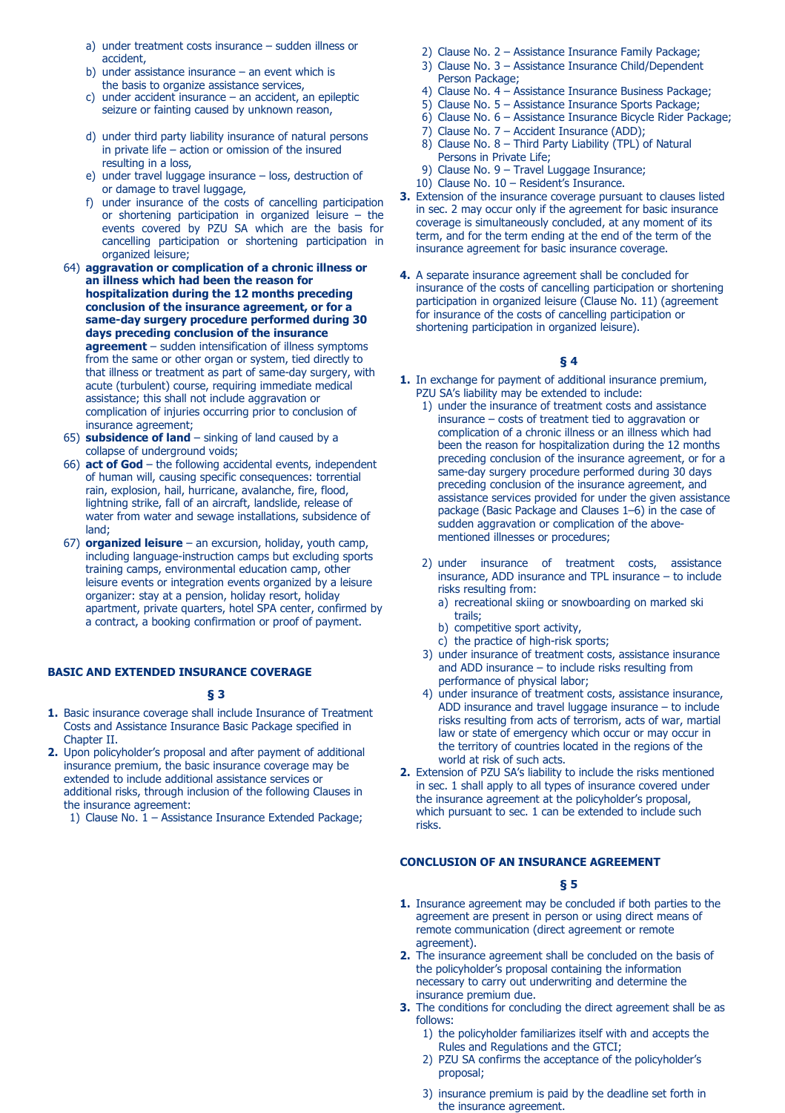- a) under treatment costs insurance sudden illness or accident,
- b) under assistance insurance an event which is the basis to organize assistance services,
- c) under accident insurance an accident, an epileptic seizure or fainting caused by unknown reason,
- d) under third party liability insurance of natural persons in private life – action or omission of the insured resulting in a loss,
- e) under travel luggage insurance loss, destruction of or damage to travel luggage,
- f) under insurance of the costs of cancelling participation or shortening participation in organized leisure – the events covered by PZU SA which are the basis for cancelling participation or shortening participation in organized leisure;
- 64) **aggravation or complication of a chronic illness or an illness which had been the reason for hospitalization during the 12 months preceding conclusion of the insurance agreement, or for a same-day surgery procedure performed during 30 days preceding conclusion of the insurance agreement** – sudden intensification of illness symptoms from the same or other organ or system, tied directly to that illness or treatment as part of same-day surgery, with acute (turbulent) course, requiring immediate medical assistance; this shall not include aggravation or complication of injuries occurring prior to conclusion of insurance agreement;
- 65) **subsidence of land** sinking of land caused by a collapse of underground voids;
- 66) **act of God**  the following accidental events, independent of human will, causing specific consequences: torrential rain, explosion, hail, hurricane, avalanche, fire, flood, lightning strike, fall of an aircraft, landslide, release of water from water and sewage installations, subsidence of land;
- 67) **organized leisure** an excursion, holiday, youth camp, including language-instruction camps but excluding sports training camps, environmental education camp, other leisure events or integration events organized by a leisure organizer: stay at a pension, holiday resort, holiday apartment, private quarters, hotel SPA center, confirmed by a contract, a booking confirmation or proof of payment.

#### **BASIC AND EXTENDED INSURANCE COVERAGE**

## **§ 3**

- **1.** Basic insurance coverage shall include Insurance of Treatment Costs and Assistance Insurance Basic Package specified in Chapter II.
- **2.** Upon policyholder's proposal and after payment of additional insurance premium, the basic insurance coverage may be extended to include additional assistance services or additional risks, through inclusion of the following Clauses in the insurance agreement:
	- 1) Clause No. 1 Assistance Insurance Extended Package;
- 2) Clause No. 2 Assistance Insurance Family Package;
- 3) Clause No. 3 Assistance Insurance Child/Dependent Person Package;
- 4) Clause No. 4 Assistance Insurance Business Package;
- 5) Clause No. 5 Assistance Insurance Sports Package;
- 6) Clause No. 6 Assistance Insurance Bicycle Rider Package;
- 7) Clause No. 7 Accident Insurance (ADD);
- 8) Clause No. 8 Third Party Liability (TPL) of Natural Persons in Private Life;
- 9) Clause No. 9 Travel Luggage Insurance;
- 10) Clause No. 10 Resident's Insurance.
- **3.** Extension of the insurance coverage pursuant to clauses listed in sec. 2 may occur only if the agreement for basic insurance coverage is simultaneously concluded, at any moment of its term, and for the term ending at the end of the term of the insurance agreement for basic insurance coverage.
- **4.** A separate insurance agreement shall be concluded for insurance of the costs of cancelling participation or shortening participation in organized leisure (Clause No. 11) (agreement for insurance of the costs of cancelling participation or shortening participation in organized leisure).

## **§ 4**

- **1.** In exchange for payment of additional insurance premium, PZU SA's liability may be extended to include:
	- 1) under the insurance of treatment costs and assistance insurance – costs of treatment tied to aggravation or complication of a chronic illness or an illness which had been the reason for hospitalization during the 12 months preceding conclusion of the insurance agreement, or for a same-day surgery procedure performed during 30 days preceding conclusion of the insurance agreement, and assistance services provided for under the given assistance package (Basic Package and Clauses 1–6) in the case of sudden aggravation or complication of the abovementioned illnesses or procedures;
	- 2) under insurance of treatment costs, assistance insurance, ADD insurance and TPL insurance – to include risks resulting from:
		- a) recreational skiing or snowboarding on marked ski trails;
		- b) competitive sport activity.
		- c) the practice of high-risk sports;
	- 3) under insurance of treatment costs, assistance insurance and ADD insurance – to include risks resulting from performance of physical labor;
	- 4) under insurance of treatment costs, assistance insurance, ADD insurance and travel luggage insurance – to include risks resulting from acts of terrorism, acts of war, martial law or state of emergency which occur or may occur in the territory of countries located in the regions of the world at risk of such acts.
- **2.** Extension of PZU SA's liability to include the risks mentioned in sec. 1 shall apply to all types of insurance covered under the insurance agreement at the policyholder's proposal, which pursuant to sec. 1 can be extended to include such risks.

## **CONCLUSION OF AN INSURANCE AGREEMENT**

- **1.** Insurance agreement may be concluded if both parties to the agreement are present in person or using direct means of remote communication (direct agreement or remote agreement).
- **2.** The insurance agreement shall be concluded on the basis of the policyholder's proposal containing the information necessary to carry out underwriting and determine the insurance premium due.
- **3.** The conditions for concluding the direct agreement shall be as follows:
	- 1) the policyholder familiarizes itself with and accepts the Rules and Regulations and the GTCI;
	- 2) PZU SA confirms the acceptance of the policyholder's proposal;
	- 3) insurance premium is paid by the deadline set forth in the insurance agreement.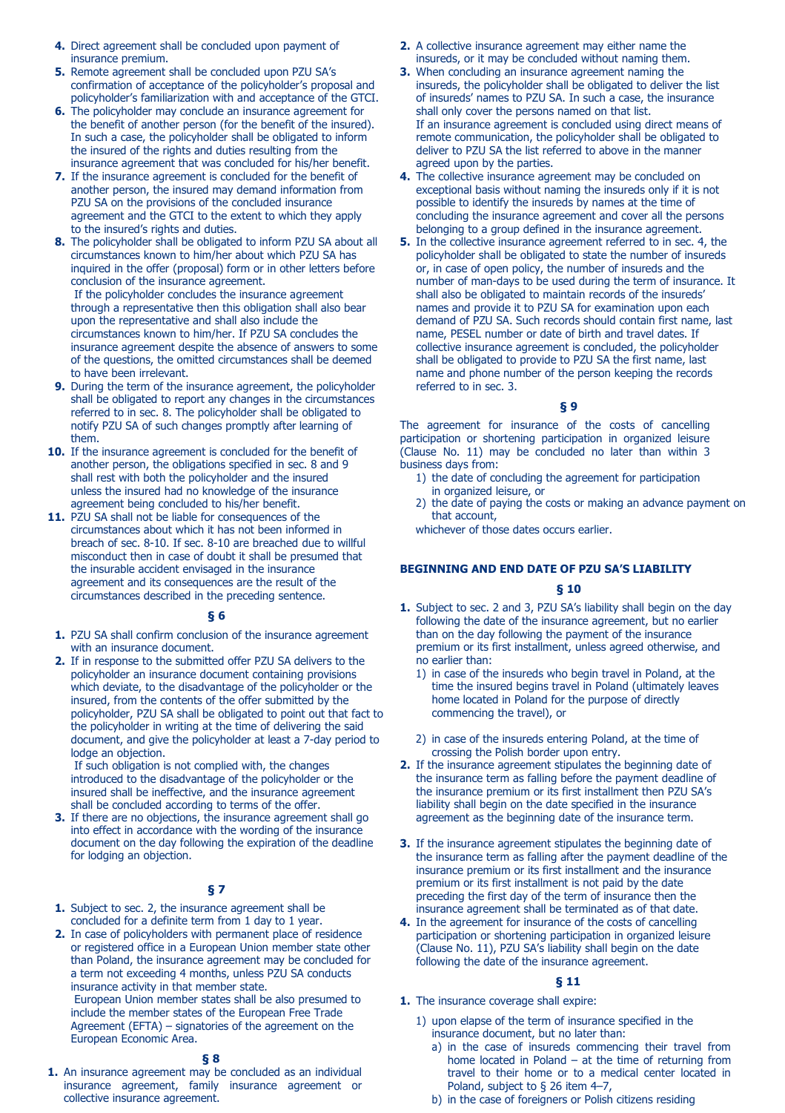- **4.** Direct agreement shall be concluded upon payment of insurance premium.
- **5.** Remote agreement shall be concluded upon PZU SA's confirmation of acceptance of the policyholder's proposal and policyholder's familiarization with and acceptance of the GTCI.
- **6.** The policyholder may conclude an insurance agreement for the benefit of another person (for the benefit of the insured). In such a case, the policyholder shall be obligated to inform the insured of the rights and duties resulting from the insurance agreement that was concluded for his/her benefit.
- **7.** If the insurance agreement is concluded for the benefit of another person, the insured may demand information from PZU SA on the provisions of the concluded insurance agreement and the GTCI to the extent to which they apply to the insured's rights and duties.
- **8.** The policyholder shall be obligated to inform PZU SA about all circumstances known to him/her about which PZU SA has inquired in the offer (proposal) form or in other letters before conclusion of the insurance agreement.

 If the policyholder concludes the insurance agreement through a representative then this obligation shall also bear upon the representative and shall also include the circumstances known to him/her. If PZU SA concludes the insurance agreement despite the absence of answers to some of the questions, the omitted circumstances shall be deemed to have been irrelevant.

- **9.** During the term of the insurance agreement, the policyholder shall be obligated to report any changes in the circumstances referred to in sec. 8. The policyholder shall be obligated to notify PZU SA of such changes promptly after learning of them.
- **10.** If the insurance agreement is concluded for the benefit of another person, the obligations specified in sec. 8 and 9 shall rest with both the policyholder and the insured unless the insured had no knowledge of the insurance agreement being concluded to his/her benefit.
- **11.** PZU SA shall not be liable for consequences of the circumstances about which it has not been informed in breach of sec. 8-10. If sec. 8-10 are breached due to willful misconduct then in case of doubt it shall be presumed that the insurable accident envisaged in the insurance agreement and its consequences are the result of the circumstances described in the preceding sentence.

#### **§ 6**

- **1.** PZU SA shall confirm conclusion of the insurance agreement with an insurance document.
- **2.** If in response to the submitted offer PZU SA delivers to the policyholder an insurance document containing provisions which deviate, to the disadvantage of the policyholder or the insured, from the contents of the offer submitted by the policyholder, PZU SA shall be obligated to point out that fact to the policyholder in writing at the time of delivering the said document, and give the policyholder at least a 7-day period to lodge an objection.

 If such obligation is not complied with, the changes introduced to the disadvantage of the policyholder or the insured shall be ineffective, and the insurance agreement shall be concluded according to terms of the offer.

**3.** If there are no objections, the insurance agreement shall go into effect in accordance with the wording of the insurance document on the day following the expiration of the deadline for lodging an objection.

### **§ 7**

- **1.** Subject to sec. 2, the insurance agreement shall be concluded for a definite term from 1 day to 1 year.
- **2.** In case of policyholders with permanent place of residence or registered office in a European Union member state other than Poland, the insurance agreement may be concluded for a term not exceeding 4 months, unless PZU SA conducts insurance activity in that member state.

 European Union member states shall be also presumed to include the member states of the European Free Trade Agreement (EFTA) – signatories of the agreement on the European Economic Area.

#### **§ 8**

**1.** An insurance agreement may be concluded as an individual insurance agreement, family insurance agreement or collective insurance agreement.

- **2.** A collective insurance agreement may either name the insureds, or it may be concluded without naming them.
- **3.** When concluding an insurance agreement naming the insureds, the policyholder shall be obligated to deliver the list of insureds' names to PZU SA. In such a case, the insurance shall only cover the persons named on that list. If an insurance agreement is concluded using direct means of remote communication, the policyholder shall be obligated to deliver to PZU SA the list referred to above in the manner agreed upon by the parties.
- **4.** The collective insurance agreement may be concluded on exceptional basis without naming the insureds only if it is not possible to identify the insureds by names at the time of concluding the insurance agreement and cover all the persons belonging to a group defined in the insurance agreement.
- **5.** In the collective insurance agreement referred to in sec. 4, the policyholder shall be obligated to state the number of insureds or, in case of open policy, the number of insureds and the number of man-days to be used during the term of insurance. It shall also be obligated to maintain records of the insureds' names and provide it to PZU SA for examination upon each demand of PZU SA. Such records should contain first name, last name, PESEL number or date of birth and travel dates. If collective insurance agreement is concluded, the policyholder shall be obligated to provide to PZU SA the first name, last name and phone number of the person keeping the records referred to in sec. 3.

### **§ 9**

The agreement for insurance of the costs of cancelling participation or shortening participation in organized leisure (Clause No. 11) may be concluded no later than within 3 business days from:

- 1) the date of concluding the agreement for participation in organized leisure, or
- 2) the date of paying the costs or making an advance payment on that account,

whichever of those dates occurs earlier.

# **BEGINNING AND END DATE OF PZU SA'S LIABILITY**

## **§ 10**

- **1.** Subject to sec. 2 and 3, PZU SA's liability shall begin on the day following the date of the insurance agreement, but no earlier than on the day following the payment of the insurance premium or its first installment, unless agreed otherwise, and no earlier than:
	- 1) in case of the insureds who begin travel in Poland, at the time the insured begins travel in Poland (ultimately leaves home located in Poland for the purpose of directly commencing the travel), or
	- 2) in case of the insureds entering Poland, at the time of crossing the Polish border upon entry.
- **2.** If the insurance agreement stipulates the beginning date of the insurance term as falling before the payment deadline of the insurance premium or its first installment then PZU SA's liability shall begin on the date specified in the insurance agreement as the beginning date of the insurance term.
- **3.** If the insurance agreement stipulates the beginning date of the insurance term as falling after the payment deadline of the insurance premium or its first installment and the insurance premium or its first installment is not paid by the date preceding the first day of the term of insurance then the insurance agreement shall be terminated as of that date.
- **4.** In the agreement for insurance of the costs of cancelling participation or shortening participation in organized leisure (Clause No. 11), PZU SA's liability shall begin on the date following the date of the insurance agreement.

- **1.** The insurance coverage shall expire:
	- 1) upon elapse of the term of insurance specified in the insurance document, but no later than:
		- a) in the case of insureds commencing their travel from home located in Poland – at the time of returning from travel to their home or to a medical center located in Poland, subject to § 26 item 4–7,
		- b) in the case of foreigners or Polish citizens residing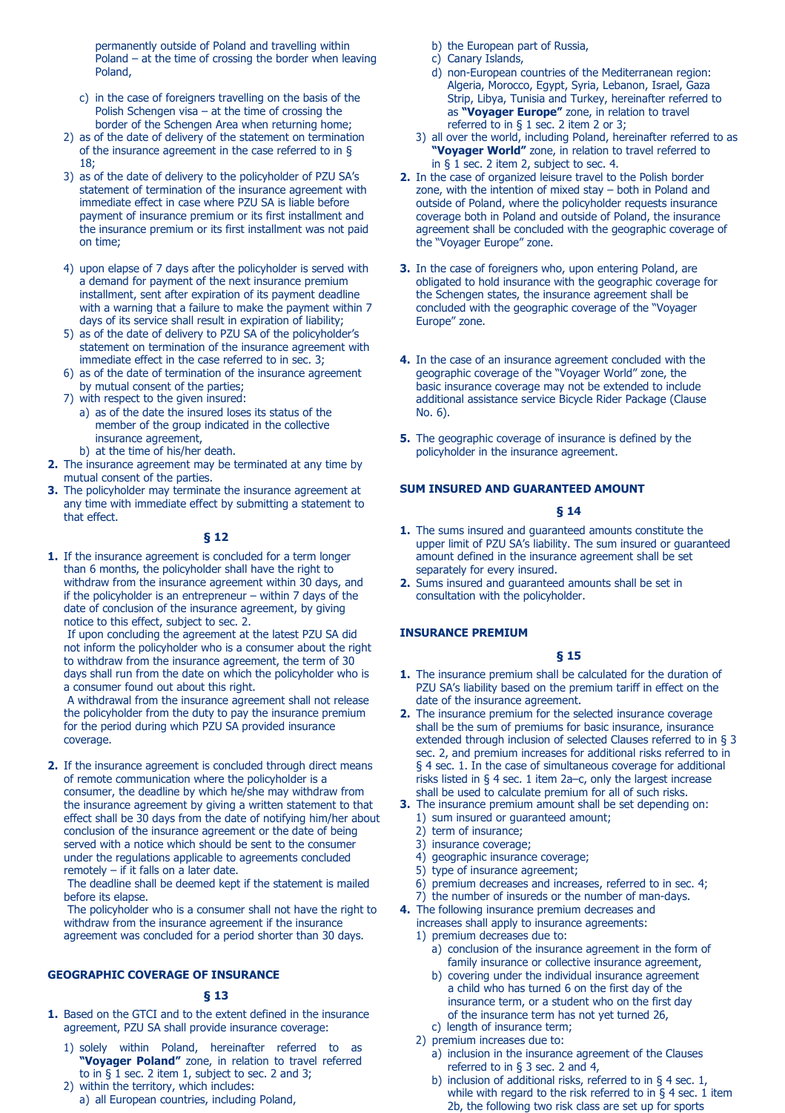permanently outside of Poland and travelling within Poland – at the time of crossing the border when leaving Poland,

- c) in the case of foreigners travelling on the basis of the Polish Schengen visa – at the time of crossing the border of the Schengen Area when returning home;
- 2) as of the date of delivery of the statement on termination of the insurance agreement in the case referred to in § 18;
- 3) as of the date of delivery to the policyholder of PZU SA's statement of termination of the insurance agreement with immediate effect in case where PZU SA is liable before payment of insurance premium or its first installment and the insurance premium or its first installment was not paid on time;
- 4) upon elapse of 7 days after the policyholder is served with a demand for payment of the next insurance premium installment, sent after expiration of its payment deadline with a warning that a failure to make the payment within 7 days of its service shall result in expiration of liability;
- 5) as of the date of delivery to PZU SA of the policyholder's statement on termination of the insurance agreement with immediate effect in the case referred to in sec. 3;
- 6) as of the date of termination of the insurance agreement by mutual consent of the parties;
- 7) with respect to the given insured:
	- a) as of the date the insured loses its status of the member of the group indicated in the collective insurance agreement,
	- b) at the time of his/her death.
- **2.** The insurance agreement may be terminated at any time by mutual consent of the parties.
- **3.** The policyholder may terminate the insurance agreement at any time with immediate effect by submitting a statement to that effect.

## **§ 12**

**1.** If the insurance agreement is concluded for a term longer than 6 months, the policyholder shall have the right to withdraw from the insurance agreement within 30 days, and if the policyholder is an entrepreneur – within 7 days of the date of conclusion of the insurance agreement, by giving notice to this effect, subject to sec. 2.

 If upon concluding the agreement at the latest PZU SA did not inform the policyholder who is a consumer about the right to withdraw from the insurance agreement, the term of 30 days shall run from the date on which the policyholder who is a consumer found out about this right.

 A withdrawal from the insurance agreement shall not release the policyholder from the duty to pay the insurance premium for the period during which PZU SA provided insurance coverage.

**2.** If the insurance agreement is concluded through direct means of remote communication where the policyholder is a consumer, the deadline by which he/she may withdraw from the insurance agreement by giving a written statement to that effect shall be 30 days from the date of notifying him/her about conclusion of the insurance agreement or the date of being served with a notice which should be sent to the consumer under the regulations applicable to agreements concluded remotely – if it falls on a later date.

 The deadline shall be deemed kept if the statement is mailed before its elapse.

 The policyholder who is a consumer shall not have the right to withdraw from the insurance agreement if the insurance agreement was concluded for a period shorter than 30 days.

### **GEOGRAPHIC COVERAGE OF INSURANCE**

#### **§ 13**

- **1.** Based on the GTCI and to the extent defined in the insurance agreement, PZU SA shall provide insurance coverage:
	- 1) solely within Poland, hereinafter referred to as **"Voyager Poland"** zone, in relation to travel referred to in § 1 sec. 2 item 1, subject to sec. 2 and 3;
	- 2) within the territory, which includes: a) all European countries, including Poland,
- b) the European part of Russia,
- c) Canary Islands,
- d) non-European countries of the Mediterranean region: Algeria, Morocco, Egypt, Syria, Lebanon, Israel, Gaza Strip, Libya, Tunisia and Turkey, hereinafter referred to as **"Voyager Europe"** zone, in relation to travel referred to in § 1 sec. 2 item 2 or 3;
- 3) all over the world, including Poland, hereinafter referred to as **"Voyager World"** zone, in relation to travel referred to in § 1 sec. 2 item 2, subject to sec. 4.
- **2.** In the case of organized leisure travel to the Polish border zone, with the intention of mixed stay – both in Poland and outside of Poland, where the policyholder requests insurance coverage both in Poland and outside of Poland, the insurance agreement shall be concluded with the geographic coverage of the "Voyager Europe" zone.
- **3.** In the case of foreigners who, upon entering Poland, are obligated to hold insurance with the geographic coverage for the Schengen states, the insurance agreement shall be concluded with the geographic coverage of the "Voyager Europe" zone.
- **4.** In the case of an insurance agreement concluded with the geographic coverage of the "Voyager World" zone, the basic insurance coverage may not be extended to include additional assistance service Bicycle Rider Package (Clause No. 6).
- **5.** The geographic coverage of insurance is defined by the policyholder in the insurance agreement.

## **SUM INSURED AND GUARANTEED AMOUNT**

## **§ 14**

- **1.** The sums insured and guaranteed amounts constitute the upper limit of PZU SA's liability. The sum insured or guaranteed amount defined in the insurance agreement shall be set separately for every insured.
- **2.** Sums insured and guaranteed amounts shall be set in consultation with the policyholder.

### **INSURANCE PREMIUM**

- **1.** The insurance premium shall be calculated for the duration of PZU SA's liability based on the premium tariff in effect on the date of the insurance agreement.
- **2.** The insurance premium for the selected insurance coverage shall be the sum of premiums for basic insurance, insurance extended through inclusion of selected Clauses referred to in § 3 sec. 2, and premium increases for additional risks referred to in § 4 sec. 1. In the case of simultaneous coverage for additional risks listed in § 4 sec. 1 item 2a–c, only the largest increase shall be used to calculate premium for all of such risks.
- **3.** The insurance premium amount shall be set depending on:
	- 1) sum insured or guaranteed amount;
	- 2) term of insurance;
	- 3) insurance coverage;
	- 4) geographic insurance coverage;
	- 5) type of insurance agreement;
	- 6) premium decreases and increases, referred to in sec. 4;
- 7) the number of insureds or the number of man-days. **4.** The following insurance premium decreases and
	- increases shall apply to insurance agreements:
	- 1) premium decreases due to:
		- a) conclusion of the insurance agreement in the form of family insurance or collective insurance agreement,
		- b) covering under the individual insurance agreement a child who has turned 6 on the first day of the insurance term, or a student who on the first day of the insurance term has not yet turned 26,
	- c) length of insurance term; 2) premium increases due to:
		- a) inclusion in the insurance agreement of the Clauses referred to in § 3 sec. 2 and 4,
		- b) inclusion of additional risks, referred to in § 4 sec. 1, while with regard to the risk referred to in  $\S$  4 sec. 1 item 2b, the following two risk class are set up for sports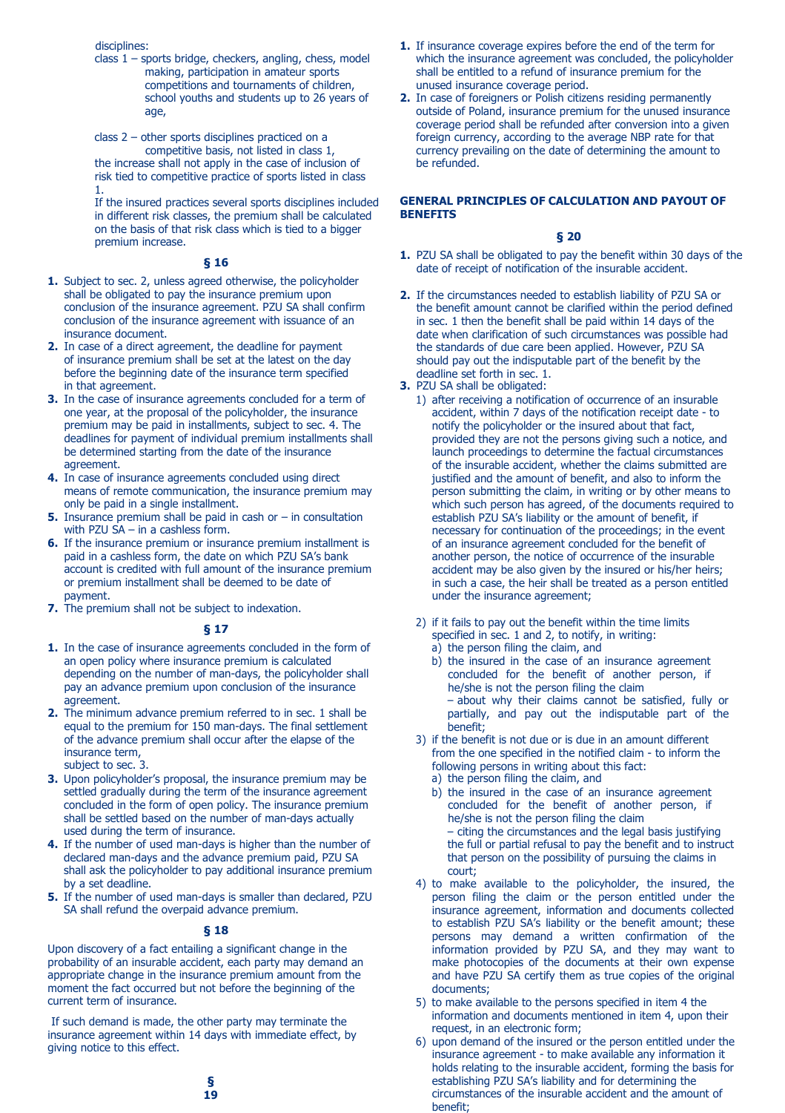disciplines:

class 1 – sports bridge, checkers, angling, chess, model making, participation in amateur sports competitions and tournaments of children, school youths and students up to 26 years of age,

class 2 – other sports disciplines practiced on a competitive basis, not listed in class 1, the increase shall not apply in the case of inclusion of risk tied to competitive practice of sports listed in class 1.

If the insured practices several sports disciplines included in different risk classes, the premium shall be calculated on the basis of that risk class which is tied to a bigger premium increase.

#### **§ 16**

- **1.** Subject to sec. 2, unless agreed otherwise, the policyholder shall be obligated to pay the insurance premium upon conclusion of the insurance agreement. PZU SA shall confirm conclusion of the insurance agreement with issuance of an insurance document.
- **2.** In case of a direct agreement, the deadline for payment of insurance premium shall be set at the latest on the day before the beginning date of the insurance term specified in that agreement.
- **3.** In the case of insurance agreements concluded for a term of one year, at the proposal of the policyholder, the insurance premium may be paid in installments, subject to sec. 4. The deadlines for payment of individual premium installments shall be determined starting from the date of the insurance agreement.
- **4.** In case of insurance agreements concluded using direct means of remote communication, the insurance premium may only be paid in a single installment.
- **5.** Insurance premium shall be paid in cash or in consultation with PZU SA – in a cashless form.
- **6.** If the insurance premium or insurance premium installment is paid in a cashless form, the date on which PZU SA's bank account is credited with full amount of the insurance premium or premium installment shall be deemed to be date of payment.
- **7.** The premium shall not be subject to indexation.

## **§ 17**

- **1.** In the case of insurance agreements concluded in the form of an open policy where insurance premium is calculated depending on the number of man-days, the policyholder shall pay an advance premium upon conclusion of the insurance agreement.
- **2.** The minimum advance premium referred to in sec. 1 shall be equal to the premium for 150 man-days. The final settlement of the advance premium shall occur after the elapse of the insurance term, subject to sec. 3.
- **3.** Upon policyholder's proposal, the insurance premium may be settled gradually during the term of the insurance agreement concluded in the form of open policy. The insurance premium shall be settled based on the number of man-days actually used during the term of insurance.
- **4.** If the number of used man-days is higher than the number of declared man-days and the advance premium paid, PZU SA shall ask the policyholder to pay additional insurance premium by a set deadline.
- **5.** If the number of used man-days is smaller than declared, PZU SA shall refund the overpaid advance premium.

#### **§ 18**

Upon discovery of a fact entailing a significant change in the probability of an insurable accident, each party may demand an appropriate change in the insurance premium amount from the moment the fact occurred but not before the beginning of the current term of insurance.

 If such demand is made, the other party may terminate the insurance agreement within 14 days with immediate effect, by giving notice to this effect.

> **§ 19**

- **1.** If insurance coverage expires before the end of the term for which the insurance agreement was concluded, the policyholder shall be entitled to a refund of insurance premium for the unused insurance coverage period.
- **2.** In case of foreigners or Polish citizens residing permanently outside of Poland, insurance premium for the unused insurance coverage period shall be refunded after conversion into a given foreign currency, according to the average NBP rate for that currency prevailing on the date of determining the amount to be refunded.

## **GENERAL PRINCIPLES OF CALCULATION AND PAYOUT OF BENEFITS**

- **1.** PZU SA shall be obligated to pay the benefit within 30 days of the date of receipt of notification of the insurable accident.
- **2.** If the circumstances needed to establish liability of PZU SA or the benefit amount cannot be clarified within the period defined in sec. 1 then the benefit shall be paid within 14 days of the date when clarification of such circumstances was possible had the standards of due care been applied. However, PZU SA should pay out the indisputable part of the benefit by the deadline set forth in sec. 1.
- **3.** PZU SA shall be obligated:
	- 1) after receiving a notification of occurrence of an insurable accident, within 7 days of the notification receipt date - to notify the policyholder or the insured about that fact, provided they are not the persons giving such a notice, and launch proceedings to determine the factual circumstances of the insurable accident, whether the claims submitted are justified and the amount of benefit, and also to inform the person submitting the claim, in writing or by other means to which such person has agreed, of the documents required to establish PZU SA's liability or the amount of benefit, if necessary for continuation of the proceedings; in the event of an insurance agreement concluded for the benefit of another person, the notice of occurrence of the insurable accident may be also given by the insured or his/her heirs; in such a case, the heir shall be treated as a person entitled under the insurance agreement;
	- 2) if it fails to pay out the benefit within the time limits specified in sec. 1 and 2, to notify, in writing:
		- a) the person filing the claim, and
		- b) the insured in the case of an insurance agreement concluded for the benefit of another person, if he/she is not the person filing the claim – about why their claims cannot be satisfied, fully or partially, and pay out the indisputable part of the benefit;
	- 3) if the benefit is not due or is due in an amount different from the one specified in the notified claim - to inform the following persons in writing about this fact: a) the person filing the claim, and
		- b) the insured in the case of an insurance agreement concluded for the benefit of another person, if he/she is not the person filing the claim – citing the circumstances and the legal basis justifying the full or partial refusal to pay the benefit and to instruct that person on the possibility of pursuing the claims in court;
	- 4) to make available to the policyholder, the insured, the person filing the claim or the person entitled under the insurance agreement, information and documents collected to establish PZU SA's liability or the benefit amount; these persons may demand a written confirmation of the information provided by PZU SA, and they may want to make photocopies of the documents at their own expense and have PZU SA certify them as true copies of the original documents;
	- 5) to make available to the persons specified in item 4 the information and documents mentioned in item 4, upon their request, in an electronic form;
	- 6) upon demand of the insured or the person entitled under the insurance agreement - to make available any information it holds relating to the insurable accident, forming the basis for establishing PZU SA's liability and for determining the circumstances of the insurable accident and the amount of benefit;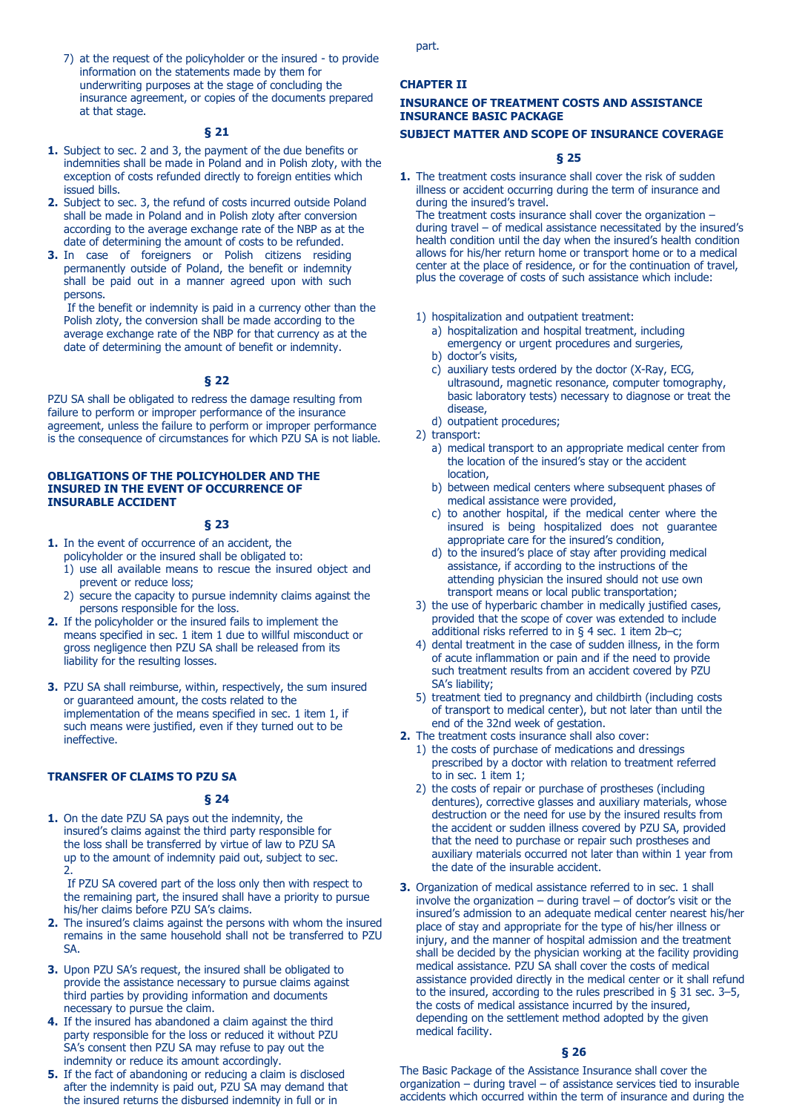part.

7) at the request of the policyholder or the insured - to provide information on the statements made by them for underwriting purposes at the stage of concluding the insurance agreement, or copies of the documents prepared at that stage.

#### **§ 21**

- **1.** Subject to sec. 2 and 3, the payment of the due benefits or indemnities shall be made in Poland and in Polish zloty, with the exception of costs refunded directly to foreign entities which issued bills.
- **2.** Subject to sec. 3, the refund of costs incurred outside Poland shall be made in Poland and in Polish zloty after conversion according to the average exchange rate of the NBP as at the date of determining the amount of costs to be refunded.
- **3.** In case of foreigners or Polish citizens residing permanently outside of Poland, the benefit or indemnity shall be paid out in a manner agreed upon with such persons.

 If the benefit or indemnity is paid in a currency other than the Polish zloty, the conversion shall be made according to the average exchange rate of the NBP for that currency as at the date of determining the amount of benefit or indemnity.

## **§ 22**

PZU SA shall be obligated to redress the damage resulting from failure to perform or improper performance of the insurance agreement, unless the failure to perform or improper performance is the consequence of circumstances for which PZU SA is not liable.

#### **OBLIGATIONS OF THE POLICYHOLDER AND THE INSURED IN THE EVENT OF OCCURRENCE OF INSURABLE ACCIDENT**

#### **§ 23**

- **1.** In the event of occurrence of an accident, the policyholder or the insured shall be obligated to:
	- 1) use all available means to rescue the insured object and prevent or reduce loss;
	- 2) secure the capacity to pursue indemnity claims against the persons responsible for the loss.
- **2.** If the policyholder or the insured fails to implement the means specified in sec. 1 item 1 due to willful misconduct or gross negligence then PZU SA shall be released from its liability for the resulting losses.
- **3.** PZU SA shall reimburse, within, respectively, the sum insured or guaranteed amount, the costs related to the implementation of the means specified in sec. 1 item 1, if such means were justified, even if they turned out to be ineffective.

# **TRANSFER OF CLAIMS TO PZU SA**

#### **§ 24**

**1.** On the date PZU SA pays out the indemnity, the insured's claims against the third party responsible for the loss shall be transferred by virtue of law to PZU SA up to the amount of indemnity paid out, subject to sec.  $\mathcal{L}$ 

 If PZU SA covered part of the loss only then with respect to the remaining part, the insured shall have a priority to pursue his/her claims before PZU SA's claims.

- **2.** The insured's claims against the persons with whom the insured remains in the same household shall not be transferred to PZU  $S_A$
- **3.** Upon PZU SA's request, the insured shall be obligated to provide the assistance necessary to pursue claims against third parties by providing information and documents necessary to pursue the claim.
- **4.** If the insured has abandoned a claim against the third party responsible for the loss or reduced it without PZU SA's consent then PZU SA may refuse to pay out the indemnity or reduce its amount accordingly.
- **5.** If the fact of abandoning or reducing a claim is disclosed after the indemnity is paid out, PZU SA may demand that the insured returns the disbursed indemnity in full or in

## **CHAPTER II**

#### **INSURANCE OF TREATMENT COSTS AND ASSISTANCE INSURANCE BASIC PACKAGE**

# **SUBJECT MATTER AND SCOPE OF INSURANCE COVERAGE**

#### **§ 25**

**1.** The treatment costs insurance shall cover the risk of sudden illness or accident occurring during the term of insurance and during the insured's travel.

The treatment costs insurance shall cover the organization – during travel – of medical assistance necessitated by the insured's health condition until the day when the insured's health condition allows for his/her return home or transport home or to a medical center at the place of residence, or for the continuation of travel, plus the coverage of costs of such assistance which include:

- 1) hospitalization and outpatient treatment:
	- a) hospitalization and hospital treatment, including emergency or urgent procedures and surgeries,
	- b) doctor's visits,
	- c) auxiliary tests ordered by the doctor (X-Ray, ECG, ultrasound, magnetic resonance, computer tomography, basic laboratory tests) necessary to diagnose or treat the disease,
	- d) outpatient procedures;
- 2) transport:
	- a) medical transport to an appropriate medical center from the location of the insured's stay or the accident location,
	- b) between medical centers where subsequent phases of medical assistance were provided,
	- c) to another hospital, if the medical center where the insured is being hospitalized does not guarantee appropriate care for the insured's condition,
	- d) to the insured's place of stay after providing medical assistance, if according to the instructions of the attending physician the insured should not use own transport means or local public transportation;
- 3) the use of hyperbaric chamber in medically justified cases, provided that the scope of cover was extended to include additional risks referred to in § 4 sec. 1 item 2b–c;
- 4) dental treatment in the case of sudden illness, in the form of acute inflammation or pain and if the need to provide such treatment results from an accident covered by PZU SA's liability;
- 5) treatment tied to pregnancy and childbirth (including costs of transport to medical center), but not later than until the end of the 32nd week of gestation.
- **2.** The treatment costs insurance shall also cover:
	- 1) the costs of purchase of medications and dressings prescribed by a doctor with relation to treatment referred to in sec. 1 item 1;
	- 2) the costs of repair or purchase of prostheses (including dentures), corrective glasses and auxiliary materials, whose destruction or the need for use by the insured results from the accident or sudden illness covered by PZU SA, provided that the need to purchase or repair such prostheses and auxiliary materials occurred not later than within 1 year from the date of the insurable accident.
- **3.** Organization of medical assistance referred to in sec. 1 shall involve the organization – during travel – of doctor's visit or the insured's admission to an adequate medical center nearest his/her place of stay and appropriate for the type of his/her illness or injury, and the manner of hospital admission and the treatment shall be decided by the physician working at the facility providing medical assistance. PZU SA shall cover the costs of medical assistance provided directly in the medical center or it shall refund to the insured, according to the rules prescribed in § 31 sec. 3–5, the costs of medical assistance incurred by the insured, depending on the settlement method adopted by the given medical facility.

#### **§ 26**

The Basic Package of the Assistance Insurance shall cover the organization – during travel – of assistance services tied to insurable accidents which occurred within the term of insurance and during the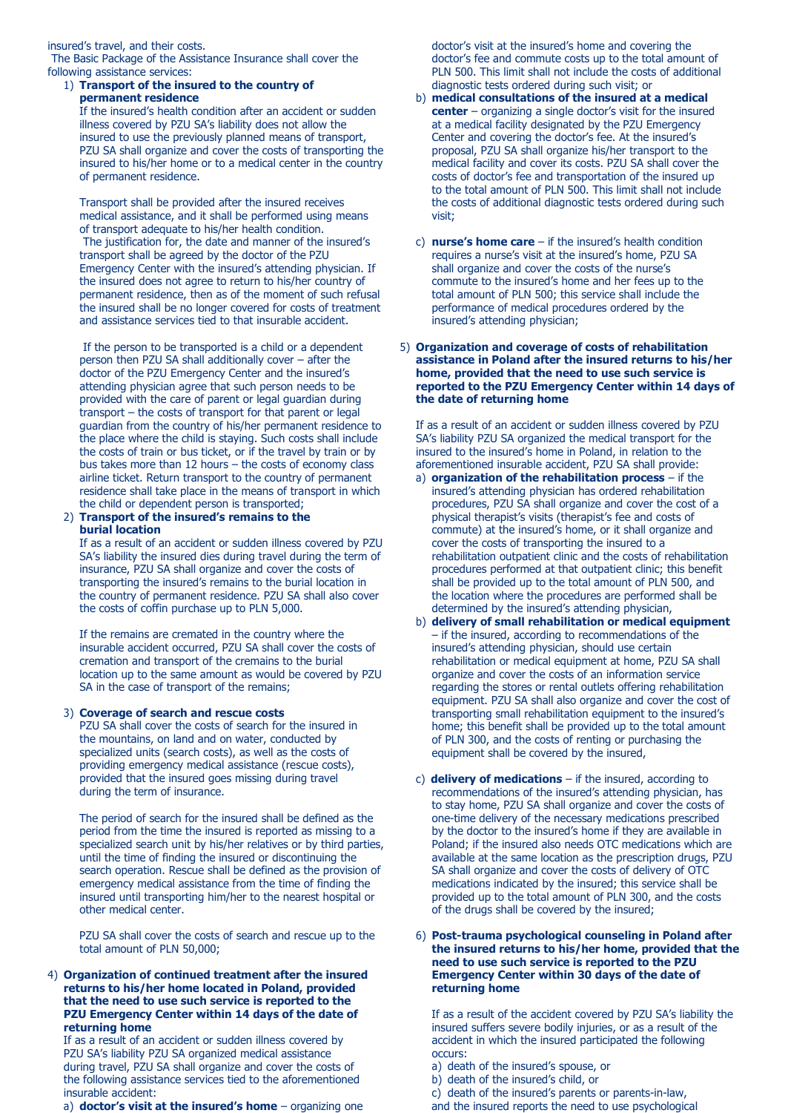## insured's travel, and their costs.

 The Basic Package of the Assistance Insurance shall cover the following assistance services:

#### 1) **Transport of the insured to the country of permanent residence**

If the insured's health condition after an accident or sudden illness covered by PZU SA's liability does not allow the insured to use the previously planned means of transport, PZU SA shall organize and cover the costs of transporting the insured to his/her home or to a medical center in the country of permanent residence.

Transport shall be provided after the insured receives medical assistance, and it shall be performed using means of transport adequate to his/her health condition.

 The justification for, the date and manner of the insured's transport shall be agreed by the doctor of the PZU Emergency Center with the insured's attending physician. If the insured does not agree to return to his/her country of permanent residence, then as of the moment of such refusal the insured shall be no longer covered for costs of treatment and assistance services tied to that insurable accident.

 If the person to be transported is a child or a dependent person then PZU SA shall additionally cover – after the doctor of the PZU Emergency Center and the insured's attending physician agree that such person needs to be provided with the care of parent or legal guardian during transport – the costs of transport for that parent or legal guardian from the country of his/her permanent residence to the place where the child is staying. Such costs shall include the costs of train or bus ticket, or if the travel by train or by bus takes more than 12 hours – the costs of economy class airline ticket. Return transport to the country of permanent residence shall take place in the means of transport in which the child or dependent person is transported;

#### 2) **Transport of the insured's remains to the burial location**

If as a result of an accident or sudden illness covered by PZU SA's liability the insured dies during travel during the term of insurance, PZU SA shall organize and cover the costs of transporting the insured's remains to the burial location in the country of permanent residence. PZU SA shall also cover the costs of coffin purchase up to PLN 5,000.

If the remains are cremated in the country where the insurable accident occurred, PZU SA shall cover the costs of cremation and transport of the cremains to the burial location up to the same amount as would be covered by PZU SA in the case of transport of the remains;

#### 3) **Coverage of search and rescue costs**

PZU SA shall cover the costs of search for the insured in the mountains, on land and on water, conducted by specialized units (search costs), as well as the costs of providing emergency medical assistance (rescue costs), provided that the insured goes missing during travel during the term of insurance.

The period of search for the insured shall be defined as the period from the time the insured is reported as missing to a specialized search unit by his/her relatives or by third parties, until the time of finding the insured or discontinuing the search operation. Rescue shall be defined as the provision of emergency medical assistance from the time of finding the insured until transporting him/her to the nearest hospital or other medical center.

PZU SA shall cover the costs of search and rescue up to the total amount of PLN 50,000;

#### 4) **Organization of continued treatment after the insured returns to his/her home located in Poland, provided that the need to use such service is reported to the PZU Emergency Center within 14 days of the date of returning home**

If as a result of an accident or sudden illness covered by PZU SA's liability PZU SA organized medical assistance during travel, PZU SA shall organize and cover the costs of the following assistance services tied to the aforementioned insurable accident:

a) **doctor's visit at the insured's home** – organizing one

doctor's visit at the insured's home and covering the doctor's fee and commute costs up to the total amount of PLN 500. This limit shall not include the costs of additional diagnostic tests ordered during such visit; or

- b) **medical consultations of the insured at a medical center** – organizing a single doctor's visit for the insured at a medical facility designated by the PZU Emergency Center and covering the doctor's fee. At the insured's proposal, PZU SA shall organize his/her transport to the medical facility and cover its costs. PZU SA shall cover the costs of doctor's fee and transportation of the insured up to the total amount of PLN 500. This limit shall not include the costs of additional diagnostic tests ordered during such visit;
- c) **nurse's home care** if the insured's health condition requires a nurse's visit at the insured's home, PZU SA shall organize and cover the costs of the nurse's commute to the insured's home and her fees up to the total amount of PLN 500; this service shall include the performance of medical procedures ordered by the insured's attending physician;

#### 5) **Organization and coverage of costs of rehabilitation assistance in Poland after the insured returns to his/her home, provided that the need to use such service is reported to the PZU Emergency Center within 14 days of the date of returning home**

If as a result of an accident or sudden illness covered by PZU SA's liability PZU SA organized the medical transport for the insured to the insured's home in Poland, in relation to the aforementioned insurable accident, PZU SA shall provide:

- a) **organization of the rehabilitation process** if the insured's attending physician has ordered rehabilitation procedures, PZU SA shall organize and cover the cost of a physical therapist's visits (therapist's fee and costs of commute) at the insured's home, or it shall organize and cover the costs of transporting the insured to a rehabilitation outpatient clinic and the costs of rehabilitation procedures performed at that outpatient clinic; this benefit shall be provided up to the total amount of PLN 500, and the location where the procedures are performed shall be determined by the insured's attending physician,
- b) **delivery of small rehabilitation or medical equipment** – if the insured, according to recommendations of the insured's attending physician, should use certain rehabilitation or medical equipment at home, PZU SA shall organize and cover the costs of an information service regarding the stores or rental outlets offering rehabilitation equipment. PZU SA shall also organize and cover the cost of transporting small rehabilitation equipment to the insured's home; this benefit shall be provided up to the total amount of PLN 300, and the costs of renting or purchasing the equipment shall be covered by the insured,
- c) **delivery of medications** if the insured, according to recommendations of the insured's attending physician, has to stay home, PZU SA shall organize and cover the costs of one-time delivery of the necessary medications prescribed by the doctor to the insured's home if they are available in Poland; if the insured also needs OTC medications which are available at the same location as the prescription drugs, PZU SA shall organize and cover the costs of delivery of OTC medications indicated by the insured; this service shall be provided up to the total amount of PLN 300, and the costs of the drugs shall be covered by the insured;

#### 6) **Post-trauma psychological counseling in Poland after the insured returns to his/her home, provided that the need to use such service is reported to the PZU Emergency Center within 30 days of the date of returning home**

If as a result of the accident covered by PZU SA's liability the insured suffers severe bodily injuries, or as a result of the accident in which the insured participated the following occurs:

- a) death of the insured's spouse, or
- b) death of the insured's child, or
- c) death of the insured's parents or parents-in-law,
- and the insured reports the need to use psychological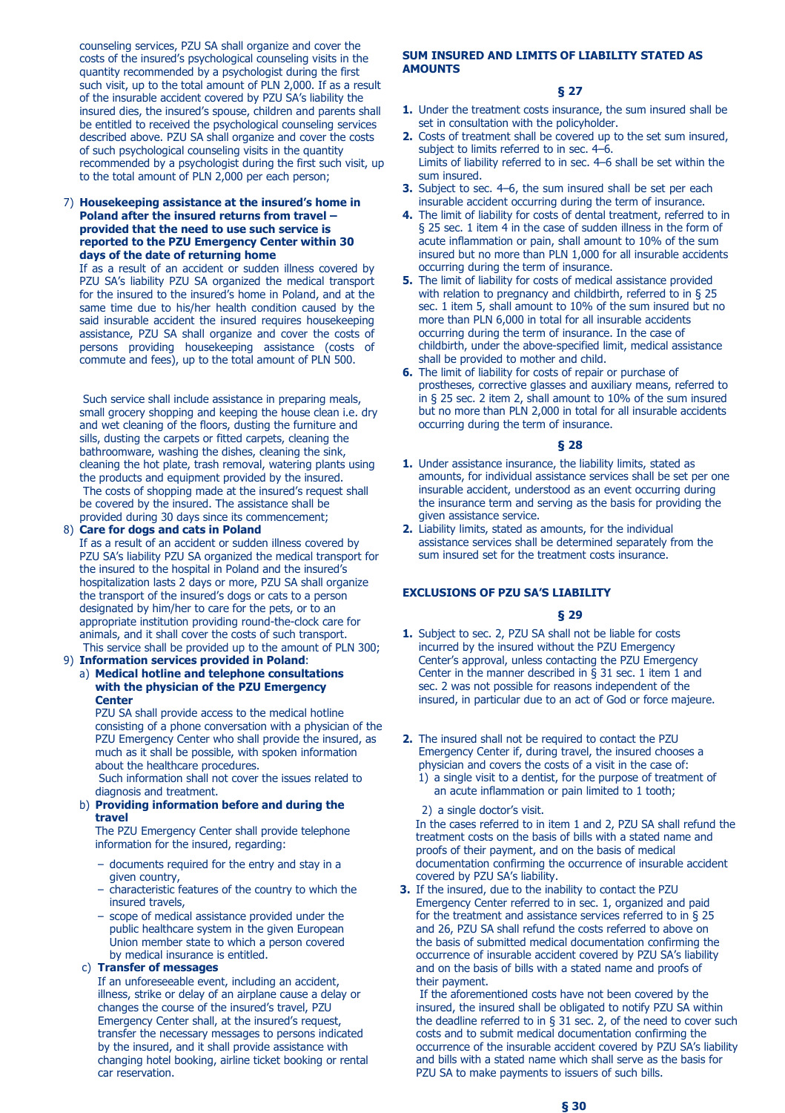counseling services, PZU SA shall organize and cover the costs of the insured's psychological counseling visits in the quantity recommended by a psychologist during the first such visit, up to the total amount of PLN 2,000. If as a result of the insurable accident covered by PZU SA's liability the insured dies, the insured's spouse, children and parents shall be entitled to received the psychological counseling services described above. PZU SA shall organize and cover the costs of such psychological counseling visits in the quantity recommended by a psychologist during the first such visit, up to the total amount of PLN 2,000 per each person;

#### 7) **Housekeeping assistance at the insured's home in Poland after the insured returns from travel – provided that the need to use such service is reported to the PZU Emergency Center within 30 days of the date of returning home**

If as a result of an accident or sudden illness covered by PZU SA's liability PZU SA organized the medical transport for the insured to the insured's home in Poland, and at the same time due to his/her health condition caused by the said insurable accident the insured requires housekeeping assistance, PZU SA shall organize and cover the costs of persons providing housekeeping assistance (costs of commute and fees), up to the total amount of PLN 500.

 Such service shall include assistance in preparing meals, small grocery shopping and keeping the house clean i.e. dry and wet cleaning of the floors, dusting the furniture and sills, dusting the carpets or fitted carpets, cleaning the bathroomware, washing the dishes, cleaning the sink, cleaning the hot plate, trash removal, watering plants using the products and equipment provided by the insured. The costs of shopping made at the insured's request shall be covered by the insured. The assistance shall be provided during 30 days since its commencement;

- 8) **Care for dogs and cats in Poland** If as a result of an accident or sudden illness covered by PZU SA's liability PZU SA organized the medical transport for the insured to the hospital in Poland and the insured's hospitalization lasts 2 days or more, PZU SA shall organize the transport of the insured's dogs or cats to a person designated by him/her to care for the pets, or to an appropriate institution providing round-the-clock care for animals, and it shall cover the costs of such transport. This service shall be provided up to the amount of PLN 300;
- 9) **Information services provided in Poland**:
	- a) **Medical hotline and telephone consultations with the physician of the PZU Emergency Center**

PZU SA shall provide access to the medical hotline consisting of a phone conversation with a physician of the PZU Emergency Center who shall provide the insured, as much as it shall be possible, with spoken information about the healthcare procedures. Such information shall not cover the issues related to

diagnosis and treatment.

b) **Providing information before and during the travel**

The PZU Emergency Center shall provide telephone information for the insured, regarding:

- documents required for the entry and stay in a given country,
- characteristic features of the country to which the insured travels,
- scope of medical assistance provided under the public healthcare system in the given European Union member state to which a person covered by medical insurance is entitled.

# c) **Transfer of messages**

If an unforeseeable event, including an accident, illness, strike or delay of an airplane cause a delay or changes the course of the insured's travel, PZU Emergency Center shall, at the insured's request, transfer the necessary messages to persons indicated by the insured, and it shall provide assistance with changing hotel booking, airline ticket booking or rental car reservation.

## **SUM INSURED AND LIMITS OF LIABILITY STATED AS AMOUNTS**

#### **§ 27**

- **1.** Under the treatment costs insurance, the sum insured shall be set in consultation with the policyholder.
- **2.** Costs of treatment shall be covered up to the set sum insured, subject to limits referred to in sec. 4–6. Limits of liability referred to in sec. 4–6 shall be set within the sum insured.
- **3.** Subject to sec. 4–6, the sum insured shall be set per each insurable accident occurring during the term of insurance.
- **4.** The limit of liability for costs of dental treatment, referred to in § 25 sec. 1 item 4 in the case of sudden illness in the form of acute inflammation or pain, shall amount to 10% of the sum insured but no more than PLN 1,000 for all insurable accidents occurring during the term of insurance.
- **5.** The limit of liability for costs of medical assistance provided with relation to pregnancy and childbirth, referred to in § 25 sec. 1 item 5, shall amount to 10% of the sum insured but no more than PLN 6,000 in total for all insurable accidents occurring during the term of insurance. In the case of childbirth, under the above-specified limit, medical assistance shall be provided to mother and child.
- **6.** The limit of liability for costs of repair or purchase of prostheses, corrective glasses and auxiliary means, referred to in § 25 sec. 2 item 2, shall amount to 10% of the sum insured but no more than PLN 2,000 in total for all insurable accidents occurring during the term of insurance.

## **§ 28**

- **1.** Under assistance insurance, the liability limits, stated as amounts, for individual assistance services shall be set per one insurable accident, understood as an event occurring during the insurance term and serving as the basis for providing the given assistance service.
- **2.** Liability limits, stated as amounts, for the individual assistance services shall be determined separately from the sum insured set for the treatment costs insurance.

## **EXCLUSIONS OF PZU SA'S LIABILITY**

#### **§ 29**

- **1.** Subject to sec. 2, PZU SA shall not be liable for costs incurred by the insured without the PZU Emergency Center's approval, unless contacting the PZU Emergency Center in the manner described in  $\frac{5}{9}$  31 sec. 1 item 1 and sec. 2 was not possible for reasons independent of the insured, in particular due to an act of God or force majeure.
- **2.** The insured shall not be required to contact the PZU Emergency Center if, during travel, the insured chooses a physician and covers the costs of a visit in the case of:
	- 1) a single visit to a dentist, for the purpose of treatment of an acute inflammation or pain limited to 1 tooth;

2) a single doctor's visit.

In the cases referred to in item 1 and 2, PZU SA shall refund the treatment costs on the basis of bills with a stated name and proofs of their payment, and on the basis of medical documentation confirming the occurrence of insurable accident covered by PZU SA's liability.

**3.** If the insured, due to the inability to contact the PZU Emergency Center referred to in sec. 1, organized and paid for the treatment and assistance services referred to in § 25 and 26, PZU SA shall refund the costs referred to above on the basis of submitted medical documentation confirming the occurrence of insurable accident covered by PZU SA's liability and on the basis of bills with a stated name and proofs of their payment.

 If the aforementioned costs have not been covered by the insured, the insured shall be obligated to notify PZU SA within the deadline referred to in § 31 sec. 2, of the need to cover such costs and to submit medical documentation confirming the occurrence of the insurable accident covered by PZU SA's liability and bills with a stated name which shall serve as the basis for PZU SA to make payments to issuers of such bills.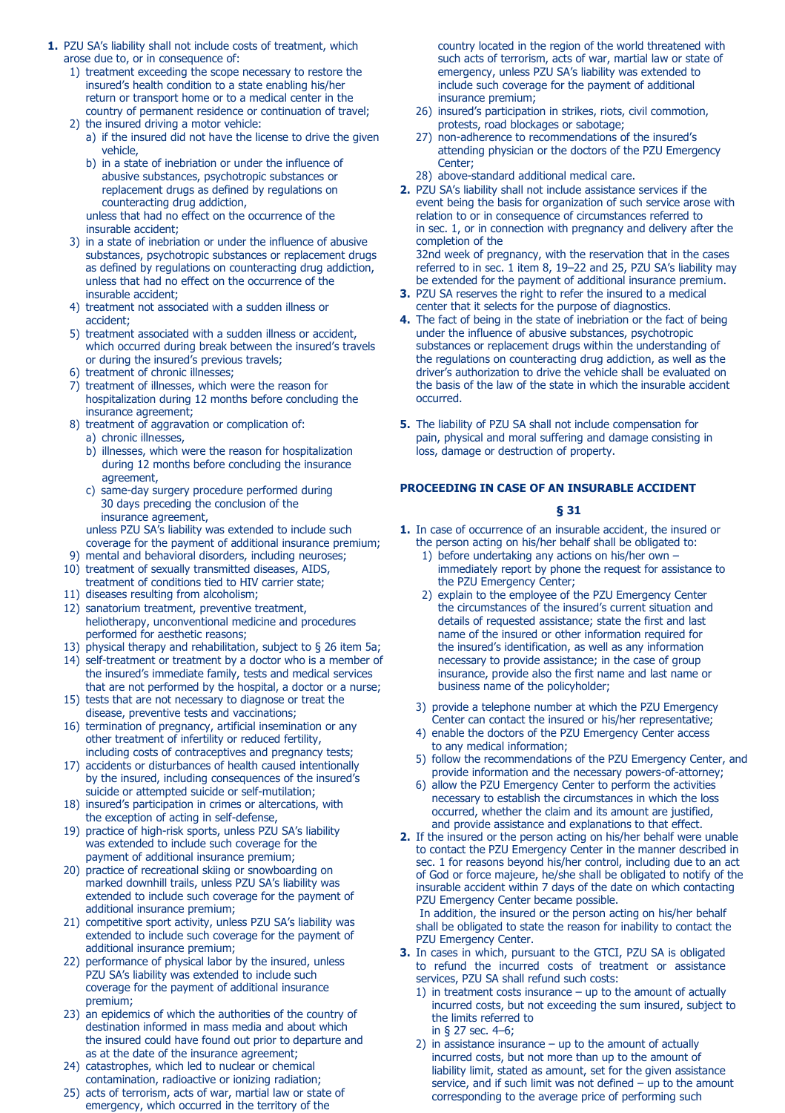- **1.** PZU SA's liability shall not include costs of treatment, which arose due to, or in consequence of:
	- 1) treatment exceeding the scope necessary to restore the insured's health condition to a state enabling his/her return or transport home or to a medical center in the country of permanent residence or continuation of travel;
	- 2) the insured driving a motor vehicle:
		- a) if the insured did not have the license to drive the given vehicle,
		- b) in a state of inebriation or under the influence of abusive substances, psychotropic substances or replacement drugs as defined by regulations on counteracting drug addiction, unless that had no effect on the occurrence of the
	- insurable accident; 3) in a state of inebriation or under the influence of abusive substances, psychotropic substances or replacement drugs as defined by regulations on counteracting drug addiction, unless that had no effect on the occurrence of the insurable accident;
	- 4) treatment not associated with a sudden illness or accident;
	- 5) treatment associated with a sudden illness or accident, which occurred during break between the insured's travels or during the insured's previous travels;
	- 6) treatment of chronic illnesses;
	- 7) treatment of illnesses, which were the reason for hospitalization during 12 months before concluding the insurance agreement;
	- 8) treatment of aggravation or complication of: a) chronic illnesses,
		- b) illnesses, which were the reason for hospitalization during 12 months before concluding the insurance agreement,
		- c) same-day surgery procedure performed during 30 days preceding the conclusion of the insurance agreement,
		- unless PZU SA's liability was extended to include such coverage for the payment of additional insurance premium;
	- 9) mental and behavioral disorders, including neuroses; 10) treatment of sexually transmitted diseases, AIDS,
	- treatment of conditions tied to HIV carrier state; 11) diseases resulting from alcoholism;
	- 12) sanatorium treatment, preventive treatment, heliotherapy, unconventional medicine and procedures performed for aesthetic reasons;
	- 13) physical therapy and rehabilitation, subject to § 26 item 5a;
	- 14) self-treatment or treatment by a doctor who is a member of the insured's immediate family, tests and medical services that are not performed by the hospital, a doctor or a nurse;
	- 15) tests that are not necessary to diagnose or treat the disease, preventive tests and vaccinations;
	- 16) termination of pregnancy, artificial insemination or any other treatment of infertility or reduced fertility, including costs of contraceptives and pregnancy tests;
	- 17) accidents or disturbances of health caused intentionally by the insured, including consequences of the insured's suicide or attempted suicide or self-mutilation;
	- 18) insured's participation in crimes or altercations, with the exception of acting in self-defense,
	- 19) practice of high-risk sports, unless PZU SA's liability was extended to include such coverage for the payment of additional insurance premium;
	- 20) practice of recreational skiing or snowboarding on marked downhill trails, unless PZU SA's liability was extended to include such coverage for the payment of additional insurance premium;
	- 21) competitive sport activity, unless PZU SA's liability was extended to include such coverage for the payment of additional insurance premium;
	- 22) performance of physical labor by the insured, unless PZU SA's liability was extended to include such coverage for the payment of additional insurance premium;
	- 23) an epidemics of which the authorities of the country of destination informed in mass media and about which the insured could have found out prior to departure and as at the date of the insurance agreement;
	- 24) catastrophes, which led to nuclear or chemical contamination, radioactive or ionizing radiation;
	- 25) acts of terrorism, acts of war, martial law or state of emergency, which occurred in the territory of the

country located in the region of the world threatened with such acts of terrorism, acts of war, martial law or state of emergency, unless PZU SA's liability was extended to include such coverage for the payment of additional insurance premium;

- 26) insured's participation in strikes, riots, civil commotion, protests, road blockages or sabotage;
- 27) non-adherence to recommendations of the insured's attending physician or the doctors of the PZU Emergency Center;
- 28) above-standard additional medical care.
- **2.** PZU SA's liability shall not include assistance services if the event being the basis for organization of such service arose with relation to or in consequence of circumstances referred to in sec. 1, or in connection with pregnancy and delivery after the completion of the

32nd week of pregnancy, with the reservation that in the cases referred to in sec. 1 item 8, 19–22 and 25, PZU SA's liability may be extended for the payment of additional insurance premium.

- **3.** PZU SA reserves the right to refer the insured to a medical center that it selects for the purpose of diagnostics.
- **4.** The fact of being in the state of inebriation or the fact of being under the influence of abusive substances, psychotropic substances or replacement drugs within the understanding of the regulations on counteracting drug addiction, as well as the driver's authorization to drive the vehicle shall be evaluated on the basis of the law of the state in which the insurable accident occurred.
- **5.** The liability of PZU SA shall not include compensation for pain, physical and moral suffering and damage consisting in loss, damage or destruction of property.

# **PROCEEDING IN CASE OF AN INSURABLE ACCIDENT**

# **§ 31**

- **1.** In case of occurrence of an insurable accident, the insured or the person acting on his/her behalf shall be obligated to:
	- 1) before undertaking any actions on his/her own immediately report by phone the request for assistance to the PZU Emergency Center;
	- 2) explain to the employee of the PZU Emergency Center the circumstances of the insured's current situation and details of requested assistance; state the first and last name of the insured or other information required for the insured's identification, as well as any information necessary to provide assistance; in the case of group insurance, provide also the first name and last name or business name of the policyholder;
	- 3) provide a telephone number at which the PZU Emergency Center can contact the insured or his/her representative;
	- 4) enable the doctors of the PZU Emergency Center access to any medical information;
	- 5) follow the recommendations of the PZU Emergency Center, and provide information and the necessary powers-of-attorney;
	- 6) allow the PZU Emergency Center to perform the activities necessary to establish the circumstances in which the loss occurred, whether the claim and its amount are justified, and provide assistance and explanations to that effect.
- **2.** If the insured or the person acting on his/her behalf were unable to contact the PZU Emergency Center in the manner described in sec. 1 for reasons beyond his/her control, including due to an act of God or force majeure, he/she shall be obligated to notify of the insurable accident within 7 days of the date on which contacting PZU Emergency Center became possible.

 In addition, the insured or the person acting on his/her behalf shall be obligated to state the reason for inability to contact the PZU Emergency Center.

- **3.** In cases in which, pursuant to the GTCI, PZU SA is obligated to refund the incurred costs of treatment or assistance services, PZU SA shall refund such costs:
	- 1) in treatment costs insurance up to the amount of actually incurred costs, but not exceeding the sum insured, subject to the limits referred to in § 27 sec. 4–6;
	- 2) in assistance insurance up to the amount of actually incurred costs, but not more than up to the amount of liability limit, stated as amount, set for the given assistance service, and if such limit was not defined – up to the amount corresponding to the average price of performing such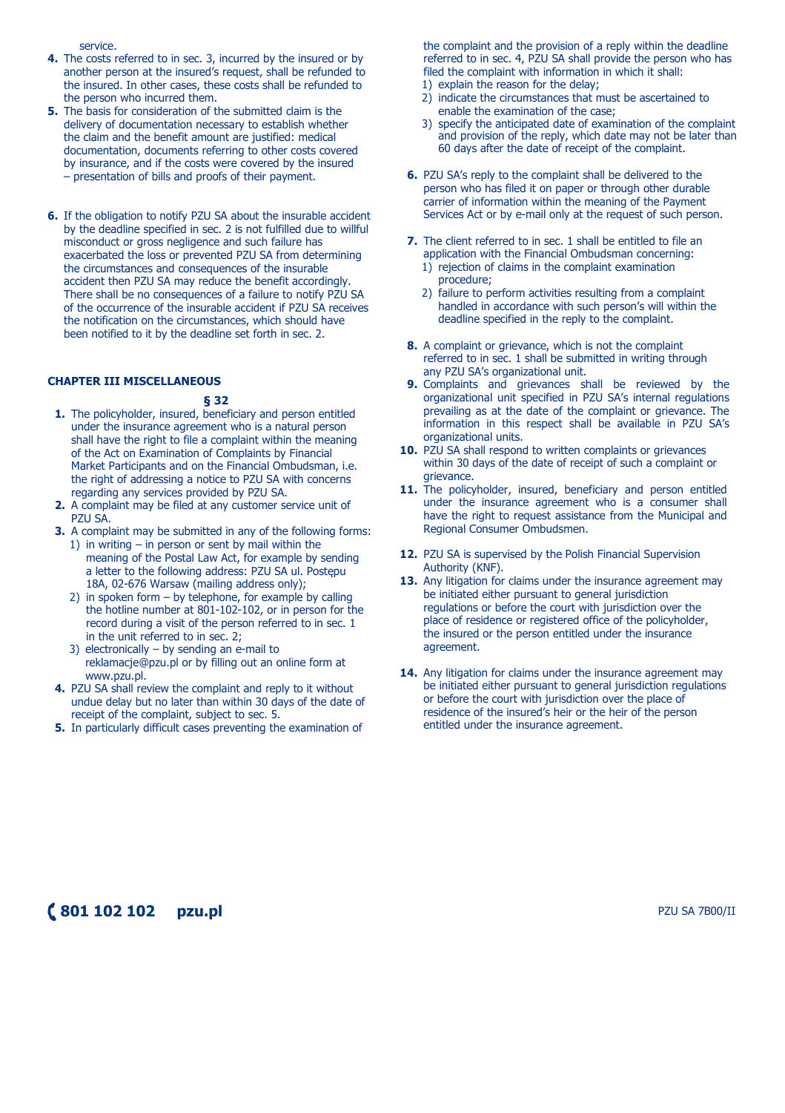service.

- **4.** The costs referred to in sec. 3, incurred by the insured or by another person at the insured's request, shall be refunded to the insured. In other cases, these costs shall be refunded to the person who incurred them.
- **5.** The basis for consideration of the submitted claim is the delivery of documentation necessary to establish whether the claim and the benefit amount are justified: medical documentation, documents referring to other costs covered by insurance, and if the costs were covered by the insured – presentation of bills and proofs of their payment.
- **6.** If the obligation to notify PZU SA about the insurable accident by the deadline specified in sec. 2 is not fulfilled due to willful misconduct or gross negligence and such failure has exacerbated the loss or prevented PZU SA from determining the circumstances and consequences of the insurable accident then PZU SA may reduce the benefit accordingly. There shall be no consequences of a failure to notify PZU SA of the occurrence of the insurable accident if PZU SA receives the notification on the circumstances, which should have been notified to it by the deadline set forth in sec. 2.

# **CHAPTER III MISCELLANEOUS**

#### **§ 32**

- **1.** The policyholder, insured, beneficiary and person entitled under the insurance agreement who is a natural person shall have the right to file a complaint within the meaning of the Act on Examination of Complaints by Financial Market Participants and on the Financial Ombudsman, i.e. the right of addressing a notice to PZU SA with concerns regarding any services provided by PZU SA.
- **2.** A complaint may be filed at any customer service unit of PZU SA.
- **3.** A complaint may be submitted in any of the following forms: 1) in writing – in person or sent by mail within the meaning of the Postal Law Act, for example by sending a letter to the following address: PZU SA ul. Postępu 18A, 02-676 Warsaw (mailing address only);
	- 2) in spoken form by telephone, for example by calling the hotline number at 801-102-102, or in person for the record during a visit of the person referred to in sec. 1 in the unit referred to in sec. 2;
	- 3) electronically by sending an e-mail to reklamacje@pzu.pl or by filling out an online form at www.pzu.pl.
- **4.** PZU SA shall review the complaint and reply to it without undue delay but no later than within 30 days of the date of receipt of the complaint, subject to sec. 5.
- **5.** In particularly difficult cases preventing the examination of

the complaint and the provision of a reply within the deadline referred to in sec. 4, PZU SA shall provide the person who has filed the complaint with information in which it shall:

- 1) explain the reason for the delay;
- 2) indicate the circumstances that must be ascertained to enable the examination of the case;
- 3) specify the anticipated date of examination of the complaint and provision of the reply, which date may not be later than 60 days after the date of receipt of the complaint.
- **6.** PZU SA's reply to the complaint shall be delivered to the person who has filed it on paper or through other durable carrier of information within the meaning of the Payment Services Act or by e-mail only at the request of such person.
- **7.** The client referred to in sec. 1 shall be entitled to file an application with the Financial Ombudsman concerning: 1) rejection of claims in the complaint examination procedure;
	- 2) failure to perform activities resulting from a complaint handled in accordance with such person's will within the deadline specified in the reply to the complaint.
- **8.** A complaint or grievance, which is not the complaint referred to in sec. 1 shall be submitted in writing through any PZU SA's organizational unit.
- **9.** Complaints and grievances shall be reviewed by the organizational unit specified in PZU SA's internal regulations prevailing as at the date of the complaint or grievance. The information in this respect shall be available in PZU SA's organizational units.
- **10.** PZU SA shall respond to written complaints or grievances within 30 days of the date of receipt of such a complaint or grievance.
- **11.** The policyholder, insured, beneficiary and person entitled under the insurance agreement who is a consumer shall have the right to request assistance from the Municipal and Regional Consumer Ombudsmen.
- **12.** PZU SA is supervised by the Polish Financial Supervision Authority (KNF).
- 13. Any litigation for claims under the insurance agreement may be initiated either pursuant to general jurisdiction regulations or before the court with jurisdiction over the place of residence or registered office of the policyholder, the insured or the person entitled under the insurance agreement.
- **14.** Any litigation for claims under the insurance agreement may be initiated either pursuant to general jurisdiction regulations or before the court with jurisdiction over the place of residence of the insured's heir or the heir of the person entitled under the insurance agreement.

# **6 801 102 102 pzu.pl PZU SA 7B00/II**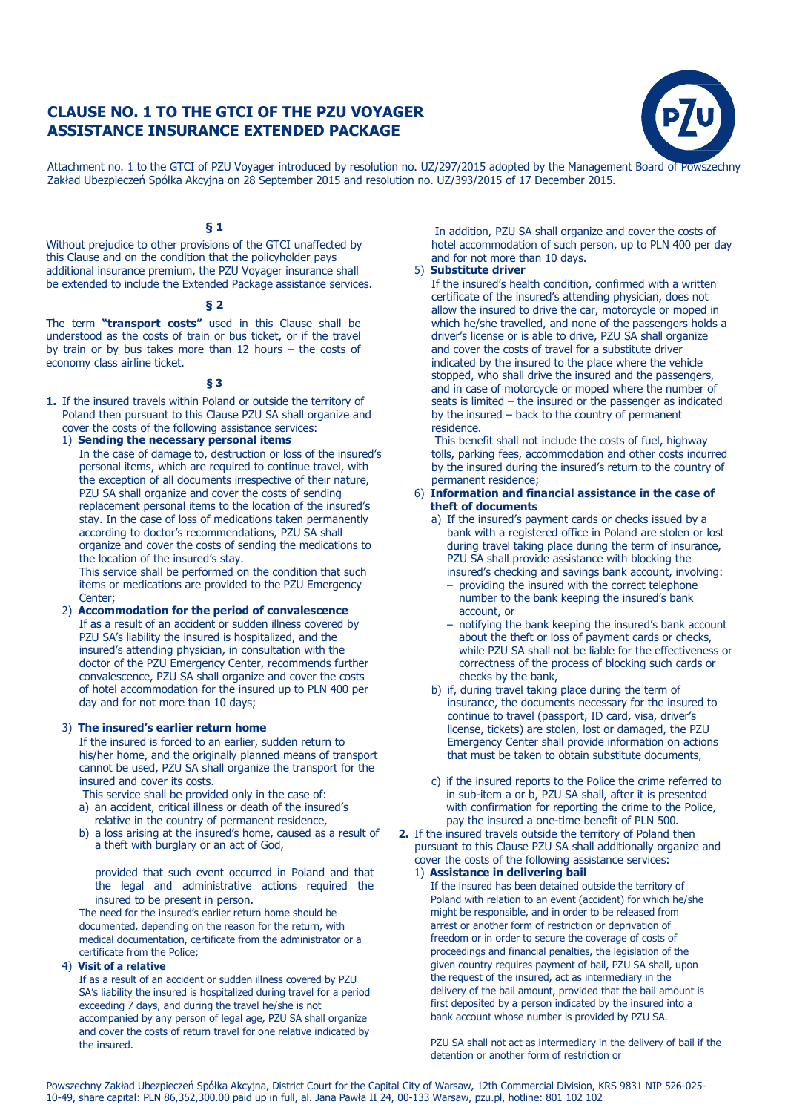# **CLAUSE NO. 1 TO THE GTCI OF THE PZU VOYAGER ASSISTANCE INSURANCE EXTENDED PACKAGE**



Attachment no. 1 to the GTCI of PZU Voyager introduced by resolution no. UZ/297/2015 adopted by the Management Board of Powszechny Zakład Ubezpieczeń Spółka Akcyjna on 28 September 2015 and resolution no. UZ/393/2015 of 17 December 2015.

## **§ 1**

Without prejudice to other provisions of the GTCI unaffected by this Clause and on the condition that the policyholder pays additional insurance premium, the PZU Voyager insurance shall be extended to include the Extended Package assistance services.

# **§ 2**

The term **"transport costs"** used in this Clause shall be understood as the costs of train or bus ticket, or if the travel by train or by bus takes more than 12 hours – the costs of economy class airline ticket.

## **§ 3**

**1.** If the insured travels within Poland or outside the territory of Poland then pursuant to this Clause PZU SA shall organize and cover the costs of the following assistance services:

1) **Sending the necessary personal items**

In the case of damage to, destruction or loss of the insured's personal items, which are required to continue travel, with the exception of all documents irrespective of their nature, PZU SA shall organize and cover the costs of sending replacement personal items to the location of the insured's stay. In the case of loss of medications taken permanently according to doctor's recommendations, PZU SA shall organize and cover the costs of sending the medications to the location of the insured's stay.

This service shall be performed on the condition that such items or medications are provided to the PZU Emergency Center;

2) **Accommodation for the period of convalescence** If as a result of an accident or sudden illness covered by PZU SA's liability the insured is hospitalized, and the insured's attending physician, in consultation with the doctor of the PZU Emergency Center, recommends further convalescence, PZU SA shall organize and cover the costs of hotel accommodation for the insured up to PLN 400 per day and for not more than 10 days;

#### 3) **The insured's earlier return home**

If the insured is forced to an earlier, sudden return to his/her home, and the originally planned means of transport cannot be used, PZU SA shall organize the transport for the insured and cover its costs.

- This service shall be provided only in the case of:
- a) an accident, critical illness or death of the insured's relative in the country of permanent residence,
- b) a loss arising at the insured's home, caused as a result of a theft with burglary or an act of God,

provided that such event occurred in Poland and that the legal and administrative actions required the insured to be present in person.

The need for the insured's earlier return home should be documented, depending on the reason for the return, with medical documentation, certificate from the administrator or a certificate from the Police;

# 4) **Visit of a relative**

If as a result of an accident or sudden illness covered by PZU SA's liability the insured is hospitalized during travel for a period exceeding 7 days, and during the travel he/she is not accompanied by any person of legal age, PZU SA shall organize and cover the costs of return travel for one relative indicated by the insured.

 In addition, PZU SA shall organize and cover the costs of hotel accommodation of such person, up to PLN 400 per day and for not more than 10 days.

#### 5) **Substitute driver**

If the insured's health condition, confirmed with a written certificate of the insured's attending physician, does not allow the insured to drive the car, motorcycle or moped in which he/she travelled, and none of the passengers holds a driver's license or is able to drive, PZU SA shall organize and cover the costs of travel for a substitute driver indicated by the insured to the place where the vehicle stopped, who shall drive the insured and the passengers, and in case of motorcycle or moped where the number of seats is limited – the insured or the passenger as indicated by the insured – back to the country of permanent residence.

 This benefit shall not include the costs of fuel, highway tolls, parking fees, accommodation and other costs incurred by the insured during the insured's return to the country of permanent residence;

- 6) **Information and financial assistance in the case of theft of documents**
	- a) If the insured's payment cards or checks issued by a bank with a registered office in Poland are stolen or lost during travel taking place during the term of insurance, PZU SA shall provide assistance with blocking the insured's checking and savings bank account, involving:
		- providing the insured with the correct telephone number to the bank keeping the insured's bank account, or
		- notifying the bank keeping the insured's bank account about the theft or loss of payment cards or checks, while PZU SA shall not be liable for the effectiveness or correctness of the process of blocking such cards or checks by the bank,
	- b) if, during travel taking place during the term of insurance, the documents necessary for the insured to continue to travel (passport, ID card, visa, driver's license, tickets) are stolen, lost or damaged, the PZU Emergency Center shall provide information on actions that must be taken to obtain substitute documents,
	- c) if the insured reports to the Police the crime referred to in sub-item a or b, PZU SA shall, after it is presented with confirmation for reporting the crime to the Police, pay the insured a one-time benefit of PLN 500.

**2.** If the insured travels outside the territory of Poland then pursuant to this Clause PZU SA shall additionally organize and cover the costs of the following assistance services:

# 1) **Assistance in delivering bail**

If the insured has been detained outside the territory of Poland with relation to an event (accident) for which he/she might be responsible, and in order to be released from arrest or another form of restriction or deprivation of freedom or in order to secure the coverage of costs of proceedings and financial penalties, the legislation of the given country requires payment of bail, PZU SA shall, upon the request of the insured, act as intermediary in the delivery of the bail amount, provided that the bail amount is first deposited by a person indicated by the insured into a bank account whose number is provided by PZU SA.

PZU SA shall not act as intermediary in the delivery of bail if the detention or another form of restriction or

Powszechny Zakład Ubezpieczeń Spółka Akcyjna, District Court for the Capital City of Warsaw, 12th Commercial Division, KRS 9831 NIP 526-025- 10-49, share capital: PLN 86,352,300.00 paid up in full, al. Jana Pawła II 24, 00-133 Warsaw, pzu.pl, hotline: 801 102 102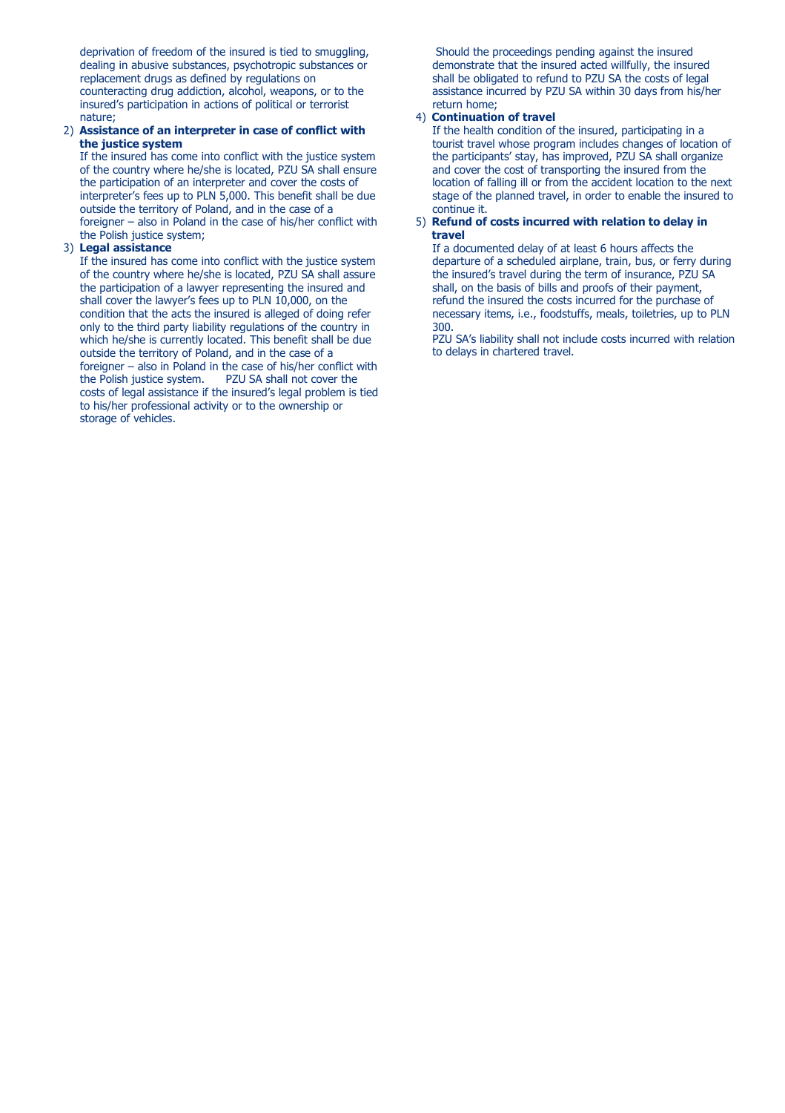deprivation of freedom of the insured is tied to smuggling, dealing in abusive substances, psychotropic substances or replacement drugs as defined by regulations on counteracting drug addiction, alcohol, weapons, or to the insured's participation in actions of political or terrorist nature;

#### 2) **Assistance of an interpreter in case of conflict with the justice system**

If the insured has come into conflict with the justice system of the country where he/she is located, PZU SA shall ensure the participation of an interpreter and cover the costs of interpreter's fees up to PLN 5,000. This benefit shall be due outside the territory of Poland, and in the case of a foreigner – also in Poland in the case of his/her conflict with the Polish justice system;

#### 3) **Legal assistance**

If the insured has come into conflict with the justice system of the country where he/she is located, PZU SA shall assure the participation of a lawyer representing the insured and shall cover the lawyer's fees up to PLN 10,000, on the condition that the acts the insured is alleged of doing refer only to the third party liability regulations of the country in which he/she is currently located. This benefit shall be due outside the territory of Poland, and in the case of a foreigner – also in Poland in the case of his/her conflict with<br>the Polish justice system. PZU SA shall not cover the the Polish justice system. costs of legal assistance if the insured's legal problem is tied to his/her professional activity or to the ownership or storage of vehicles.

 Should the proceedings pending against the insured demonstrate that the insured acted willfully, the insured shall be obligated to refund to PZU SA the costs of legal assistance incurred by PZU SA within 30 days from his/her return home;

## 4) **Continuation of travel**

If the health condition of the insured, participating in a tourist travel whose program includes changes of location of the participants' stay, has improved, PZU SA shall organize and cover the cost of transporting the insured from the location of falling ill or from the accident location to the next stage of the planned travel, in order to enable the insured to continue it.

#### 5) **Refund of costs incurred with relation to delay in travel**

If a documented delay of at least 6 hours affects the departure of a scheduled airplane, train, bus, or ferry during the insured's travel during the term of insurance, PZU SA shall, on the basis of bills and proofs of their payment, refund the insured the costs incurred for the purchase of necessary items, i.e., foodstuffs, meals, toiletries, up to PLN 300.

PZU SA's liability shall not include costs incurred with relation to delays in chartered travel.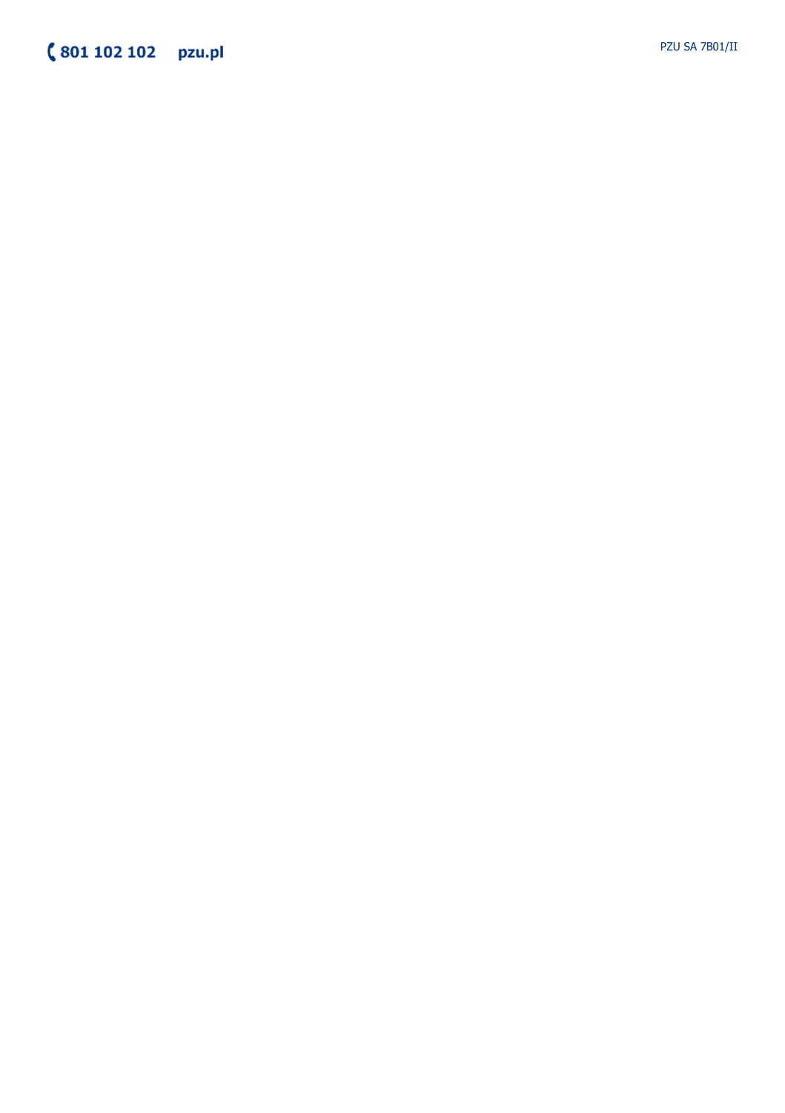(801 102 102 pzu.pl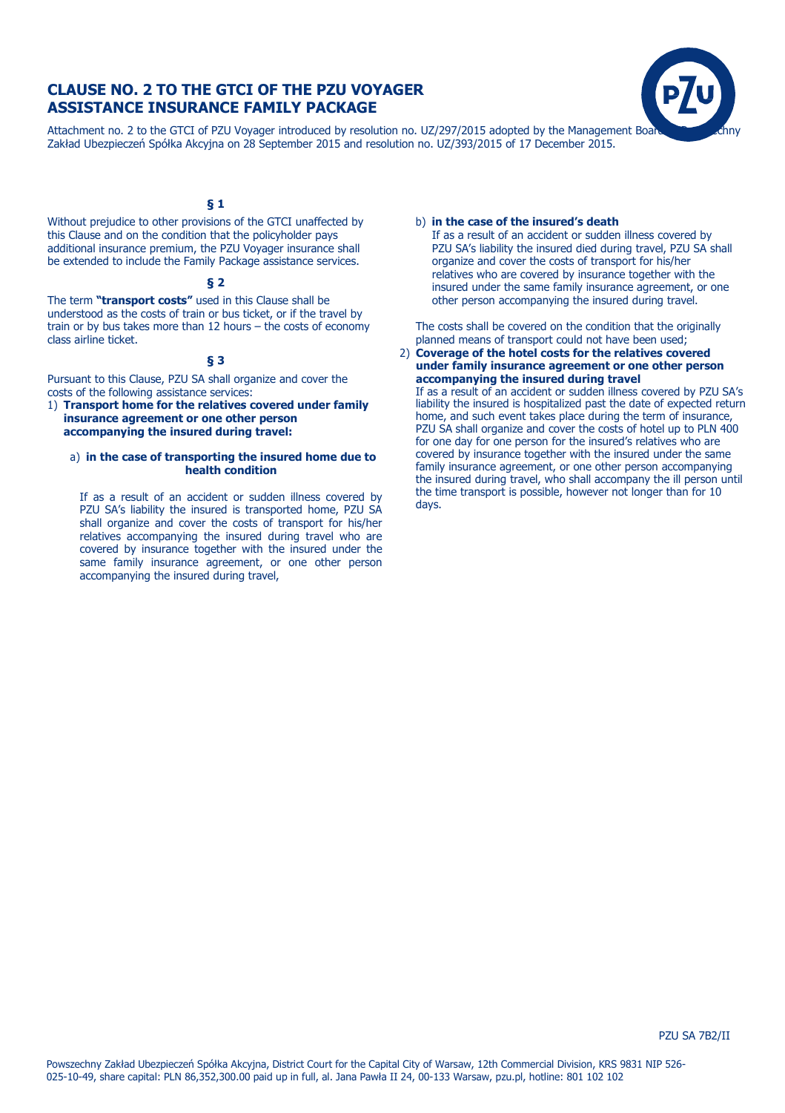# **CLAUSE NO. 2 TO THE GTCI OF THE PZU VOYAGER ASSISTANCE INSURANCE FAMILY PACKAGE**



Attachment no. 2 to the GTCI of PZU Voyager introduced by resolution no. UZ/297/2015 adopted by the Management Bo Zakład Ubezpieczeń Spółka Akcyjna on 28 September 2015 and resolution no. UZ/393/2015 of 17 December 2015.

## **§ 1**

Without prejudice to other provisions of the GTCI unaffected by this Clause and on the condition that the policyholder pays additional insurance premium, the PZU Voyager insurance shall be extended to include the Family Package assistance services.

# **§ 2**

The term **"transport costs"** used in this Clause shall be understood as the costs of train or bus ticket, or if the travel by train or by bus takes more than 12 hours – the costs of economy class airline ticket.

# **§ 3**

Pursuant to this Clause, PZU SA shall organize and cover the costs of the following assistance services:

1) **Transport home for the relatives covered under family insurance agreement or one other person accompanying the insured during travel:**

#### a) **in the case of transporting the insured home due to health condition**

If as a result of an accident or sudden illness covered by PZU SA's liability the insured is transported home, PZU SA shall organize and cover the costs of transport for his/her relatives accompanying the insured during travel who are covered by insurance together with the insured under the same family insurance agreement, or one other person accompanying the insured during travel,

# b) **in the case of the insured's death**

If as a result of an accident or sudden illness covered by PZU SA's liability the insured died during travel, PZU SA shall organize and cover the costs of transport for his/her relatives who are covered by insurance together with the insured under the same family insurance agreement, or one other person accompanying the insured during travel.

The costs shall be covered on the condition that the originally planned means of transport could not have been used;

#### 2) **Coverage of the hotel costs for the relatives covered under family insurance agreement or one other person accompanying the insured during travel**

If as a result of an accident or sudden illness covered by PZU SA's liability the insured is hospitalized past the date of expected return home, and such event takes place during the term of insurance, PZU SA shall organize and cover the costs of hotel up to PLN 400 for one day for one person for the insured's relatives who are covered by insurance together with the insured under the same family insurance agreement, or one other person accompanying the insured during travel, who shall accompany the ill person until the time transport is possible, however not longer than for 10 days.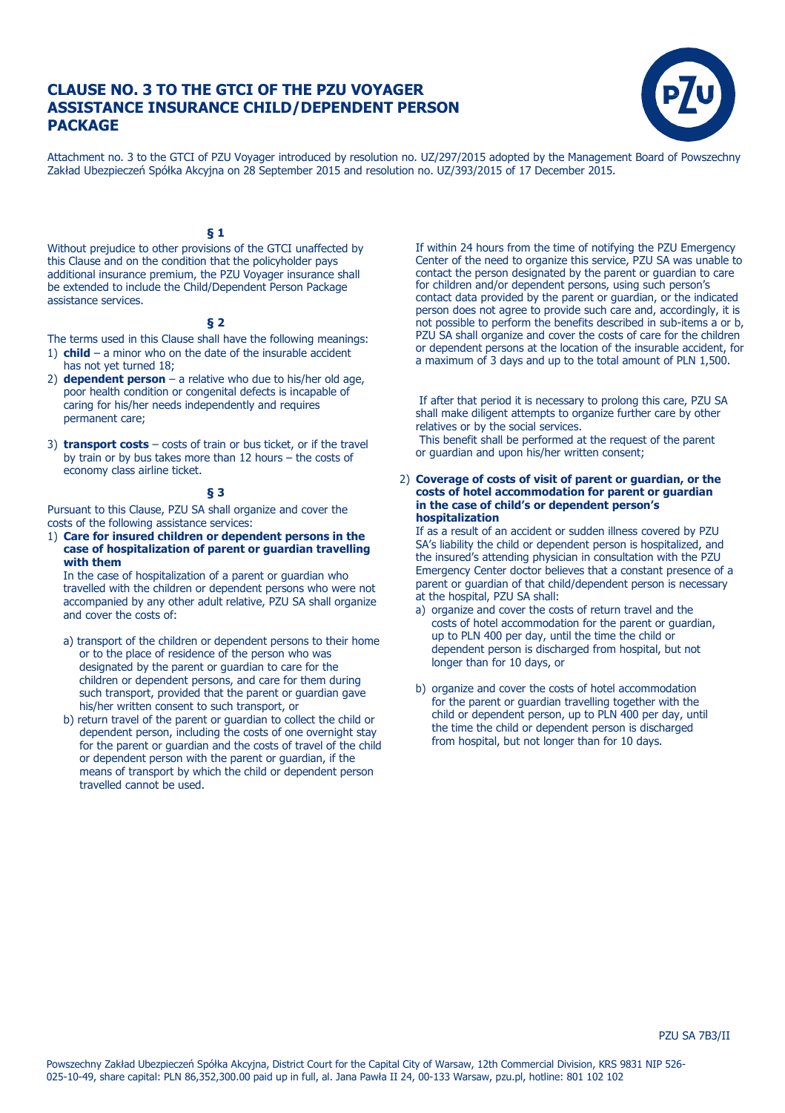# **CLAUSE NO. 3 TO THE GTCI OF THE PZU VOYAGER ASSISTANCE INSURANCE CHILD/DEPENDENT PERSON PACKAGE**



Attachment no. 3 to the GTCI of PZU Voyager introduced by resolution no. UZ/297/2015 adopted by the Management Board of Powszechny Zakład Ubezpieczeń Spółka Akcyjna on 28 September 2015 and resolution no. UZ/393/2015 of 17 December 2015.

# **§ 1**

Without prejudice to other provisions of the GTCI unaffected by this Clause and on the condition that the policyholder pays additional insurance premium, the PZU Voyager insurance shall be extended to include the Child/Dependent Person Package assistance services.

## **§ 2**

The terms used in this Clause shall have the following meanings:

- 1) **child** a minor who on the date of the insurable accident has not yet turned 18;
- 2) **dependent person** a relative who due to his/her old age, poor health condition or congenital defects is incapable of caring for his/her needs independently and requires permanent care;
- 3) **transport costs** costs of train or bus ticket, or if the travel by train or by bus takes more than 12 hours – the costs of economy class airline ticket.

## **§ 3**

Pursuant to this Clause, PZU SA shall organize and cover the costs of the following assistance services:

1) **Care for insured children or dependent persons in the case of hospitalization of parent or guardian travelling with them**

In the case of hospitalization of a parent or guardian who travelled with the children or dependent persons who were not accompanied by any other adult relative, PZU SA shall organize and cover the costs of

- a) transport of the children or dependent persons to their home or to the place of residence of the person who was designated by the parent or guardian to care for the children or dependent persons, and care for them during such transport, provided that the parent or guardian gave his/her written consent to such transport, or
- b) return travel of the parent or guardian to collect the child or dependent person, including the costs of one overnight stay for the parent or guardian and the costs of travel of the child or dependent person with the parent or guardian, if the means of transport by which the child or dependent person travelled cannot be used.

If within 24 hours from the time of notifying the PZU Emergency Center of the need to organize this service, PZU SA was unable to contact the person designated by the parent or guardian to care for children and/or dependent persons, using such person's contact data provided by the parent or guardian, or the indicated person does not agree to provide such care and, accordingly, it is not possible to perform the benefits described in sub-items a or b, PZU SA shall organize and cover the costs of care for the children or dependent persons at the location of the insurable accident, for a maximum of 3 days and up to the total amount of PLN 1,500.

 If after that period it is necessary to prolong this care, PZU SA shall make diligent attempts to organize further care by other relatives or by the social services.

 This benefit shall be performed at the request of the parent or guardian and upon his/her written consent;

2) **Coverage of costs of visit of parent or guardian, or the costs of hotel accommodation for parent or guardian in the case of child's or dependent person's hospitalization**

If as a result of an accident or sudden illness covered by PZU SA's liability the child or dependent person is hospitalized, and the insured's attending physician in consultation with the PZU Emergency Center doctor believes that a constant presence of a parent or guardian of that child/dependent person is necessary at the hospital, PZU SA shall:

- a) organize and cover the costs of return travel and the costs of hotel accommodation for the parent or guardian, up to PLN 400 per day, until the time the child or dependent person is discharged from hospital, but not longer than for 10 days, or
- b) organize and cover the costs of hotel accommodation for the parent or guardian travelling together with the child or dependent person, up to PLN 400 per day, until the time the child or dependent person is discharged from hospital, but not longer than for 10 days.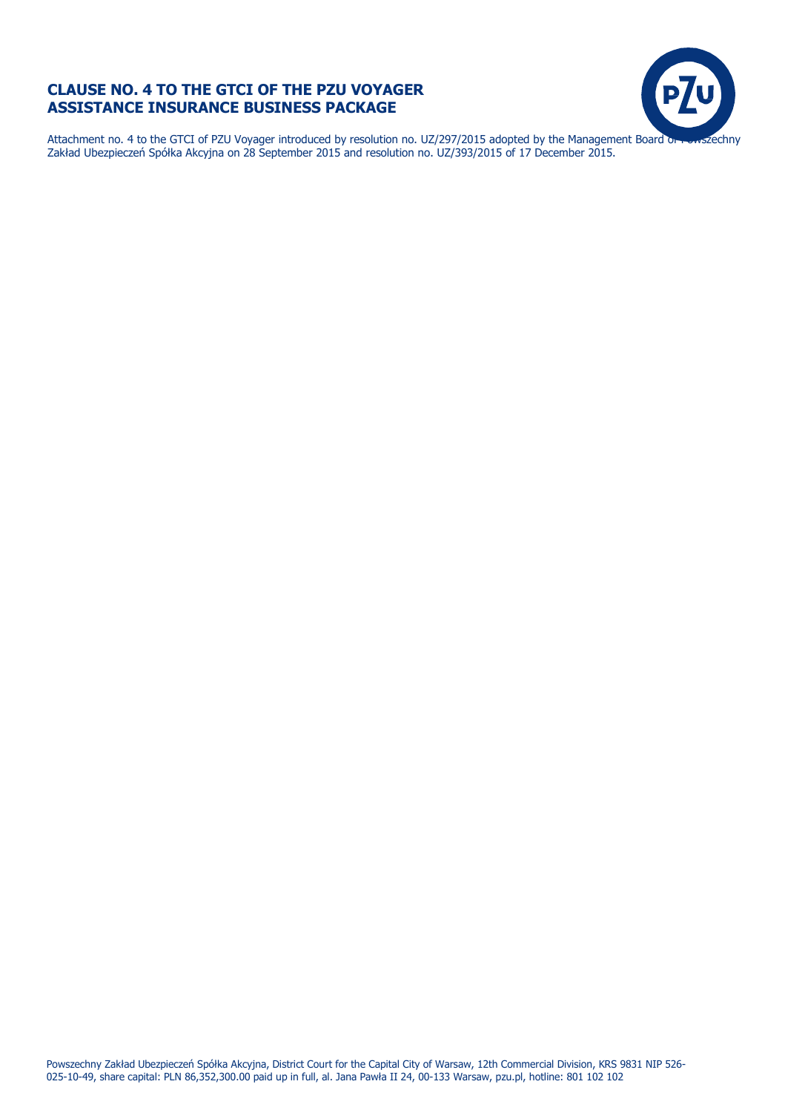# **CLAUSE NO. 4 TO THE GTCI OF THE PZU VOYAGER ASSISTANCE INSURANCE BUSINESS PACKAGE**



Attachment no. 4 to the GTCI of PZU Voyager introduced by resolution no. UZ/297/2015 adopted by the Management Board on Zakład Ubezpieczeń Spółka Akcyjna on 28 September 2015 and resolution no. UZ/393/2015 of 17 December 2015.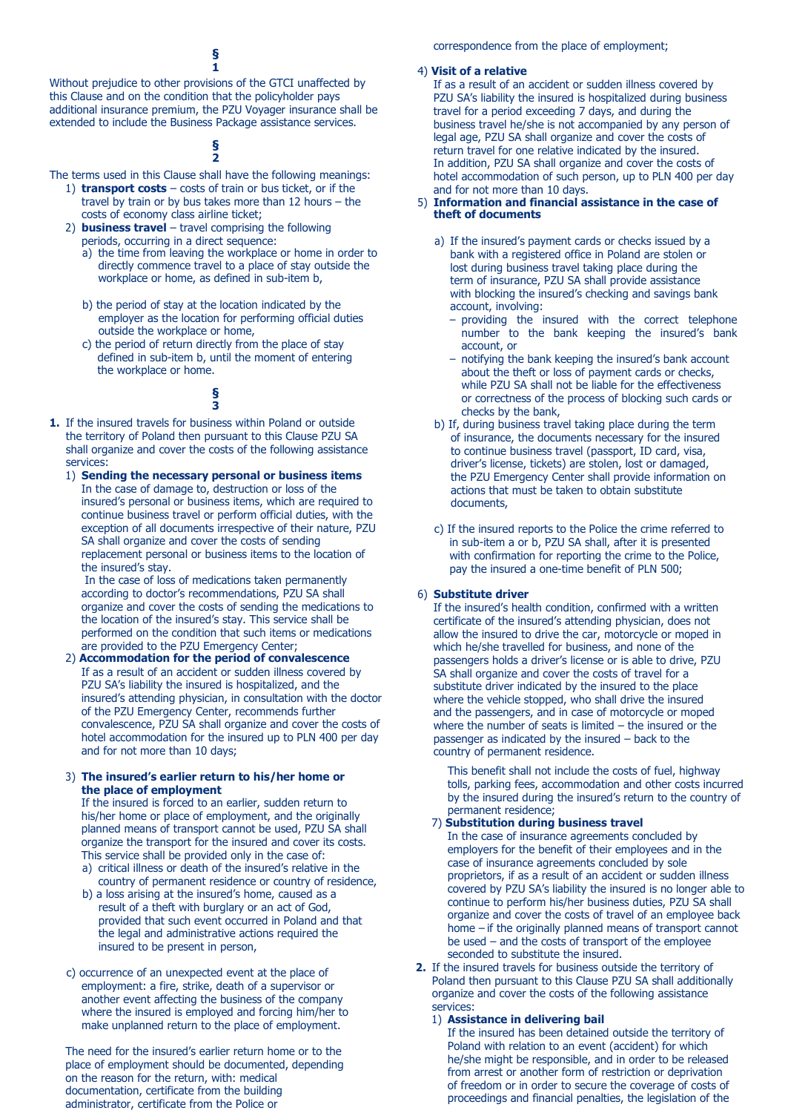Without prejudice to other provisions of the GTCI unaffected by this Clause and on the condition that the policyholder pays additional insurance premium, the PZU Voyager insurance shall be extended to include the Business Package assistance services.

> **§ 2**

The terms used in this Clause shall have the following meanings:

- 1) **transport costs** costs of train or bus ticket, or if the travel by train or by bus takes more than 12 hours – the costs of economy class airline ticket;
- 2) **business travel** travel comprising the following periods, occurring in a direct sequence:
	- a) the time from leaving the workplace or home in order to directly commence travel to a place of stay outside the workplace or home, as defined in sub-item b,
	- b) the period of stay at the location indicated by the employer as the location for performing official duties outside the workplace or home,
	- c) the period of return directly from the place of stay defined in sub-item b, until the moment of entering the workplace or home.

# **§ 3**

- **1.** If the insured travels for business within Poland or outside the territory of Poland then pursuant to this Clause PZU SA shall organize and cover the costs of the following assistance services:
	- 1) **Sending the necessary personal or business items** In the case of damage to, destruction or loss of the insured's personal or business items, which are required to continue business travel or perform official duties, with the exception of all documents irrespective of their nature, PZU SA shall organize and cover the costs of sending replacement personal or business items to the location of the insured's stay.

In the case of loss of medications taken permanently according to doctor's recommendations, PZU SA shall organize and cover the costs of sending the medications to the location of the insured's stay. This service shall be performed on the condition that such items or medications are provided to the PZU Emergency Center;

2) **Accommodation for the period of convalescence** If as a result of an accident or sudden illness covered by PZU SA's liability the insured is hospitalized, and the insured's attending physician, in consultation with the doctor of the PZU Emergency Center, recommends further convalescence, PZU SA shall organize and cover the costs of hotel accommodation for the insured up to PLN 400 per day and for not more than 10 days;

## 3) **The insured's earlier return to his/her home or the place of employment**

If the insured is forced to an earlier, sudden return to his/her home or place of employment, and the originally planned means of transport cannot be used, PZU SA shall organize the transport for the insured and cover its costs. This service shall be provided only in the case of:

- a) critical illness or death of the insured's relative in the country of permanent residence or country of residence,
- b) a loss arising at the insured's home, caused as a result of a theft with burglary or an act of God, provided that such event occurred in Poland and that the legal and administrative actions required the insured to be present in person,
- c) occurrence of an unexpected event at the place of employment: a fire, strike, death of a supervisor or another event affecting the business of the company where the insured is employed and forcing him/her to make unplanned return to the place of employment.

The need for the insured's earlier return home or to the place of employment should be documented, depending on the reason for the return, with: medical documentation, certificate from the building administrator, certificate from the Police or

correspondence from the place of employment;

## 4) **Visit of a relative**

If as a result of an accident or sudden illness covered by PZU SA's liability the insured is hospitalized during business travel for a period exceeding 7 days, and during the business travel he/she is not accompanied by any person of legal age, PZU SA shall organize and cover the costs of return travel for one relative indicated by the insured. In addition, PZU SA shall organize and cover the costs of hotel accommodation of such person, up to PLN 400 per day and for not more than 10 days.

## 5) **Information and financial assistance in the case of theft of documents**

- a) If the insured's payment cards or checks issued by a bank with a registered office in Poland are stolen or lost during business travel taking place during the term of insurance, PZU SA shall provide assistance with blocking the insured's checking and savings bank account, involving:
	- providing the insured with the correct telephone number to the bank keeping the insured's bank account, or
	- notifying the bank keeping the insured's bank account about the theft or loss of payment cards or checks, while PZU SA shall not be liable for the effectiveness or correctness of the process of blocking such cards or checks by the bank,
- b) If, during business travel taking place during the term of insurance, the documents necessary for the insured to continue business travel (passport, ID card, visa, driver's license, tickets) are stolen, lost or damaged, the PZU Emergency Center shall provide information on actions that must be taken to obtain substitute documents,
- c) If the insured reports to the Police the crime referred to in sub-item a or b, PZU SA shall, after it is presented with confirmation for reporting the crime to the Police, pay the insured a one-time benefit of PLN 500;

### 6) **Substitute driver**

If the insured's health condition, confirmed with a written certificate of the insured's attending physician, does not allow the insured to drive the car, motorcycle or moped in which he/she travelled for business, and none of the passengers holds a driver's license or is able to drive, PZU SA shall organize and cover the costs of travel for a substitute driver indicated by the insured to the place where the vehicle stopped, who shall drive the insured and the passengers, and in case of motorcycle or moped where the number of seats is limited – the insured or the passenger as indicated by the insured – back to the country of permanent residence.

This benefit shall not include the costs of fuel, highway tolls, parking fees, accommodation and other costs incurred by the insured during the insured's return to the country of permanent residence;

### 7) **Substitution during business travel**

In the case of insurance agreements concluded by employers for the benefit of their employees and in the case of insurance agreements concluded by sole proprietors, if as a result of an accident or sudden illness covered by PZU SA's liability the insured is no longer able to continue to perform his/her business duties, PZU SA shall organize and cover the costs of travel of an employee back home – if the originally planned means of transport cannot be used – and the costs of transport of the employee seconded to substitute the insured.

**2.** If the insured travels for business outside the territory of Poland then pursuant to this Clause PZU SA shall additionally organize and cover the costs of the following assistance services:

#### 1) **Assistance in delivering bail**

If the insured has been detained outside the territory of Poland with relation to an event (accident) for which he/she might be responsible, and in order to be released from arrest or another form of restriction or deprivation of freedom or in order to secure the coverage of costs of proceedings and financial penalties, the legislation of the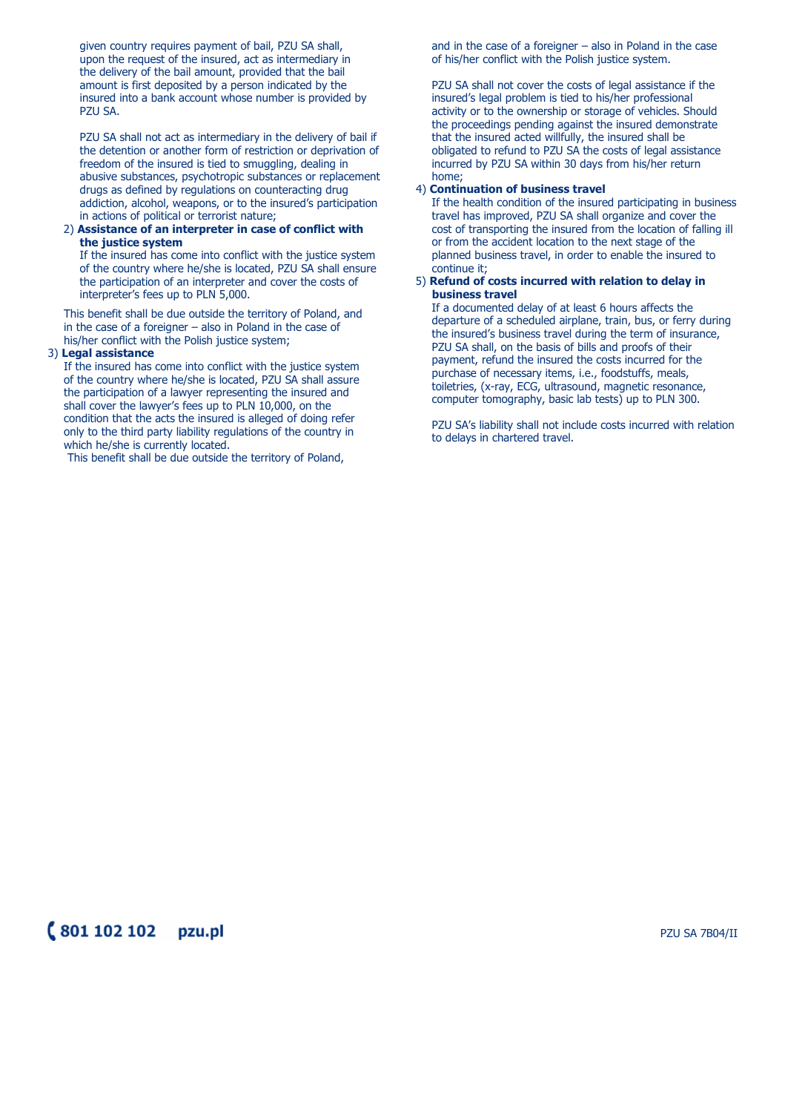given country requires payment of bail, PZU SA shall, upon the request of the insured, act as intermediary in the delivery of the bail amount, provided that the bail amount is first deposited by a person indicated by the insured into a bank account whose number is provided by PZU SA.

PZU SA shall not act as intermediary in the delivery of bail if the detention or another form of restriction or deprivation of freedom of the insured is tied to smuggling, dealing in abusive substances, psychotropic substances or replacement drugs as defined by regulations on counteracting drug addiction, alcohol, weapons, or to the insured's participation in actions of political or terrorist nature;

#### 2) **Assistance of an interpreter in case of conflict with the justice system**

If the insured has come into conflict with the justice system of the country where he/she is located, PZU SA shall ensure the participation of an interpreter and cover the costs of interpreter's fees up to PLN 5,000.

This benefit shall be due outside the territory of Poland, and in the case of a foreigner  $-$  also in Poland in the case of his/her conflict with the Polish justice system;

### 3) **Legal assistance**

If the insured has come into conflict with the justice system of the country where he/she is located, PZU SA shall assure the participation of a lawyer representing the insured and shall cover the lawyer's fees up to PLN 10,000, on the condition that the acts the insured is alleged of doing refer only to the third party liability regulations of the country in which he/she is currently located.

This benefit shall be due outside the territory of Poland,

and in the case of a foreigner – also in Poland in the case of his/her conflict with the Polish justice system.

PZU SA shall not cover the costs of legal assistance if the insured's legal problem is tied to his/her professional activity or to the ownership or storage of vehicles. Should the proceedings pending against the insured demonstrate that the insured acted willfully, the insured shall be obligated to refund to PZU SA the costs of legal assistance incurred by PZU SA within 30 days from his/her return home;

## 4) **Continuation of business travel**

If the health condition of the insured participating in business travel has improved, PZU SA shall organize and cover the cost of transporting the insured from the location of falling ill or from the accident location to the next stage of the planned business travel, in order to enable the insured to continue it;

#### 5) **Refund of costs incurred with relation to delay in business travel**

If a documented delay of at least 6 hours affects the departure of a scheduled airplane, train, bus, or ferry during the insured's business travel during the term of insurance, PZU SA shall, on the basis of bills and proofs of their payment, refund the insured the costs incurred for the purchase of necessary items, i.e., foodstuffs, meals, toiletries, (x-ray, ECG, ultrasound, magnetic resonance, computer tomography, basic lab tests) up to PLN 300.

PZU SA's liability shall not include costs incurred with relation to delays in chartered travel.

# $801102102$  pzu.pl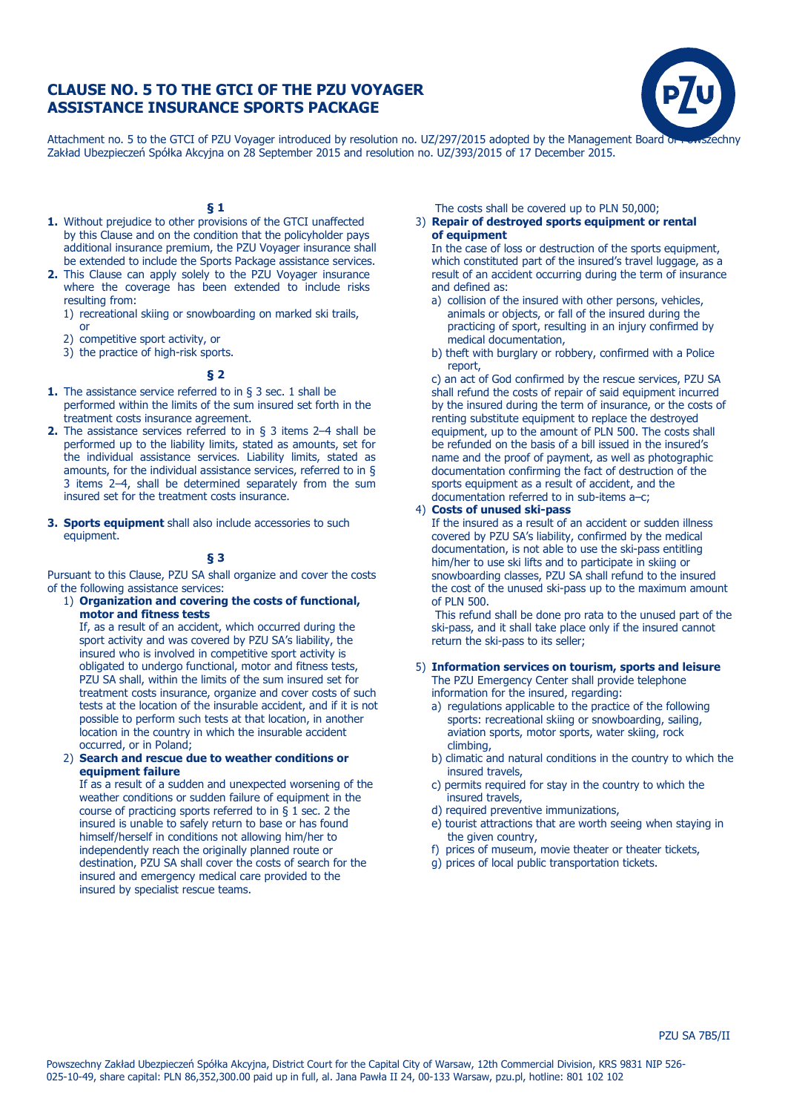# **CLAUSE NO. 5 TO THE GTCI OF THE PZU VOYAGER ASSISTANCE INSURANCE SPORTS PACKAGE**



Attachment no. 5 to the GTCI of PZU Voyager introduced by resolution no. UZ/297/2015 adopted by the Management Board Zakład Ubezpieczeń Spółka Akcyjna on 28 September 2015 and resolution no. UZ/393/2015 of 17 December 2015.

## **§ 1**

- **1.** Without prejudice to other provisions of the GTCI unaffected by this Clause and on the condition that the policyholder pays additional insurance premium, the PZU Voyager insurance shall be extended to include the Sports Package assistance services.
- **2.** This Clause can apply solely to the PZU Voyager insurance where the coverage has been extended to include risks resulting from:
	- 1) recreational skiing or snowboarding on marked ski trails, or
	- 2) competitive sport activity, or
	- 3) the practice of high-risk sports.

## **§ 2**

- **1.** The assistance service referred to in § 3 sec. 1 shall be performed within the limits of the sum insured set forth in the treatment costs insurance agreement.
- **2.** The assistance services referred to in § 3 items 2–4 shall be performed up to the liability limits, stated as amounts, set for the individual assistance services. Liability limits, stated as amounts, for the individual assistance services, referred to in § 3 items 2–4, shall be determined separately from the sum insured set for the treatment costs insurance.
- **3. Sports equipment** shall also include accessories to such equipment.

### **§ 3**

Pursuant to this Clause, PZU SA shall organize and cover the costs of the following assistance services:

1) **Organization and covering the costs of functional, motor and fitness tests**

If, as a result of an accident, which occurred during the sport activity and was covered by PZU SA's liability, the insured who is involved in competitive sport activity is obligated to undergo functional, motor and fitness tests, PZU SA shall, within the limits of the sum insured set for treatment costs insurance, organize and cover costs of such tests at the location of the insurable accident, and if it is not possible to perform such tests at that location, in another location in the country in which the insurable accident occurred, or in Poland;

2) **Search and rescue due to weather conditions or equipment failure**

If as a result of a sudden and unexpected worsening of the weather conditions or sudden failure of equipment in the course of practicing sports referred to in  $\frac{1}{5}$  1 sec. 2 the insured is unable to safely return to base or has found himself/herself in conditions not allowing him/her to independently reach the originally planned route or destination, PZU SA shall cover the costs of search for the insured and emergency medical care provided to the insured by specialist rescue teams.

The costs shall be covered up to PLN 50,000;

3) **Repair of destroyed sports equipment or rental of equipment**

In the case of loss or destruction of the sports equipment, which constituted part of the insured's travel luggage, as a result of an accident occurring during the term of insurance and defined as:

- a) collision of the insured with other persons, vehicles, animals or objects, or fall of the insured during the practicing of sport, resulting in an injury confirmed by medical documentation,
- b) theft with burglary or robbery, confirmed with a Police report,

c) an act of God confirmed by the rescue services, PZU SA shall refund the costs of repair of said equipment incurred by the insured during the term of insurance, or the costs of renting substitute equipment to replace the destroyed equipment, up to the amount of PLN 500. The costs shall be refunded on the basis of a bill issued in the insured's name and the proof of payment, as well as photographic documentation confirming the fact of destruction of the sports equipment as a result of accident, and the documentation referred to in sub-items a–c;

## 4) **Costs of unused ski-pass**

If the insured as a result of an accident or sudden illness covered by PZU SA's liability, confirmed by the medical documentation, is not able to use the ski-pass entitling him/her to use ski lifts and to participate in skiing or snowboarding classes, PZU SA shall refund to the insured the cost of the unused ski-pass up to the maximum amount of PLN 500.

 This refund shall be done pro rata to the unused part of the ski-pass, and it shall take place only if the insured cannot return the ski-pass to its seller;

- 5) **Information services on tourism, sports and leisure** The PZU Emergency Center shall provide telephone information for the insured, regarding:
	- a) regulations applicable to the practice of the following sports: recreational skiing or snowboarding, sailing, aviation sports, motor sports, water skiing, rock climbing,
	- b) climatic and natural conditions in the country to which the insured travels,
	- c) permits required for stay in the country to which the insured travels,
	- d) required preventive immunizations,
	- e) tourist attractions that are worth seeing when staying in the given country,
	- f) prices of museum, movie theater or theater tickets,
	- g) prices of local public transportation tickets.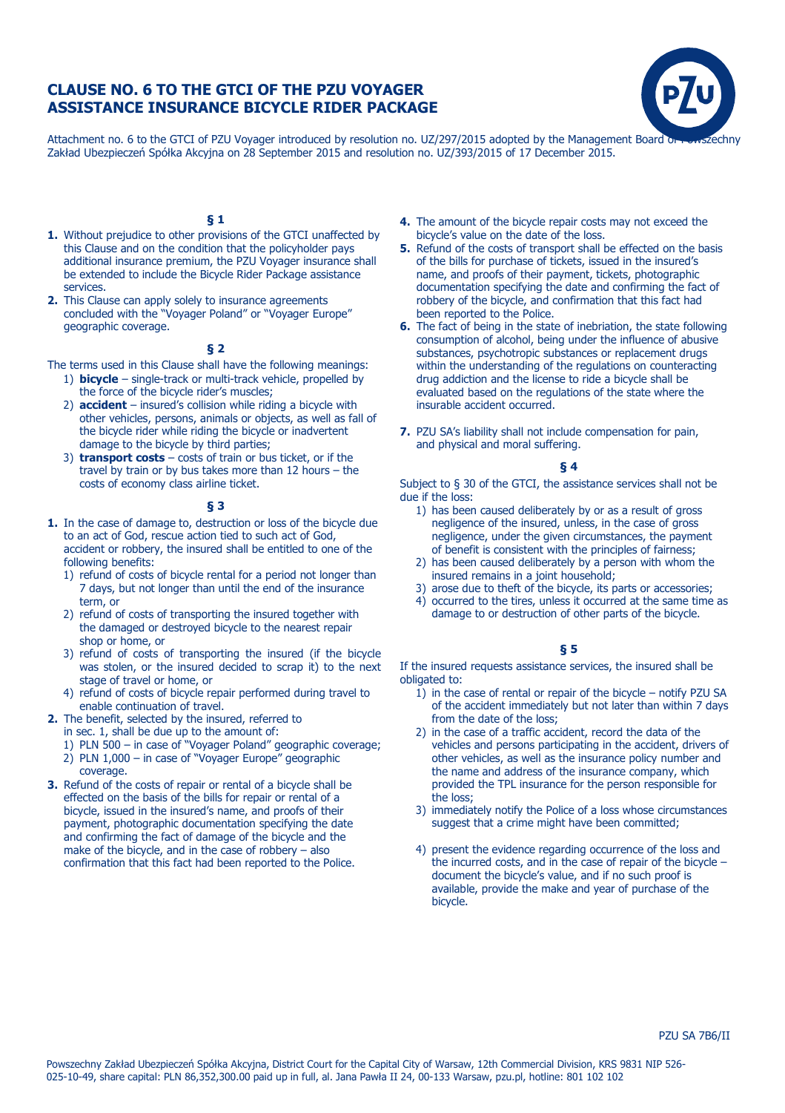# **CLAUSE NO. 6 TO THE GTCI OF THE PZU VOYAGER ASSISTANCE INSURANCE BICYCLE RIDER PACKAGE**



Attachment no. 6 to the GTCI of PZU Voyager introduced by resolution no. UZ/297/2015 adopted by the Management Board Zakład Ubezpieczeń Spółka Akcyjna on 28 September 2015 and resolution no. UZ/393/2015 of 17 December 2015.

## **§ 1**

- **1.** Without prejudice to other provisions of the GTCI unaffected by this Clause and on the condition that the policyholder pays additional insurance premium, the PZU Voyager insurance shall be extended to include the Bicycle Rider Package assistance services.
- **2.** This Clause can apply solely to insurance agreements concluded with the "Voyager Poland" or "Voyager Europe" geographic coverage.

# **§ 2**

- The terms used in this Clause shall have the following meanings:
	- 1) **bicycle** single-track or multi-track vehicle, propelled by the force of the bicycle rider's muscles;
	- 2) **accident** insured's collision while riding a bicycle with other vehicles, persons, animals or objects, as well as fall of the bicycle rider while riding the bicycle or inadvertent damage to the bicycle by third parties;
	- 3) **transport costs** costs of train or bus ticket, or if the travel by train or by bus takes more than 12 hours – the costs of economy class airline ticket.

#### **§ 3**

- **1.** In the case of damage to, destruction or loss of the bicycle due to an act of God, rescue action tied to such act of God, accident or robbery, the insured shall be entitled to one of the following benefits:
	- 1) refund of costs of bicycle rental for a period not longer than 7 days, but not longer than until the end of the insurance term, or
	- 2) refund of costs of transporting the insured together with the damaged or destroyed bicycle to the nearest repair shop or home, or
	- 3) refund of costs of transporting the insured (if the bicycle was stolen, or the insured decided to scrap it) to the next stage of travel or home, or
	- 4) refund of costs of bicycle repair performed during travel to enable continuation of travel.
- **2.** The benefit, selected by the insured, referred to
	- in sec. 1, shall be due up to the amount of:
	- 1) PLN 500 in case of "Voyager Poland" geographic coverage;
	- 2) PLN 1,000 in case of "Voyager Europe" geographic coverage.
- **3.** Refund of the costs of repair or rental of a bicycle shall be effected on the basis of the bills for repair or rental of a bicycle, issued in the insured's name, and proofs of their payment, photographic documentation specifying the date and confirming the fact of damage of the bicycle and the make of the bicycle, and in the case of robbery – also confirmation that this fact had been reported to the Police.
- **4.** The amount of the bicycle repair costs may not exceed the bicycle's value on the date of the loss.
- **5.** Refund of the costs of transport shall be effected on the basis of the bills for purchase of tickets, issued in the insured's name, and proofs of their payment, tickets, photographic documentation specifying the date and confirming the fact of robbery of the bicycle, and confirmation that this fact had been reported to the Police.
- **6.** The fact of being in the state of inebriation, the state following consumption of alcohol, being under the influence of abusive substances, psychotropic substances or replacement drugs within the understanding of the regulations on counteracting drug addiction and the license to ride a bicycle shall be evaluated based on the regulations of the state where the insurable accident occurred.
- **7.** PZU SA's liability shall not include compensation for pain, and physical and moral suffering.

### **§ 4**

Subject to § 30 of the GTCI, the assistance services shall not be due if the loss:

- 1) has been caused deliberately by or as a result of gross negligence of the insured, unless, in the case of gross negligence, under the given circumstances, the payment of benefit is consistent with the principles of fairness;
- 2) has been caused deliberately by a person with whom the insured remains in a joint household:
- 3) arose due to theft of the bicycle, its parts or accessories;
- 4) occurred to the tires, unless it occurred at the same time as damage to or destruction of other parts of the bicycle.

### **§ 5**

If the insured requests assistance services, the insured shall be obligated to:

- 1) in the case of rental or repair of the bicycle notify PZU SA of the accident immediately but not later than within 7 days from the date of the loss;
- 2) in the case of a traffic accident, record the data of the vehicles and persons participating in the accident, drivers of other vehicles, as well as the insurance policy number and the name and address of the insurance company, which provided the TPL insurance for the person responsible for the loss;
- 3) immediately notify the Police of a loss whose circumstances suggest that a crime might have been committed;
- 4) present the evidence regarding occurrence of the loss and the incurred costs, and in the case of repair of the bicycle – document the bicycle's value, and if no such proof is available, provide the make and year of purchase of the bicycle.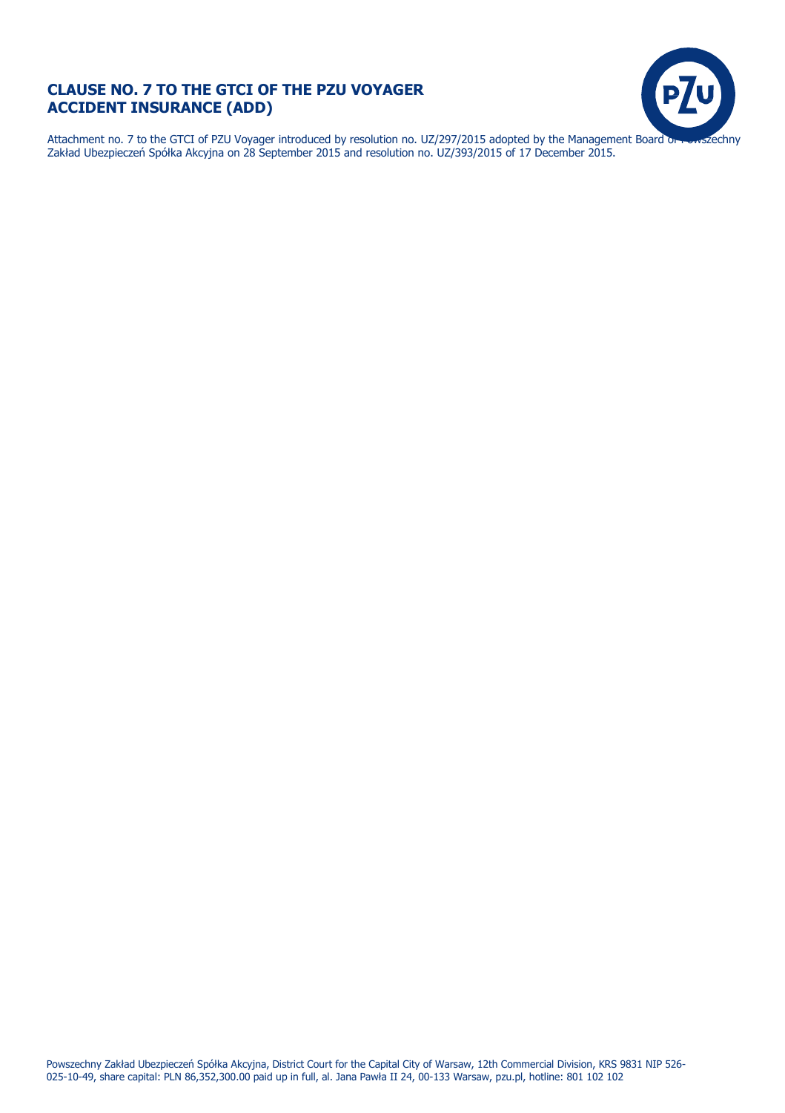# **CLAUSE NO. 7 TO THE GTCI OF THE PZU VOYAGER ACCIDENT INSURANCE (ADD)**



Attachment no. 7 to the GTCI of PZU Voyager introduced by resolution no. UZ/297/2015 adopted by the Management Board on Zakład Ubezpieczeń Spółka Akcyjna on 28 September 2015 and resolution no. UZ/393/2015 of 17 December 2015.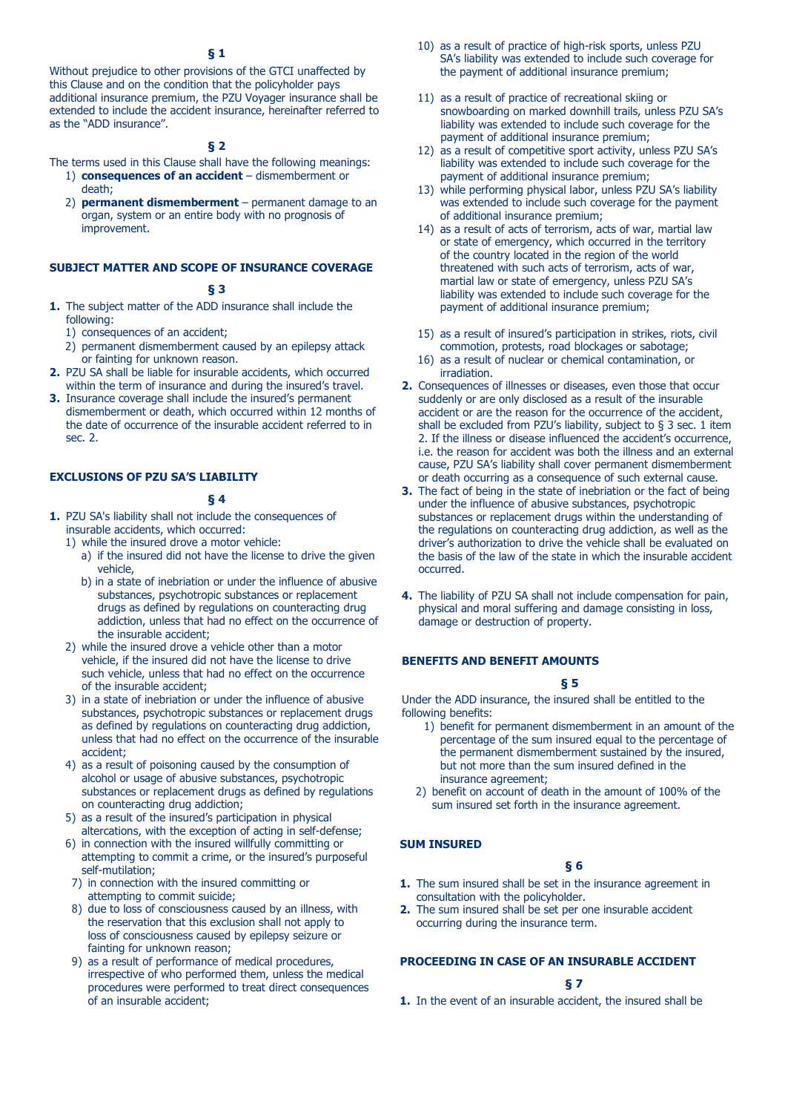Without prejudice to other provisions of the GTCI unaffected by this Clause and on the condition that the policyholder pays additional insurance premium, the PZU Voyager insurance shall be extended to include the accident insurance, hereinafter referred to as the "ADD insurance".

# **§ 2**

The terms used in this Clause shall have the following meanings:

- 1) **consequences of an accident**  dismemberment or death;
- 2) **permanent dismemberment**  permanent damage to an organ, system or an entire body with no prognosis of improvement.

## **SUBJECT MATTER AND SCOPE OF INSURANCE COVERAGE**

**§ 3**

- **1.** The subject matter of the ADD insurance shall include the following:
	- 1) consequences of an accident;
	- 2) permanent dismemberment caused by an epilepsy attack or fainting for unknown reason.
- **2.** PZU SA shall be liable for insurable accidents, which occurred within the term of insurance and during the insured's travel.
- **3.** Insurance coverage shall include the insured's permanent dismemberment or death, which occurred within 12 months of the date of occurrence of the insurable accident referred to in sec. 2.

# **EXCLUSIONS OF PZU SA'S LIABILITY**

#### **§ 4**

- **1.** PZU SA's liability shall not include the consequences of insurable accidents, which occurred:
	- 1) while the insured drove a motor vehicle:
		- a) if the insured did not have the license to drive the given vehicle,
		- b) in a state of inebriation or under the influence of abusive substances, psychotropic substances or replacement drugs as defined by regulations on counteracting drug addiction, unless that had no effect on the occurrence of the insurable accident;
	- 2) while the insured drove a vehicle other than a motor vehicle, if the insured did not have the license to drive such vehicle, unless that had no effect on the occurrence of the insurable accident;
	- 3) in a state of inebriation or under the influence of abusive substances, psychotropic substances or replacement drugs as defined by regulations on counteracting drug addiction, unless that had no effect on the occurrence of the insurable accident;
	- 4) as a result of poisoning caused by the consumption of alcohol or usage of abusive substances, psychotropic substances or replacement drugs as defined by regulations on counteracting drug addiction;
	- 5) as a result of the insured's participation in physical altercations, with the exception of acting in self-defense;
	- 6) in connection with the insured willfully committing or attempting to commit a crime, or the insured's purposeful self-mutilation;
	- 7) in connection with the insured committing or attempting to commit suicide;
	- 8) due to loss of consciousness caused by an illness, with the reservation that this exclusion shall not apply to loss of consciousness caused by epilepsy seizure or fainting for unknown reason;
	- 9) as a result of performance of medical procedures, irrespective of who performed them, unless the medical procedures were performed to treat direct consequences of an insurable accident;
- 10) as a result of practice of high-risk sports, unless PZU SA's liability was extended to include such coverage for the payment of additional insurance premium;
- 11) as a result of practice of recreational skiing or snowboarding on marked downhill trails, unless PZU SA's liability was extended to include such coverage for the payment of additional insurance premium;
- 12) as a result of competitive sport activity, unless PZU SA's liability was extended to include such coverage for the payment of additional insurance premium;
- 13) while performing physical labor, unless PZU SA's liability was extended to include such coverage for the payment of additional insurance premium;
- 14) as a result of acts of terrorism, acts of war, martial law or state of emergency, which occurred in the territory of the country located in the region of the world threatened with such acts of terrorism, acts of war, martial law or state of emergency, unless PZU SA's liability was extended to include such coverage for the payment of additional insurance premium;
- 15) as a result of insured's participation in strikes, riots, civil commotion, protests, road blockages or sabotage;
- 16) as a result of nuclear or chemical contamination, or irradiation.
- **2.** Consequences of illnesses or diseases, even those that occur suddenly or are only disclosed as a result of the insurable accident or are the reason for the occurrence of the accident, shall be excluded from PZU's liability, subject to § 3 sec. 1 item 2. If the illness or disease influenced the accident's occurrence, i.e. the reason for accident was both the illness and an external cause, PZU SA's liability shall cover permanent dismemberment or death occurring as a consequence of such external cause.
- **3.** The fact of being in the state of inebriation or the fact of being under the influence of abusive substances, psychotropic substances or replacement drugs within the understanding of the regulations on counteracting drug addiction, as well as the driver's authorization to drive the vehicle shall be evaluated on the basis of the law of the state in which the insurable accident occurred.
- **4.** The liability of PZU SA shall not include compensation for pain, physical and moral suffering and damage consisting in loss, damage or destruction of property.

#### **BENEFITS AND BENEFIT AMOUNTS**

## **§ 5**

Under the ADD insurance, the insured shall be entitled to the following benefits:

- 1) benefit for permanent dismemberment in an amount of the percentage of the sum insured equal to the percentage of the permanent dismemberment sustained by the insured, but not more than the sum insured defined in the insurance agreement;
- 2) benefit on account of death in the amount of 100% of the sum insured set forth in the insurance agreement.

## **SUM INSURED**

#### **§ 6**

- **1.** The sum insured shall be set in the insurance agreement in consultation with the policyholder.
- **2.** The sum insured shall be set per one insurable accident occurring during the insurance term.

## **PROCEEDING IN CASE OF AN INSURABLE ACCIDENT**

#### **§ 7**

**1.** In the event of an insurable accident, the insured shall be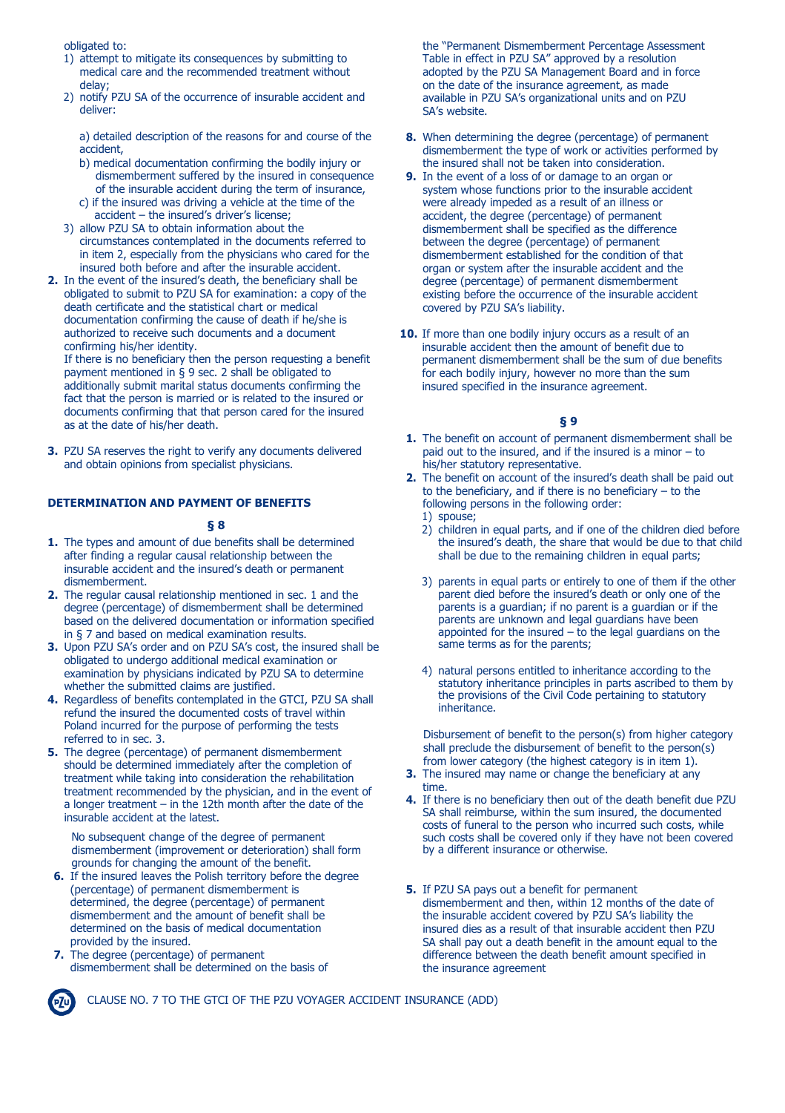obligated to:

- 1) attempt to mitigate its consequences by submitting to medical care and the recommended treatment without
- delay; 2) notify PZU SA of the occurrence of insurable accident and deliver:

a) detailed description of the reasons for and course of the accident,

- b) medical documentation confirming the bodily injury or dismemberment suffered by the insured in consequence of the insurable accident during the term of insurance,
- c) if the insured was driving a vehicle at the time of the accident – the insured's driver's license;
- 3) allow PZU SA to obtain information about the circumstances contemplated in the documents referred to in item 2, especially from the physicians who cared for the insured both before and after the insurable accident.
- **2.** In the event of the insured's death, the beneficiary shall be obligated to submit to PZU SA for examination: a copy of the death certificate and the statistical chart or medical documentation confirming the cause of death if he/she is authorized to receive such documents and a document confirming his/her identity.

If there is no beneficiary then the person requesting a benefit payment mentioned in § 9 sec. 2 shall be obligated to additionally submit marital status documents confirming the fact that the person is married or is related to the insured or documents confirming that that person cared for the insured as at the date of his/her death.

**3.** PZU SA reserves the right to verify any documents delivered and obtain opinions from specialist physicians.

## **DETERMINATION AND PAYMENT OF BENEFITS**

### **§ 8**

- **1.** The types and amount of due benefits shall be determined after finding a regular causal relationship between the insurable accident and the insured's death or permanent dismemberment.
- **2.** The regular causal relationship mentioned in sec. 1 and the degree (percentage) of dismemberment shall be determined based on the delivered documentation or information specified in § 7 and based on medical examination results.
- **3.** Upon PZU SA's order and on PZU SA's cost, the insured shall be obligated to undergo additional medical examination or examination by physicians indicated by PZU SA to determine whether the submitted claims are justified.
- **4.** Regardless of benefits contemplated in the GTCI, PZU SA shall refund the insured the documented costs of travel within Poland incurred for the purpose of performing the tests referred to in sec. 3.
- **5.** The degree (percentage) of permanent dismemberment should be determined immediately after the completion of treatment while taking into consideration the rehabilitation treatment recommended by the physician, and in the event of a longer treatment – in the 12th month after the date of the insurable accident at the latest.

No subsequent change of the degree of permanent dismemberment (improvement or deterioration) shall form grounds for changing the amount of the benefit.

- **6.** If the insured leaves the Polish territory before the degree (percentage) of permanent dismemberment is determined, the degree (percentage) of permanent dismemberment and the amount of benefit shall be determined on the basis of medical documentation provided by the insured.
- **7.** The degree (percentage) of permanent dismemberment shall be determined on the basis of

the "Permanent Dismemberment Percentage Assessment Table in effect in PZU SA" approved by a resolution adopted by the PZU SA Management Board and in force on the date of the insurance agreement, as made available in PZU SA's organizational units and on PZU SA's website.

- **8.** When determining the degree (percentage) of permanent dismemberment the type of work or activities performed by the insured shall not be taken into consideration.
- **9.** In the event of a loss of or damage to an organ or system whose functions prior to the insurable accident were already impeded as a result of an illness or accident, the degree (percentage) of permanent dismemberment shall be specified as the difference between the degree (percentage) of permanent dismemberment established for the condition of that organ or system after the insurable accident and the degree (percentage) of permanent dismemberment existing before the occurrence of the insurable accident covered by PZU SA's liability.
- **10.** If more than one bodily injury occurs as a result of an insurable accident then the amount of benefit due to permanent dismemberment shall be the sum of due benefits for each bodily injury, however no more than the sum insured specified in the insurance agreement.

#### **§ 9**

- **1.** The benefit on account of permanent dismemberment shall be paid out to the insured, and if the insured is a minor – to his/her statutory representative.
- **2.** The benefit on account of the insured's death shall be paid out to the beneficiary, and if there is no beneficiary – to the following persons in the following order:
	- 1) spouse;
	- 2) children in equal parts, and if one of the children died before the insured's death, the share that would be due to that child shall be due to the remaining children in equal parts;
	- 3) parents in equal parts or entirely to one of them if the other parent died before the insured's death or only one of the parents is a guardian; if no parent is a guardian or if the parents are unknown and legal guardians have been appointed for the insured – to the legal guardians on the same terms as for the parents;
	- 4) natural persons entitled to inheritance according to the statutory inheritance principles in parts ascribed to them by the provisions of the Civil Code pertaining to statutory inheritance.

Disbursement of benefit to the person(s) from higher category shall preclude the disbursement of benefit to the person(s) from lower category (the highest category is in item 1).

- **3.** The insured may name or change the beneficiary at any time.
- **4.** If there is no beneficiary then out of the death benefit due PZU SA shall reimburse, within the sum insured, the documented costs of funeral to the person who incurred such costs, while such costs shall be covered only if they have not been covered by a different insurance or otherwise.
- **5.** If PZU SA pays out a benefit for permanent dismemberment and then, within 12 months of the date of the insurable accident covered by PZU SA's liability the insured dies as a result of that insurable accident then PZU SA shall pay out a death benefit in the amount equal to the difference between the death benefit amount specified in the insurance agreement

CLAUSE NO. 7 TO THE GTCI OF THE PZU VOYAGER ACCIDENT INSURANCE (ADD)

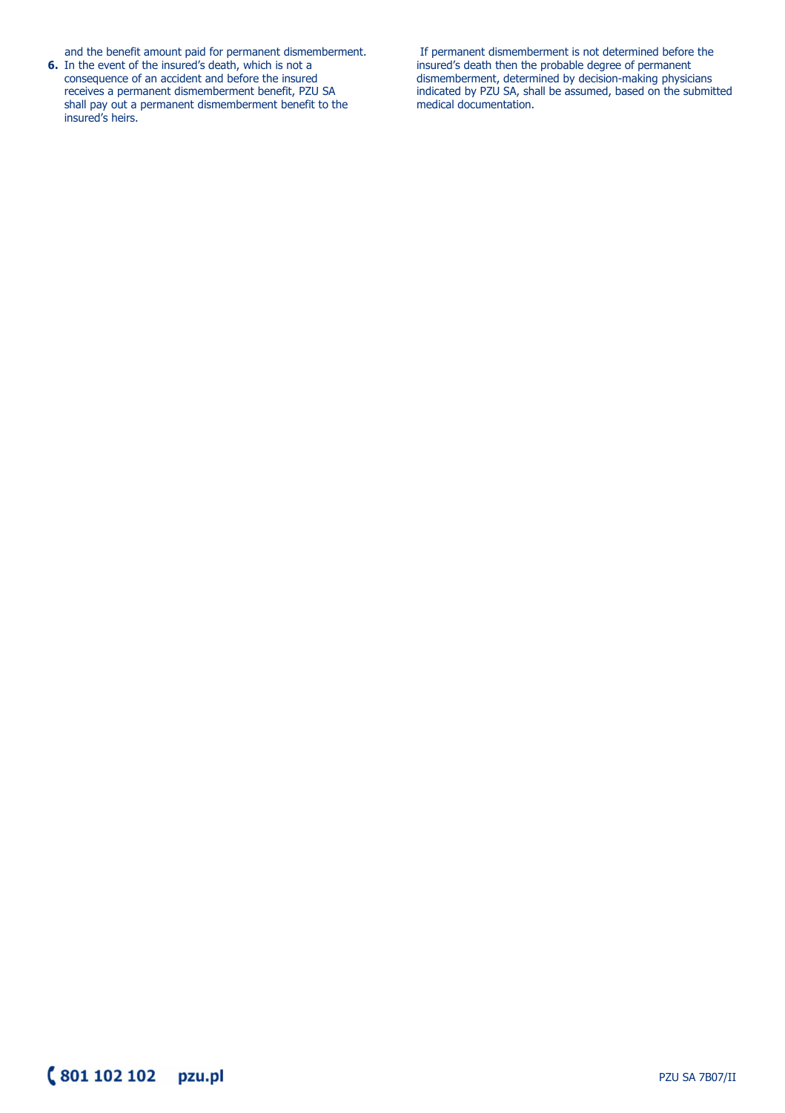and the benefit amount paid for permanent dismemberment.

**6.** In the event of the insured's death, which is not a consequence of an accident and before the insured receives a permanent dismemberment benefit, PZU SA shall pay out a permanent dismemberment benefit to the insured's heirs.

 If permanent dismemberment is not determined before the insured's death then the probable degree of permanent dismemberment, determined by decision-making physicians indicated by PZU SA, shall be assumed, based on the submitted medical documentation.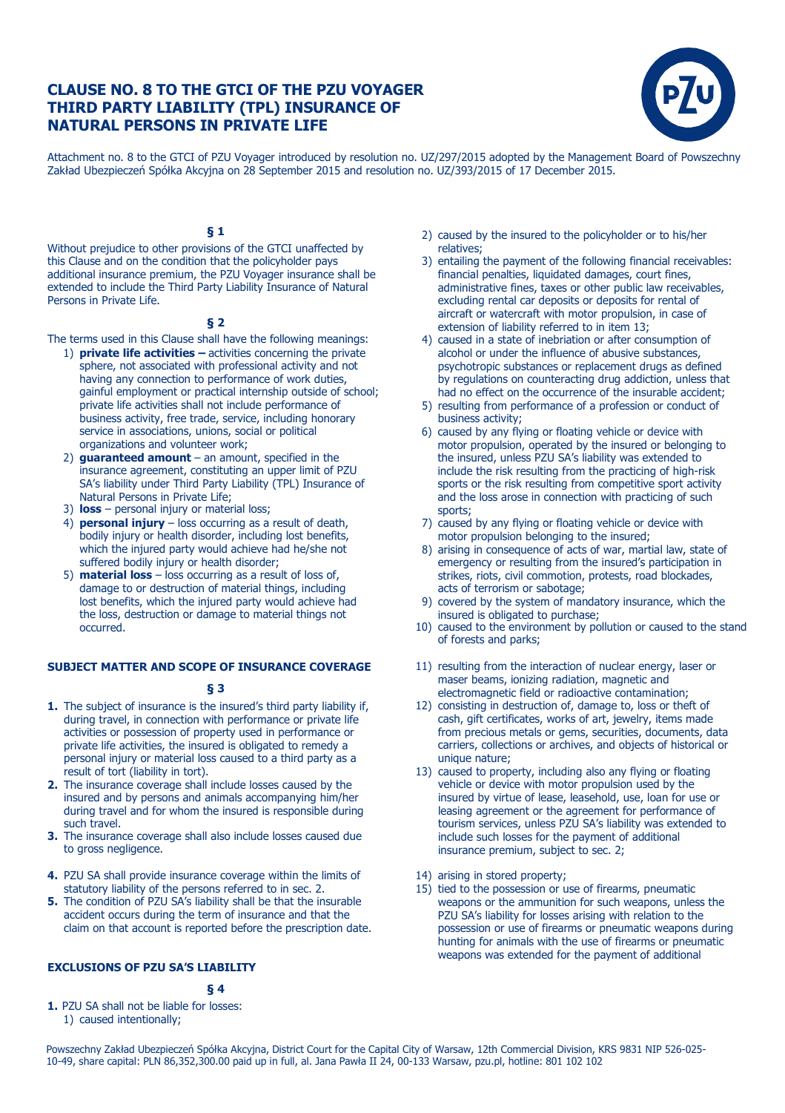# **CLAUSE NO. 8 TO THE GTCI OF THE PZU VOYAGER THIRD PARTY LIABILITY (TPL) INSURANCE OF NATURAL PERSONS IN PRIVATE LIFE**



Attachment no. 8 to the GTCI of PZU Voyager introduced by resolution no. UZ/297/2015 adopted by the Management Board of Powszechny Zakład Ubezpieczeń Spółka Akcyjna on 28 September 2015 and resolution no. UZ/393/2015 of 17 December 2015.

# **§ 1**

Without prejudice to other provisions of the GTCI unaffected by this Clause and on the condition that the policyholder pays additional insurance premium, the PZU Voyager insurance shall be extended to include the Third Party Liability Insurance of Natural Persons in Private Life.

## **§ 2**

- The terms used in this Clause shall have the following meanings:
	- 1) **private life activities** activities concerning the private sphere, not associated with professional activity and not having any connection to performance of work duties, gainful employment or practical internship outside of school; private life activities shall not include performance of business activity, free trade, service, including honorary service in associations, unions, social or political organizations and volunteer work;
	- 2) **guaranteed amount**  an amount, specified in the insurance agreement, constituting an upper limit of PZU SA's liability under Third Party Liability (TPL) Insurance of Natural Persons in Private Life;
	- 3) **loss** personal injury or material loss;
	- 4) **personal injury** loss occurring as a result of death, bodily injury or health disorder, including lost benefits, which the injured party would achieve had he/she not suffered bodily injury or health disorder;
	- 5) **material loss** loss occurring as a result of loss of, damage to or destruction of material things, including lost benefits, which the injured party would achieve had the loss, destruction or damage to material things not occurred.

## **SUBJECT MATTER AND SCOPE OF INSURANCE COVERAGE**

## **§ 3**

- **1.** The subject of insurance is the insured's third party liability if, during travel, in connection with performance or private life activities or possession of property used in performance or private life activities, the insured is obligated to remedy a personal injury or material loss caused to a third party as a result of tort (liability in tort).
- **2.** The insurance coverage shall include losses caused by the insured and by persons and animals accompanying him/her during travel and for whom the insured is responsible during such travel.
- **3.** The insurance coverage shall also include losses caused due to gross negligence.
- **4.** PZU SA shall provide insurance coverage within the limits of statutory liability of the persons referred to in sec. 2.
- **5.** The condition of PZU SA's liability shall be that the insurable accident occurs during the term of insurance and that the claim on that account is reported before the prescription date.

# **EXCLUSIONS OF PZU SA'S LIABILITY**

### **§ 4**

**1.** PZU SA shall not be liable for losses: 1) caused intentionally;

- 2) caused by the insured to the policyholder or to his/her relatives;
- 3) entailing the payment of the following financial receivables: financial penalties, liquidated damages, court fines, administrative fines, taxes or other public law receivables, excluding rental car deposits or deposits for rental of aircraft or watercraft with motor propulsion, in case of extension of liability referred to in item 13;
- 4) caused in a state of inebriation or after consumption of alcohol or under the influence of abusive substances, psychotropic substances or replacement drugs as defined by regulations on counteracting drug addiction, unless that had no effect on the occurrence of the insurable accident;
- 5) resulting from performance of a profession or conduct of business activity;
- 6) caused by any flying or floating vehicle or device with motor propulsion, operated by the insured or belonging to the insured, unless PZU SA's liability was extended to include the risk resulting from the practicing of high-risk sports or the risk resulting from competitive sport activity and the loss arose in connection with practicing of such sports;
- 7) caused by any flying or floating vehicle or device with motor propulsion belonging to the insured;
- 8) arising in consequence of acts of war, martial law, state of emergency or resulting from the insured's participation in strikes, riots, civil commotion, protests, road blockades, acts of terrorism or sabotage;
- 9) covered by the system of mandatory insurance, which the insured is obligated to purchase;
- 10) caused to the environment by pollution or caused to the stand of forests and parks;
- 11) resulting from the interaction of nuclear energy, laser or maser beams, ionizing radiation, magnetic and electromagnetic field or radioactive contamination;
- 12) consisting in destruction of, damage to, loss or theft of cash, gift certificates, works of art, jewelry, items made from precious metals or gems, securities, documents, data carriers, collections or archives, and objects of historical or unique nature;
- 13) caused to property, including also any flying or floating vehicle or device with motor propulsion used by the insured by virtue of lease, leasehold, use, loan for use or leasing agreement or the agreement for performance of tourism services, unless PZU SA's liability was extended to include such losses for the payment of additional insurance premium, subject to sec. 2;
- 14) arising in stored property;
- 15) tied to the possession or use of firearms, pneumatic weapons or the ammunition for such weapons, unless the PZU SA's liability for losses arising with relation to the possession or use of firearms or pneumatic weapons during hunting for animals with the use of firearms or pneumatic weapons was extended for the payment of additional

Powszechny Zakład Ubezpieczeń Spółka Akcyjna, District Court for the Capital City of Warsaw, 12th Commercial Division, KRS 9831 NIP 526-025- 10-49, share capital: PLN 86,352,300.00 paid up in full, al. Jana Pawła II 24, 00-133 Warsaw, pzu.pl, hotline: 801 102 102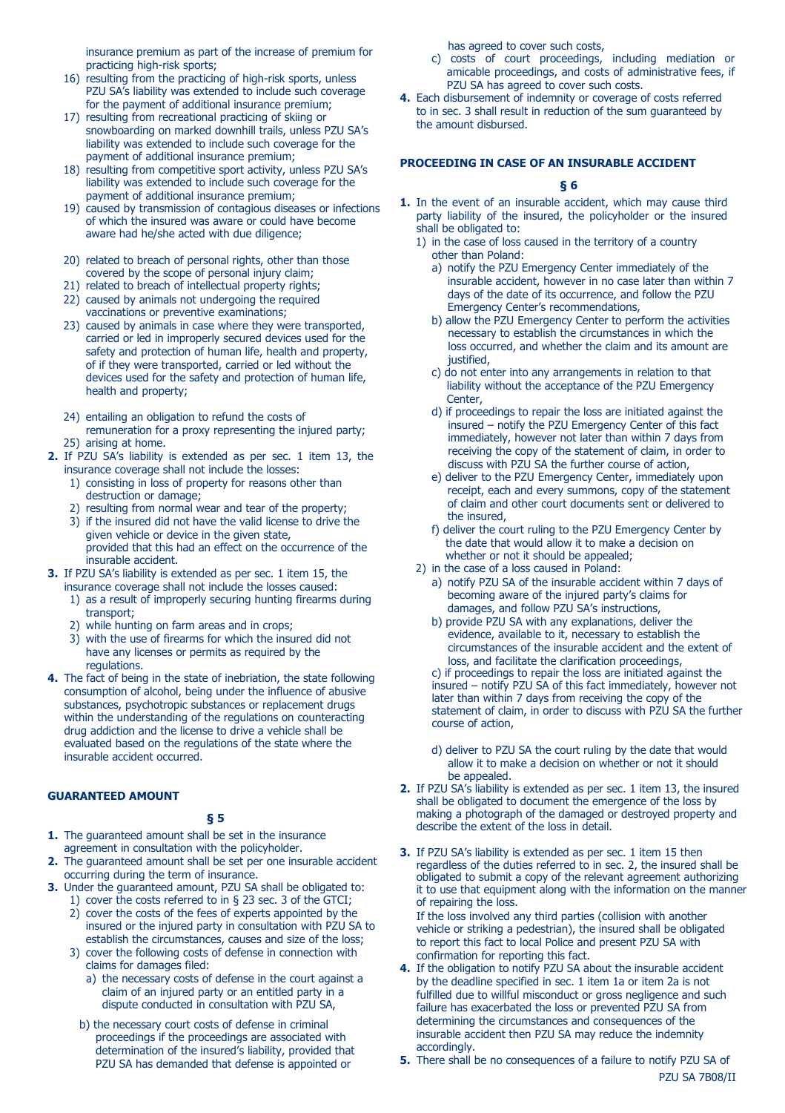insurance premium as part of the increase of premium for practicing high-risk sports;

- 16) resulting from the practicing of high-risk sports, unless PZU SA's liability was extended to include such coverage for the payment of additional insurance premium;
- 17) resulting from recreational practicing of skiing or snowboarding on marked downhill trails, unless PZU SA's liability was extended to include such coverage for the payment of additional insurance premium;
- 18) resulting from competitive sport activity, unless PZU SA's liability was extended to include such coverage for the payment of additional insurance premium;
- 19) caused by transmission of contagious diseases or infections of which the insured was aware or could have become aware had he/she acted with due diligence:
- 20) related to breach of personal rights, other than those covered by the scope of personal injury claim;
- 21) related to breach of intellectual property rights;
- 22) caused by animals not undergoing the required vaccinations or preventive examinations;
- 23) caused by animals in case where they were transported, carried or led in improperly secured devices used for the safety and protection of human life, health and property, of if they were transported, carried or led without the devices used for the safety and protection of human life, health and property;
- 24) entailing an obligation to refund the costs of remuneration for a proxy representing the injured party; 25) arising at home.
- **2.** If PZU SA's liability is extended as per sec. 1 item 13, the insurance coverage shall not include the losses:
	- 1) consisting in loss of property for reasons other than destruction or damage;
	- 2) resulting from normal wear and tear of the property;
	- 3) if the insured did not have the valid license to drive the given vehicle or device in the given state, provided that this had an effect on the occurrence of the insurable accident.
- **3.** If PZU SA's liability is extended as per sec. 1 item 15, the insurance coverage shall not include the losses caused:
	- 1) as a result of improperly securing hunting firearms during transport;
	- 2) while hunting on farm areas and in crops;
	- 3) with the use of firearms for which the insured did not have any licenses or permits as required by the regulations.
- **4.** The fact of being in the state of inebriation, the state following consumption of alcohol, being under the influence of abusive substances, psychotropic substances or replacement drugs within the understanding of the regulations on counteracting drug addiction and the license to drive a vehicle shall be evaluated based on the regulations of the state where the insurable accident occurred.

# **GUARANTEED AMOUNT**

# **§ 5**

- **1.** The guaranteed amount shall be set in the insurance agreement in consultation with the policyholder.
- **2.** The guaranteed amount shall be set per one insurable accident occurring during the term of insurance.
- **3.** Under the guaranteed amount, PZU SA shall be obligated to:
	- 1) cover the costs referred to in § 23 sec. 3 of the GTCI; 2) cover the costs of the fees of experts appointed by the insured or the injured party in consultation with PZU SA to establish the circumstances, causes and size of the loss;
	- 3) cover the following costs of defense in connection with claims for damages filed:
		- a) the necessary costs of defense in the court against a claim of an injured party or an entitled party in a dispute conducted in consultation with PZU SA,
		- b) the necessary court costs of defense in criminal proceedings if the proceedings are associated with determination of the insured's liability, provided that PZU SA has demanded that defense is appointed or

has agreed to cover such costs,

- c) costs of court proceedings, including mediation or amicable proceedings, and costs of administrative fees, if PZU SA has agreed to cover such costs.
- **4.** Each disbursement of indemnity or coverage of costs referred to in sec. 3 shall result in reduction of the sum guaranteed by the amount disbursed.

# **PROCEEDING IN CASE OF AN INSURABLE ACCIDENT**

## **§ 6**

- **1.** In the event of an insurable accident, which may cause third party liability of the insured, the policyholder or the insured shall be obligated to:
	- 1) in the case of loss caused in the territory of a country other than Poland:
		- a) notify the PZU Emergency Center immediately of the insurable accident, however in no case later than within 7 days of the date of its occurrence, and follow the PZU Emergency Center's recommendations,
		- b) allow the PZU Emergency Center to perform the activities necessary to establish the circumstances in which the loss occurred, and whether the claim and its amount are justified,
		- c) do not enter into any arrangements in relation to that liability without the acceptance of the PZU Emergency Center,
		- d) if proceedings to repair the loss are initiated against the insured – notify the PZU Emergency Center of this fact immediately, however not later than within 7 days from receiving the copy of the statement of claim, in order to discuss with PZU SA the further course of action,
		- e) deliver to the PZU Emergency Center, immediately upon receipt, each and every summons, copy of the statement of claim and other court documents sent or delivered to the insured,
		- f) deliver the court ruling to the PZU Emergency Center by the date that would allow it to make a decision on whether or not it should be appealed;
	- 2) in the case of a loss caused in Poland:
		- a) notify PZU SA of the insurable accident within 7 days of becoming aware of the injured party's claims for damages, and follow PZU SA's instructions,
		- b) provide PZU SA with any explanations, deliver the evidence, available to it, necessary to establish the circumstances of the insurable accident and the extent of loss, and facilitate the clarification proceedings,

c) if proceedings to repair the loss are initiated against the insured – notify PZU SA of this fact immediately, however not later than within 7 days from receiving the copy of the statement of claim, in order to discuss with PZU SA the further course of action,

- d) deliver to PZU SA the court ruling by the date that would allow it to make a decision on whether or not it should be appealed.
- **2.** If PZU SA's liability is extended as per sec. 1 item 13, the insured shall be obligated to document the emergence of the loss by making a photograph of the damaged or destroyed property and describe the extent of the loss in detail.
- **3.** If PZU SA's liability is extended as per sec. 1 item 15 then regardless of the duties referred to in sec. 2, the insured shall be obligated to submit a copy of the relevant agreement authorizing it to use that equipment along with the information on the manner of repairing the loss.

If the loss involved any third parties (collision with another vehicle or striking a pedestrian), the insured shall be obligated to report this fact to local Police and present PZU SA with confirmation for reporting this fact.

- **4.** If the obligation to notify PZU SA about the insurable accident by the deadline specified in sec. 1 item 1a or item 2a is not fulfilled due to willful misconduct or gross negligence and such failure has exacerbated the loss or prevented PZU SA from determining the circumstances and consequences of the insurable accident then PZU SA may reduce the indemnity accordingly.
- PZU SA 7B08/II **5.** There shall be no consequences of a failure to notify PZU SA of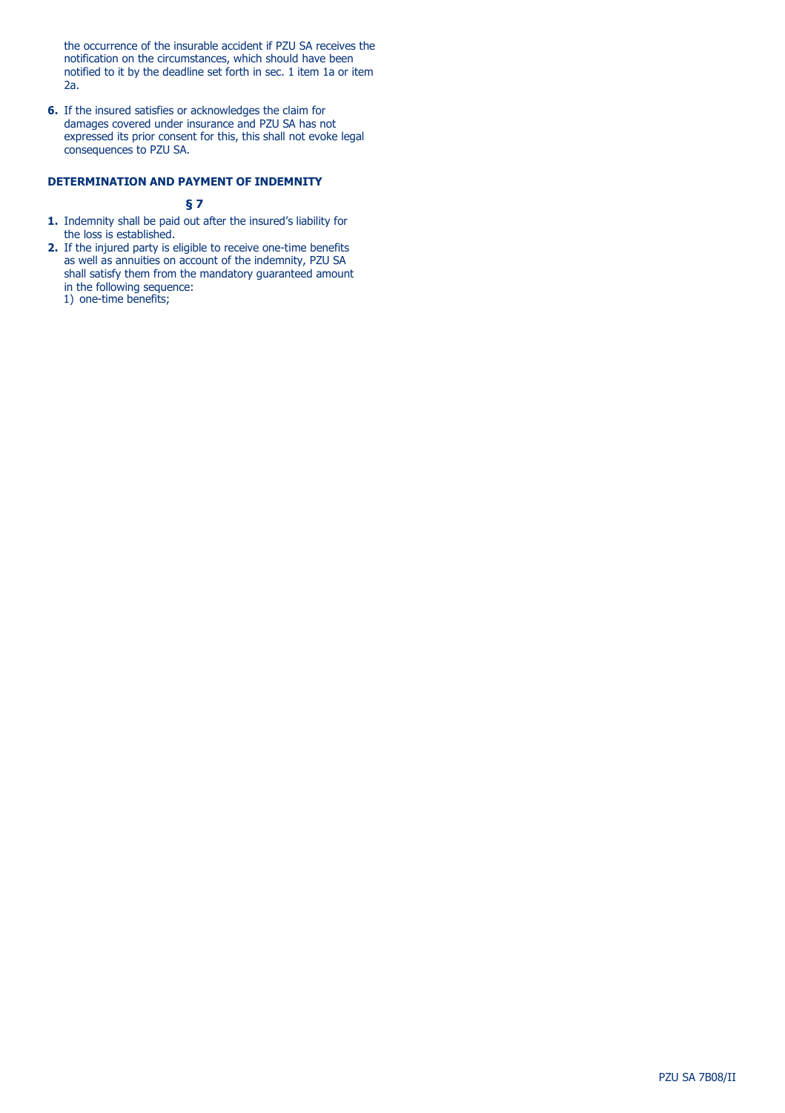the occurrence of the insurable accident if PZU SA receives the notification on the circumstances, which should have been notified to it by the deadline set forth in sec. 1 item 1a or item 2a.

**6.** If the insured satisfies or acknowledges the claim for damages covered under insurance and PZU SA has not expressed its prior consent for this, this shall not evoke legal consequences to PZU SA.

# **DETERMINATION AND PAYMENT OF INDEMNITY**

- **1.** Indemnity shall be paid out after the insured's liability for the loss is established.
- **2.** If the injured party is eligible to receive one-time benefits as well as annuities on account of the indemnity, PZU SA shall satisfy them from the mandatory guaranteed amount
	- in the following sequence: 1) one-time benefits;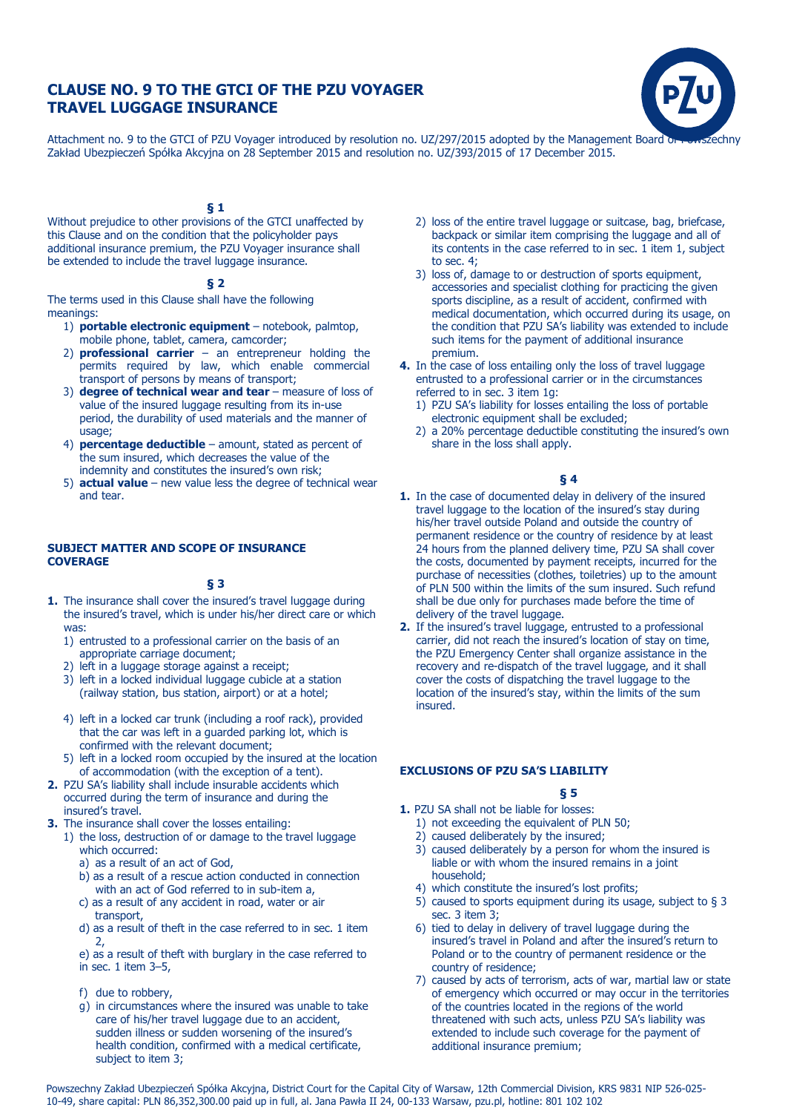# **CLAUSE NO. 9 TO THE GTCI OF THE PZU VOYAGER TRAVEL LUGGAGE INSURANCE**



Attachment no. 9 to the GTCI of PZU Voyager introduced by resolution no. UZ/297/2015 adopted by the Management Board Zakład Ubezpieczeń Spółka Akcyjna on 28 September 2015 and resolution no. UZ/393/2015 of 17 December 2015.

# **§ 1**

Without prejudice to other provisions of the GTCI unaffected by this Clause and on the condition that the policyholder pays additional insurance premium, the PZU Voyager insurance shall be extended to include the travel luggage insurance.

## **§ 2**

The terms used in this Clause shall have the following meanings:

- 1) **portable electronic equipment**  notebook, palmtop, mobile phone, tablet, camera, camcorder;
- 2) **professional carrier** an entrepreneur holding the permits required by law, which enable commercial transport of persons by means of transport;
- 3) **degree of technical wear and tear**  measure of loss of value of the insured luggage resulting from its in-use period, the durability of used materials and the manner of usage;
- 4) **percentage deductible** amount, stated as percent of the sum insured, which decreases the value of the indemnity and constitutes the insured's own risk;
- 5) **actual value**  new value less the degree of technical wear and tear.

#### **SUBJECT MATTER AND SCOPE OF INSURANCE COVERAGE**

### **§ 3**

- **1.** The insurance shall cover the insured's travel luggage during the insured's travel, which is under his/her direct care or which was:
	- 1) entrusted to a professional carrier on the basis of an appropriate carriage document;
	- 2) left in a luggage storage against a receipt;
	- 3) left in a locked individual luggage cubicle at a station (railway station, bus station, airport) or at a hotel;
	- 4) left in a locked car trunk (including a roof rack), provided that the car was left in a guarded parking lot, which is confirmed with the relevant document;
	- 5) left in a locked room occupied by the insured at the location of accommodation (with the exception of a tent).
- **2.** PZU SA's liability shall include insurable accidents which occurred during the term of insurance and during the insured's travel.
- **3.** The insurance shall cover the losses entailing:
	- 1) the loss, destruction of or damage to the travel luggage which occurred:
		- a) as a result of an act of God,
		- b) as a result of a rescue action conducted in connection with an act of God referred to in sub-item a,
		- c) as a result of any accident in road, water or air transport,
		- d) as a result of theft in the case referred to in sec. 1 item
		- 2, e) as a result of theft with burglary in the case referred to in sec. 1 item 3–5,
		- f) due to robbery,
		- g) in circumstances where the insured was unable to take care of his/her travel luggage due to an accident, sudden illness or sudden worsening of the insured's health condition, confirmed with a medical certificate, subject to item 3:
- 2) loss of the entire travel luggage or suitcase, bag, briefcase, backpack or similar item comprising the luggage and all of its contents in the case referred to in sec. 1 item 1, subject to sec. 4;
- 3) loss of, damage to or destruction of sports equipment, accessories and specialist clothing for practicing the given sports discipline, as a result of accident, confirmed with medical documentation, which occurred during its usage, on the condition that PZU SA's liability was extended to include such items for the payment of additional insurance premium.
- **4.** In the case of loss entailing only the loss of travel luggage entrusted to a professional carrier or in the circumstances referred to in sec. 3 item 1g:
	- 1) PZU SA's liability for losses entailing the loss of portable electronic equipment shall be excluded;
	- 2) a 20% percentage deductible constituting the insured's own share in the loss shall apply.

### **§ 4**

- **1.** In the case of documented delay in delivery of the insured travel luggage to the location of the insured's stay during his/her travel outside Poland and outside the country of permanent residence or the country of residence by at least 24 hours from the planned delivery time, PZU SA shall cover the costs, documented by payment receipts, incurred for the purchase of necessities (clothes, toiletries) up to the amount of PLN 500 within the limits of the sum insured. Such refund shall be due only for purchases made before the time of delivery of the travel luggage.
- **2.** If the insured's travel luggage, entrusted to a professional carrier, did not reach the insured's location of stay on time, the PZU Emergency Center shall organize assistance in the recovery and re-dispatch of the travel luggage, and it shall cover the costs of dispatching the travel luggage to the location of the insured's stay, within the limits of the sum insured.

## **EXCLUSIONS OF PZU SA'S LIABILITY**

### **§ 5**

- **1.** PZU SA shall not be liable for losses: 1) not exceeding the equivalent of PLN 50;
	- 2) caused deliberately by the insured;
	- 3) caused deliberately by a person for whom the insured is liable or with whom the insured remains in a joint household;
	- 4) which constitute the insured's lost profits;
	- 5) caused to sports equipment during its usage, subject to § 3 sec. 3 item 3;
	- 6) tied to delay in delivery of travel luggage during the insured's travel in Poland and after the insured's return to Poland or to the country of permanent residence or the country of residence;
	- 7) caused by acts of terrorism, acts of war, martial law or state of emergency which occurred or may occur in the territories of the countries located in the regions of the world threatened with such acts, unless PZU SA's liability was extended to include such coverage for the payment of additional insurance premium;

Powszechny Zakład Ubezpieczeń Spółka Akcyjna, District Court for the Capital City of Warsaw, 12th Commercial Division, KRS 9831 NIP 526-025- 10-49, share capital: PLN 86,352,300.00 paid up in full, al. Jana Pawła II 24, 00-133 Warsaw, pzu.pl, hotline: 801 102 102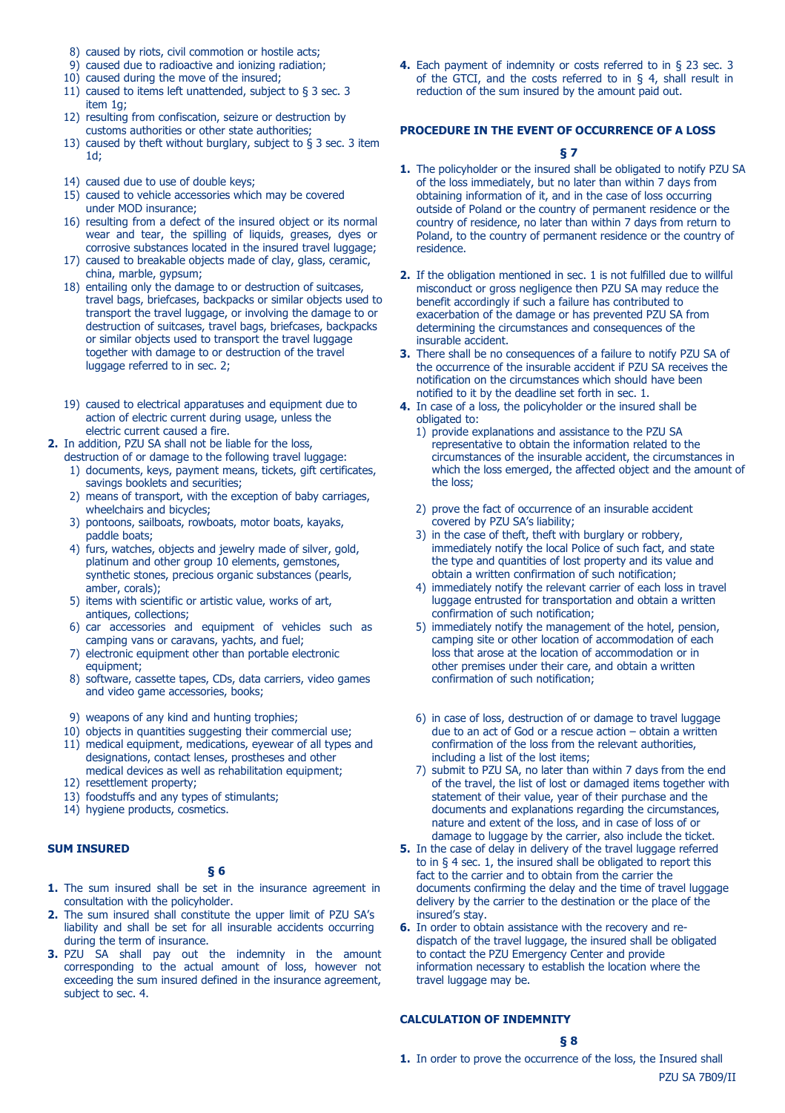- 8) caused by riots, civil commotion or hostile acts;
- 9) caused due to radioactive and ionizing radiation;
- 10) caused during the move of the insured;
- 11) caused to items left unattended, subject to § 3 sec. 3 item 1g;
- 12) resulting from confiscation, seizure or destruction by customs authorities or other state authorities;
- 13) caused by theft without burglary, subject to  $\frac{2}{3}$  3 sec. 3 item 1d;
- 14) caused due to use of double keys;
- 15) caused to vehicle accessories which may be covered under MOD insurance;
- 16) resulting from a defect of the insured object or its normal wear and tear, the spilling of liquids, greases, dyes or corrosive substances located in the insured travel luggage;
- 17) caused to breakable objects made of clay, glass, ceramic, china, marble, gypsum;
- 18) entailing only the damage to or destruction of suitcases, travel bags, briefcases, backpacks or similar objects used to transport the travel luggage, or involving the damage to or destruction of suitcases, travel bags, briefcases, backpacks or similar objects used to transport the travel luggage together with damage to or destruction of the travel luggage referred to in sec. 2;
- 19) caused to electrical apparatuses and equipment due to action of electric current during usage, unless the electric current caused a fire.
- **2.** In addition, PZU SA shall not be liable for the loss,
	- destruction of or damage to the following travel luggage:
		- 1) documents, keys, payment means, tickets, gift certificates, savings booklets and securities;
		- 2) means of transport, with the exception of baby carriages, wheelchairs and bicycles;
		- 3) pontoons, sailboats, rowboats, motor boats, kayaks, paddle boats;
		- 4) furs, watches, objects and jewelry made of silver, gold, platinum and other group 10 elements, gemstones, synthetic stones, precious organic substances (pearls, amber, corals);
		- 5) items with scientific or artistic value, works of art, antiques, collections;
		- 6) car accessories and equipment of vehicles such as camping vans or caravans, yachts, and fuel;
		- 7) electronic equipment other than portable electronic equipment;
		- 8) software, cassette tapes, CDs, data carriers, video games and video game accessories, books;
		- 9) weapons of any kind and hunting trophies;
	- 10) objects in quantities suggesting their commercial use;
	- 11) medical equipment, medications, eyewear of all types and designations, contact lenses, prostheses and other medical devices as well as rehabilitation equipment;
	- 12) resettlement property;
	- 13) foodstuffs and any types of stimulants;
	- 14) hygiene products, cosmetics.

### **SUM INSURED**

## **§ 6**

- **1.** The sum insured shall be set in the insurance agreement in consultation with the policyholder.
- **2.** The sum insured shall constitute the upper limit of PZU SA's liability and shall be set for all insurable accidents occurring during the term of insurance.
- **3.** PZU SA shall pay out the indemnity in the amount corresponding to the actual amount of loss, however not exceeding the sum insured defined in the insurance agreement, subject to sec. 4.

**4.** Each payment of indemnity or costs referred to in § 23 sec. 3 of the GTCI, and the costs referred to in § 4, shall result in reduction of the sum insured by the amount paid out.

# **PROCEDURE IN THE EVENT OF OCCURRENCE OF A LOSS**

## **§ 7**

- **1.** The policyholder or the insured shall be obligated to notify PZU SA of the loss immediately, but no later than within 7 days from obtaining information of it, and in the case of loss occurring outside of Poland or the country of permanent residence or the country of residence, no later than within 7 days from return to Poland, to the country of permanent residence or the country of residence.
- **2.** If the obligation mentioned in sec. 1 is not fulfilled due to willful misconduct or gross negligence then PZU SA may reduce the benefit accordingly if such a failure has contributed to exacerbation of the damage or has prevented PZU SA from determining the circumstances and consequences of the insurable accident.
- **3.** There shall be no consequences of a failure to notify PZU SA of the occurrence of the insurable accident if PZU SA receives the notification on the circumstances which should have been notified to it by the deadline set forth in sec. 1.
- **4.** In case of a loss, the policyholder or the insured shall be obligated to:
	- 1) provide explanations and assistance to the PZU SA representative to obtain the information related to the circumstances of the insurable accident, the circumstances in which the loss emerged, the affected object and the amount of the loss;
	- 2) prove the fact of occurrence of an insurable accident covered by PZU SA's liability;
	- 3) in the case of theft, theft with burglary or robbery, immediately notify the local Police of such fact, and state the type and quantities of lost property and its value and obtain a written confirmation of such notification;
	- 4) immediately notify the relevant carrier of each loss in travel luggage entrusted for transportation and obtain a written confirmation of such notification;
	- 5) immediately notify the management of the hotel, pension, camping site or other location of accommodation of each loss that arose at the location of accommodation or in other premises under their care, and obtain a written confirmation of such notification;
	- 6) in case of loss, destruction of or damage to travel luggage due to an act of God or a rescue action – obtain a written confirmation of the loss from the relevant authorities, including a list of the lost items;
	- 7) submit to PZU SA, no later than within 7 days from the end of the travel, the list of lost or damaged items together with statement of their value, year of their purchase and the documents and explanations regarding the circumstances, nature and extent of the loss, and in case of loss of or damage to luggage by the carrier, also include the ticket.
- **5.** In the case of delay in delivery of the travel luggage referred to in § 4 sec. 1, the insured shall be obligated to report this fact to the carrier and to obtain from the carrier the documents confirming the delay and the time of travel luggage delivery by the carrier to the destination or the place of the insured's stay.
- **6.** In order to obtain assistance with the recovery and redispatch of the travel luggage, the insured shall be obligated to contact the PZU Emergency Center and provide information necessary to establish the location where the travel luggage may be.

#### **CALCULATION OF INDEMNITY**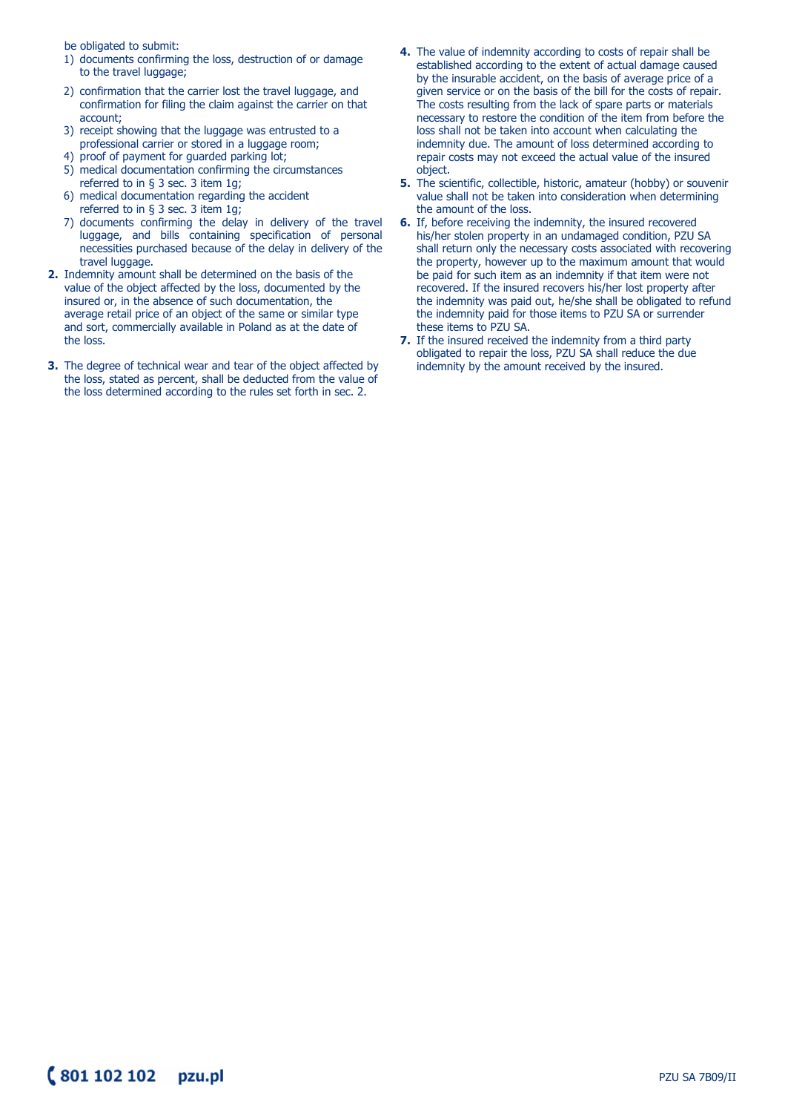be obligated to submit:

- 1) documents confirming the loss, destruction of or damage to the travel luggage;
- 2) confirmation that the carrier lost the travel luggage, and confirmation for filing the claim against the carrier on that account;
- 3) receipt showing that the luggage was entrusted to a professional carrier or stored in a luggage room;
- 4) proof of payment for quarded parking lot:
- 5) medical documentation confirming the circumstances referred to in § 3 sec. 3 item 1g;
- 6) medical documentation regarding the accident referred to in § 3 sec. 3 item 1g;
- 7) documents confirming the delay in delivery of the travel luggage, and bills containing specification of personal necessities purchased because of the delay in delivery of the travel luggage.
- **2.** Indemnity amount shall be determined on the basis of the value of the object affected by the loss, documented by the insured or, in the absence of such documentation, the average retail price of an object of the same or similar type and sort, commercially available in Poland as at the date of the loss.
- **3.** The degree of technical wear and tear of the object affected by the loss, stated as percent, shall be deducted from the value of the loss determined according to the rules set forth in sec. 2.
- **4.** The value of indemnity according to costs of repair shall be established according to the extent of actual damage caused by the insurable accident, on the basis of average price of a given service or on the basis of the bill for the costs of repair. The costs resulting from the lack of spare parts or materials necessary to restore the condition of the item from before the loss shall not be taken into account when calculating the indemnity due. The amount of loss determined according to repair costs may not exceed the actual value of the insured object.
- **5.** The scientific, collectible, historic, amateur (hobby) or souvenir value shall not be taken into consideration when determining the amount of the loss.
- **6.** If, before receiving the indemnity, the insured recovered his/her stolen property in an undamaged condition, PZU SA shall return only the necessary costs associated with recovering the property, however up to the maximum amount that would be paid for such item as an indemnity if that item were not recovered. If the insured recovers his/her lost property after the indemnity was paid out, he/she shall be obligated to refund the indemnity paid for those items to PZU SA or surrender these items to PZU SA.
- **7.** If the insured received the indemnity from a third party obligated to repair the loss, PZU SA shall reduce the due indemnity by the amount received by the insured.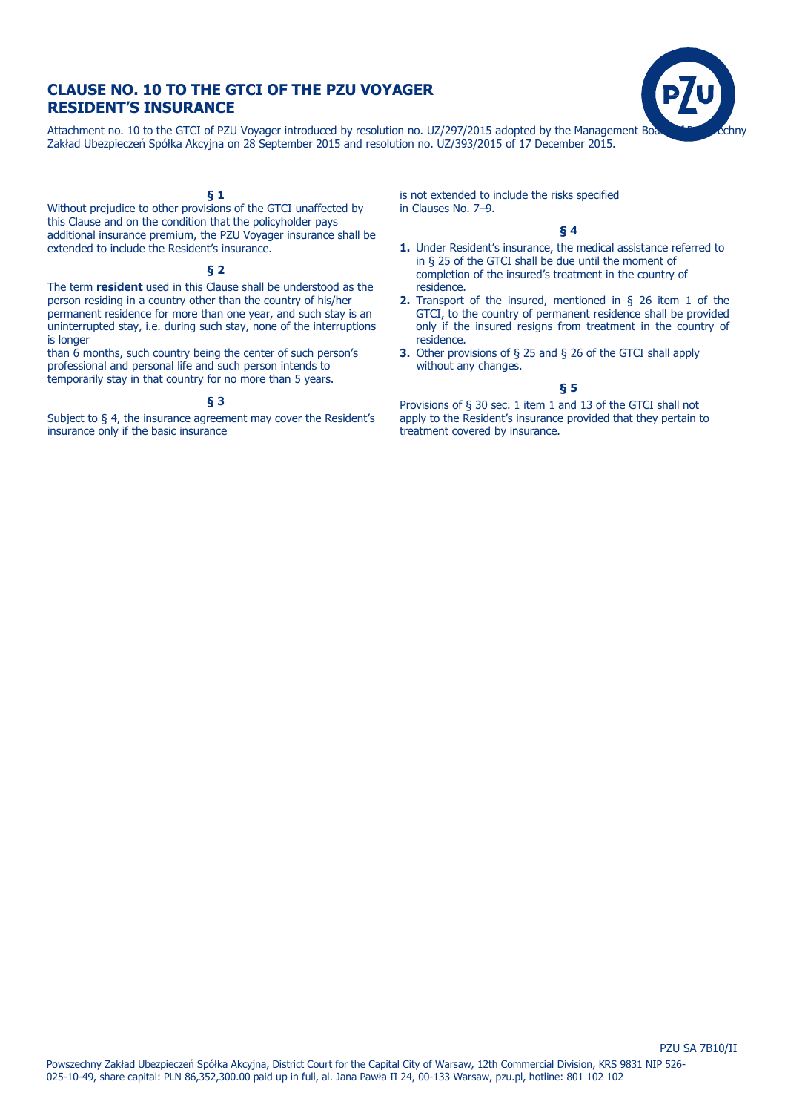# **CLAUSE NO. 10 TO THE GTCI OF THE PZU VOYAGER RESIDENT'S INSURANCE**



Attachment no. 10 to the GTCI of PZU Voyager introduced by resolution no. UZ/297/2015 adopted by the Management B Zakład Ubezpieczeń Spółka Akcyjna on 28 September 2015 and resolution no. UZ/393/2015 of 17 December 2015.

## **§ 1**

Without prejudice to other provisions of the GTCI unaffected by this Clause and on the condition that the policyholder pays additional insurance premium, the PZU Voyager insurance shall be extended to include the Resident's insurance.

### **§ 2**

The term **resident** used in this Clause shall be understood as the person residing in a country other than the country of his/her permanent residence for more than one year, and such stay is an uninterrupted stay, i.e. during such stay, none of the interruptions is longer

than 6 months, such country being the center of such person's professional and personal life and such person intends to temporarily stay in that country for no more than 5 years.

# **§ 3**

Subject to § 4, the insurance agreement may cover the Resident's insurance only if the basic insurance

is not extended to include the risks specified in Clauses No. 7–9.

## **§ 4**

- **1.** Under Resident's insurance, the medical assistance referred to in § 25 of the GTCI shall be due until the moment of completion of the insured's treatment in the country of residence.
- **2.** Transport of the insured, mentioned in § 26 item 1 of the GTCI, to the country of permanent residence shall be provided only if the insured resigns from treatment in the country of residence.
- **3.** Other provisions of § 25 and § 26 of the GTCI shall apply without any changes.

## **§ 5**

Provisions of § 30 sec. 1 item 1 and 13 of the GTCI shall not apply to the Resident's insurance provided that they pertain to treatment covered by insurance.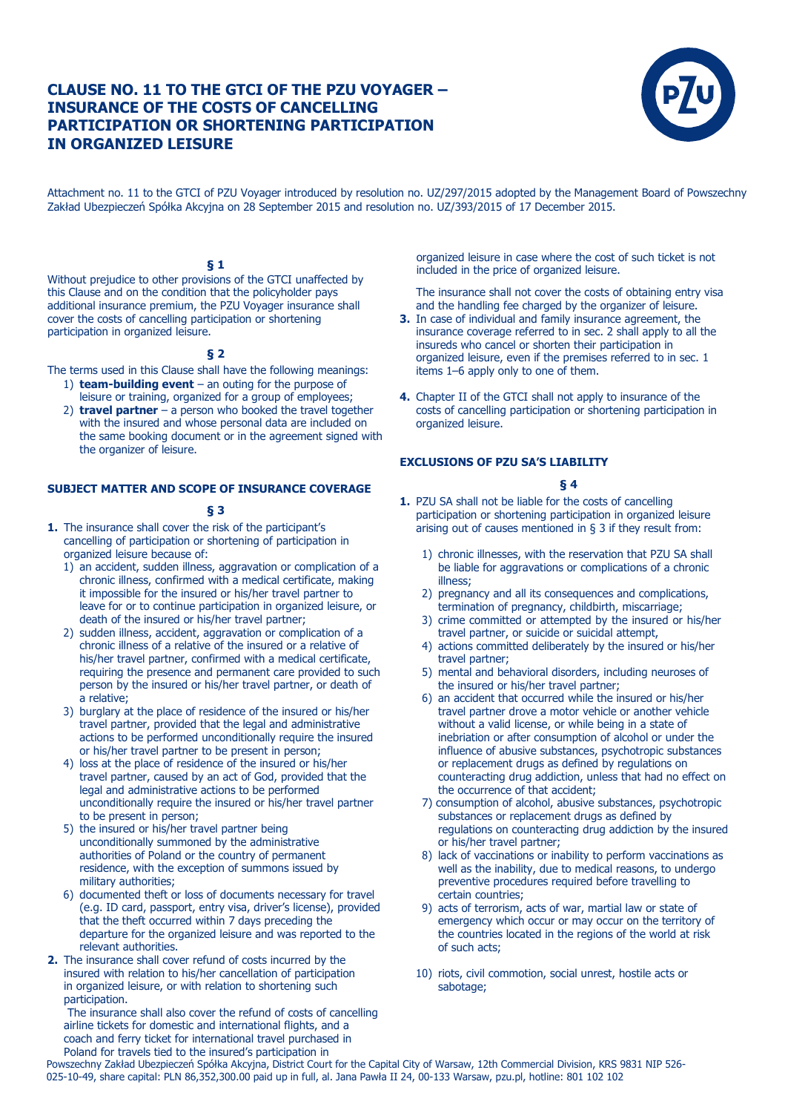# **CLAUSE NO. 11 TO THE GTCI OF THE PZU VOYAGER – INSURANCE OF THE COSTS OF CANCELLING PARTICIPATION OR SHORTENING PARTICIPATION IN ORGANIZED LEISURE**



Attachment no. 11 to the GTCI of PZU Voyager introduced by resolution no. UZ/297/2015 adopted by the Management Board of Powszechny Zakład Ubezpieczeń Spółka Akcyjna on 28 September 2015 and resolution no. UZ/393/2015 of 17 December 2015.

### **§ 1**

Without prejudice to other provisions of the GTCI unaffected by this Clause and on the condition that the policyholder pays additional insurance premium, the PZU Voyager insurance shall cover the costs of cancelling participation or shortening participation in organized leisure.

# **§ 2**

- The terms used in this Clause shall have the following meanings: 1) **team-building event** – an outing for the purpose of
	- leisure or training, organized for a group of employees;
	- 2) **travel partner** a person who booked the travel together with the insured and whose personal data are included on the same booking document or in the agreement signed with the organizer of leisure.

## **SUBJECT MATTER AND SCOPE OF INSURANCE COVERAGE**

### **§ 3**

- **1.** The insurance shall cover the risk of the participant's cancelling of participation or shortening of participation in organized leisure because of:
	- 1) an accident, sudden illness, aggravation or complication of a chronic illness, confirmed with a medical certificate, making it impossible for the insured or his/her travel partner to leave for or to continue participation in organized leisure, or death of the insured or his/her travel partner;
	- 2) sudden illness, accident, aggravation or complication of a chronic illness of a relative of the insured or a relative of his/her travel partner, confirmed with a medical certificate, requiring the presence and permanent care provided to such person by the insured or his/her travel partner, or death of a relative;
	- 3) burglary at the place of residence of the insured or his/her travel partner, provided that the legal and administrative actions to be performed unconditionally require the insured or his/her travel partner to be present in person;
	- 4) loss at the place of residence of the insured or his/her travel partner, caused by an act of God, provided that the legal and administrative actions to be performed unconditionally require the insured or his/her travel partner to be present in person;
	- 5) the insured or his/her travel partner being unconditionally summoned by the administrative authorities of Poland or the country of permanent residence, with the exception of summons issued by military authorities;
	- 6) documented theft or loss of documents necessary for travel (e.g. ID card, passport, entry visa, driver's license), provided that the theft occurred within 7 days preceding the departure for the organized leisure and was reported to the relevant authorities.
- **2.** The insurance shall cover refund of costs incurred by the insured with relation to his/her cancellation of participation in organized leisure, or with relation to shortening such participation.

 The insurance shall also cover the refund of costs of cancelling airline tickets for domestic and international flights, and a coach and ferry ticket for international travel purchased in Poland for travels tied to the insured's participation in

organized leisure in case where the cost of such ticket is not included in the price of organized leisure.

The insurance shall not cover the costs of obtaining entry visa and the handling fee charged by the organizer of leisure.

- **3.** In case of individual and family insurance agreement, the insurance coverage referred to in sec. 2 shall apply to all the insureds who cancel or shorten their participation in organized leisure, even if the premises referred to in sec. 1 items 1–6 apply only to one of them.
- **4.** Chapter II of the GTCI shall not apply to insurance of the costs of cancelling participation or shortening participation in organized leisure.

# **EXCLUSIONS OF PZU SA'S LIABILITY**

## **§ 4**

- **1.** PZU SA shall not be liable for the costs of cancelling participation or shortening participation in organized leisure arising out of causes mentioned in § 3 if they result from:
	- 1) chronic illnesses, with the reservation that PZU SA shall be liable for aggravations or complications of a chronic illness;
	- 2) pregnancy and all its consequences and complications, termination of pregnancy, childbirth, miscarriage;
	- 3) crime committed or attempted by the insured or his/her travel partner, or suicide or suicidal attempt,
	- 4) actions committed deliberately by the insured or his/her travel partner;
	- 5) mental and behavioral disorders, including neuroses of the insured or his/her travel partner;
	- 6) an accident that occurred while the insured or his/her travel partner drove a motor vehicle or another vehicle without a valid license, or while being in a state of inebriation or after consumption of alcohol or under the influence of abusive substances, psychotropic substances or replacement drugs as defined by regulations on counteracting drug addiction, unless that had no effect on the occurrence of that accident;
	- 7) consumption of alcohol, abusive substances, psychotropic substances or replacement drugs as defined by regulations on counteracting drug addiction by the insured or his/her travel partner;
	- 8) lack of vaccinations or inability to perform vaccinations as well as the inability, due to medical reasons, to undergo preventive procedures required before travelling to certain countries;
	- 9) acts of terrorism, acts of war, martial law or state of emergency which occur or may occur on the territory of the countries located in the regions of the world at risk of such acts;
	- 10) riots, civil commotion, social unrest, hostile acts or sabotage;

Powszechny Zakład Ubezpieczeń Spółka Akcyjna, District Court for the Capital City of Warsaw, 12th Commercial Division, KRS 9831 NIP 526- 025-10-49, share capital: PLN 86,352,300.00 paid up in full, al. Jana Pawła II 24, 00-133 Warsaw, pzu.pl, hotline: 801 102 102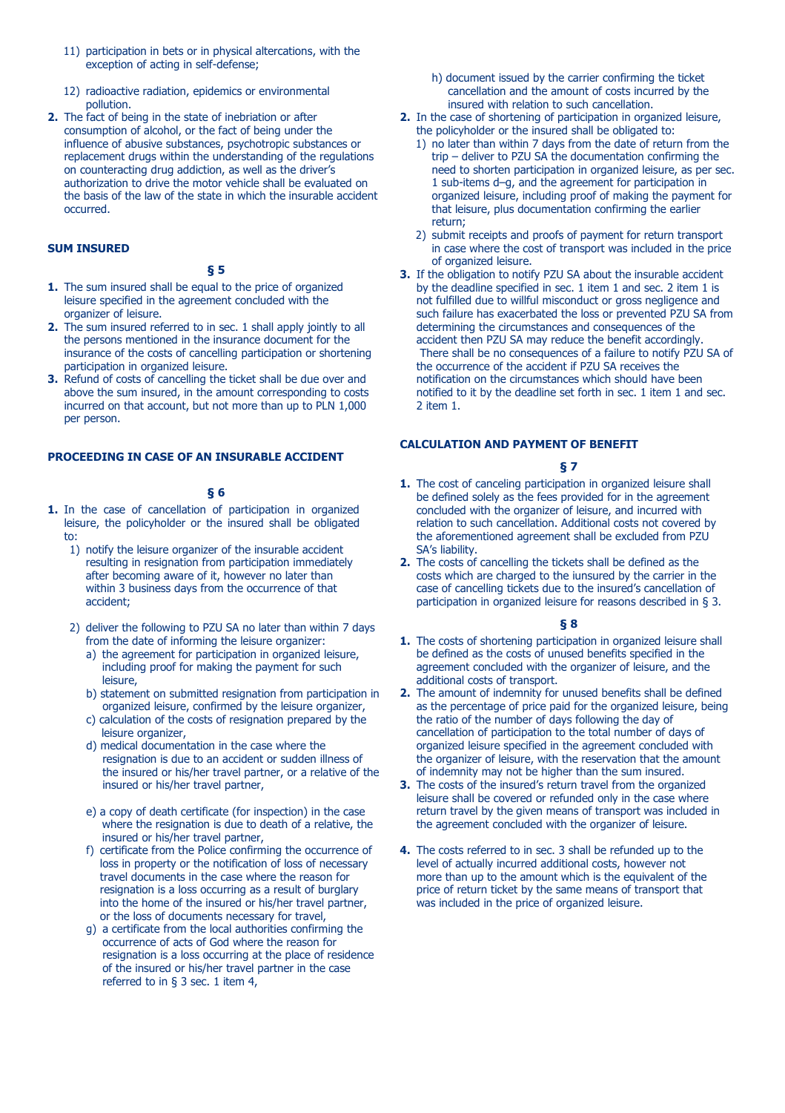- 11) participation in bets or in physical altercations, with the exception of acting in self-defense;
- 12) radioactive radiation, epidemics or environmental pollution.
- **2.** The fact of being in the state of inebriation or after consumption of alcohol, or the fact of being under the influence of abusive substances, psychotropic substances or replacement drugs within the understanding of the regulations on counteracting drug addiction, as well as the driver's authorization to drive the motor vehicle shall be evaluated on the basis of the law of the state in which the insurable accident occurred.

#### **SUM INSURED**

#### **§ 5**

- **1.** The sum insured shall be equal to the price of organized leisure specified in the agreement concluded with the organizer of leisure.
- **2.** The sum insured referred to in sec. 1 shall apply jointly to all the persons mentioned in the insurance document for the insurance of the costs of cancelling participation or shortening participation in organized leisure.
- **3.** Refund of costs of cancelling the ticket shall be due over and above the sum insured, in the amount corresponding to costs incurred on that account, but not more than up to PLN 1,000 per person.

## **PROCEEDING IN CASE OF AN INSURABLE ACCIDENT**

# **§ 6**

- **1.** In the case of cancellation of participation in organized leisure, the policyholder or the insured shall be obligated to:
	- 1) notify the leisure organizer of the insurable accident resulting in resignation from participation immediately after becoming aware of it, however no later than within 3 business days from the occurrence of that accident;
	- 2) deliver the following to PZU SA no later than within 7 days from the date of informing the leisure organizer:
		- a) the agreement for participation in organized leisure, including proof for making the payment for such leisure,
		- b) statement on submitted resignation from participation in organized leisure, confirmed by the leisure organizer,
		- c) calculation of the costs of resignation prepared by the leisure organizer,
		- d) medical documentation in the case where the resignation is due to an accident or sudden illness of the insured or his/her travel partner, or a relative of the insured or his/her travel partner,
		- e) a copy of death certificate (for inspection) in the case where the resignation is due to death of a relative, the insured or his/her travel partner,
		- f) certificate from the Police confirming the occurrence of loss in property or the notification of loss of necessary travel documents in the case where the reason for resignation is a loss occurring as a result of burglary into the home of the insured or his/her travel partner, or the loss of documents necessary for travel,
		- g) a certificate from the local authorities confirming the occurrence of acts of God where the reason for resignation is a loss occurring at the place of residence of the insured or his/her travel partner in the case referred to in § 3 sec. 1 item 4,
- h) document issued by the carrier confirming the ticket cancellation and the amount of costs incurred by the insured with relation to such cancellation.
- **2.** In the case of shortening of participation in organized leisure, the policyholder or the insured shall be obligated to:
	- 1) no later than within 7 days from the date of return from the trip – deliver to PZU SA the documentation confirming the need to shorten participation in organized leisure, as per sec. 1 sub-items d–g, and the agreement for participation in organized leisure, including proof of making the payment for that leisure, plus documentation confirming the earlier return;
	- 2) submit receipts and proofs of payment for return transport in case where the cost of transport was included in the price of organized leisure.
- **3.** If the obligation to notify PZU SA about the insurable accident by the deadline specified in sec. 1 item 1 and sec. 2 item 1 is not fulfilled due to willful misconduct or gross negligence and such failure has exacerbated the loss or prevented PZU SA from determining the circumstances and consequences of the accident then PZU SA may reduce the benefit accordingly. There shall be no consequences of a failure to notify PZU SA of the occurrence of the accident if PZU SA receives the notification on the circumstances which should have been notified to it by the deadline set forth in sec. 1 item 1 and sec. 2 item 1.

## **CALCULATION AND PAYMENT OF BENEFIT**

## **§ 7**

- **1.** The cost of canceling participation in organized leisure shall be defined solely as the fees provided for in the agreement concluded with the organizer of leisure, and incurred with relation to such cancellation. Additional costs not covered by the aforementioned agreement shall be excluded from PZU SA's liability.
- **2.** The costs of cancelling the tickets shall be defined as the costs which are charged to the iunsured by the carrier in the case of cancelling tickets due to the insured's cancellation of participation in organized leisure for reasons described in § 3.

- **1.** The costs of shortening participation in organized leisure shall be defined as the costs of unused benefits specified in the agreement concluded with the organizer of leisure, and the additional costs of transport.
- **2.** The amount of indemnity for unused benefits shall be defined as the percentage of price paid for the organized leisure, being the ratio of the number of days following the day of cancellation of participation to the total number of days of organized leisure specified in the agreement concluded with the organizer of leisure, with the reservation that the amount of indemnity may not be higher than the sum insured.
- **3.** The costs of the insured's return travel from the organized leisure shall be covered or refunded only in the case where return travel by the given means of transport was included in the agreement concluded with the organizer of leisure.
- **4.** The costs referred to in sec. 3 shall be refunded up to the level of actually incurred additional costs, however not more than up to the amount which is the equivalent of the price of return ticket by the same means of transport that was included in the price of organized leisure.